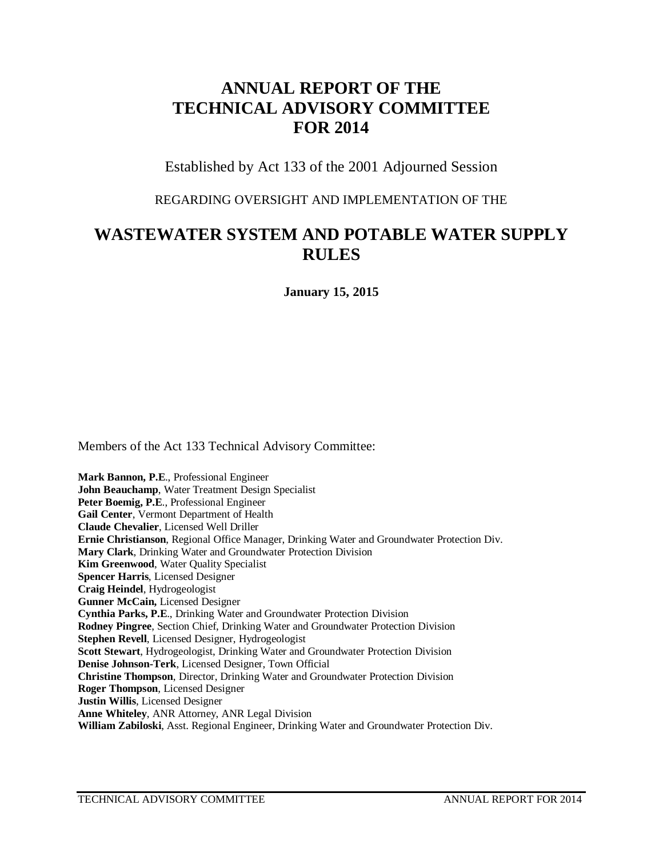# **ANNUAL REPORT OF THE TECHNICAL ADVISORY COMMITTEE FOR 2014**

Established by Act 133 of the 2001 Adjourned Session

## REGARDING OVERSIGHT AND IMPLEMENTATION OF THE

# **WASTEWATER SYSTEM AND POTABLE WATER SUPPLY RULES**

**January 15, 2015**

Members of the Act 133 Technical Advisory Committee:

**Mark Bannon, P.E**., Professional Engineer **John Beauchamp**, Water Treatment Design Specialist **Peter Boemig, P.E**., Professional Engineer **Gail Center**, Vermont Department of Health **Claude Chevalier**, Licensed Well Driller **Ernie Christianson**, Regional Office Manager, Drinking Water and Groundwater Protection Div. **Mary Clark**, Drinking Water and Groundwater Protection Division **Kim Greenwood**, Water Quality Specialist **Spencer Harris**, Licensed Designer **Craig Heindel**, Hydrogeologist **Gunner McCain,** Licensed Designer **Cynthia Parks, P.E**., Drinking Water and Groundwater Protection Division **Rodney Pingree**, Section Chief, Drinking Water and Groundwater Protection Division **Stephen Revell**, Licensed Designer, Hydrogeologist **Scott Stewart**, Hydrogeologist, Drinking Water and Groundwater Protection Division **Denise Johnson-Terk**, Licensed Designer, Town Official **Christine Thompson**, Director, Drinking Water and Groundwater Protection Division **Roger Thompson**, Licensed Designer **Justin Willis**, Licensed Designer **Anne Whiteley**, ANR Attorney, ANR Legal Division **William Zabiloski**, Asst. Regional Engineer, Drinking Water and Groundwater Protection Div.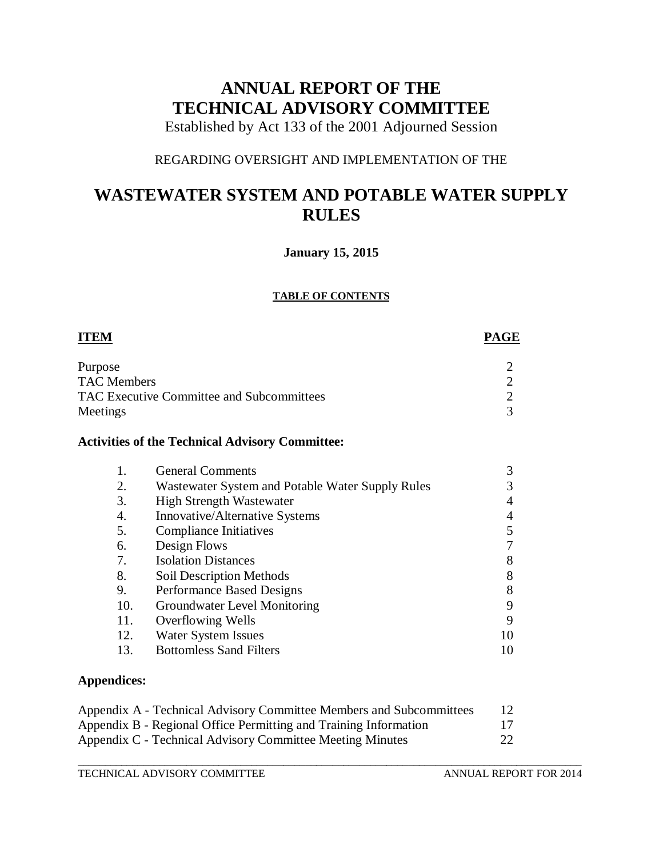# **ANNUAL REPORT OF THE TECHNICAL ADVISORY COMMITTEE**

Established by Act 133 of the 2001 Adjourned Session

# REGARDING OVERSIGHT AND IMPLEMENTATION OF THE

# **WASTEWATER SYSTEM AND POTABLE WATER SUPPLY RULES**

## **January 15, 2015**

### **TABLE OF CONTENTS**

| <b>ITEM</b>        |                                                        | PAGE           |
|--------------------|--------------------------------------------------------|----------------|
| Purpose            |                                                        | $\overline{2}$ |
| <b>TAC Members</b> |                                                        | $\overline{2}$ |
|                    | <b>TAC Executive Committee and Subcommittees</b>       | $\overline{2}$ |
| Meetings           |                                                        | 3              |
|                    | <b>Activities of the Technical Advisory Committee:</b> |                |
| 1.                 | <b>General Comments</b>                                | 3              |
| 2.                 | Wastewater System and Potable Water Supply Rules       | 3              |
| 3.                 | <b>High Strength Wastewater</b>                        | 4              |
| 4.                 | Innovative/Alternative Systems                         | 4              |
| 5.                 | <b>Compliance Initiatives</b>                          | 5              |
| 6.                 | Design Flows                                           | 7              |
| 7.                 | <b>Isolation Distances</b>                             | 8              |
| 8.                 | <b>Soil Description Methods</b>                        | 8              |
| 9.                 | Performance Based Designs                              | 8              |
| 10.                | Groundwater Level Monitoring                           | 9              |
| 11.                | Overflowing Wells                                      | 9              |
| 12.                | Water System Issues                                    | 10             |
| 13.                | <b>Bottomless Sand Filters</b>                         | 10             |
| Annendices:        |                                                        |                |

## **Appendices:**

| Appendix A - Technical Advisory Committee Members and Subcommittees |    |  |
|---------------------------------------------------------------------|----|--|
| Appendix B - Regional Office Permitting and Training Information    |    |  |
| Appendix C - Technical Advisory Committee Meeting Minutes           | 22 |  |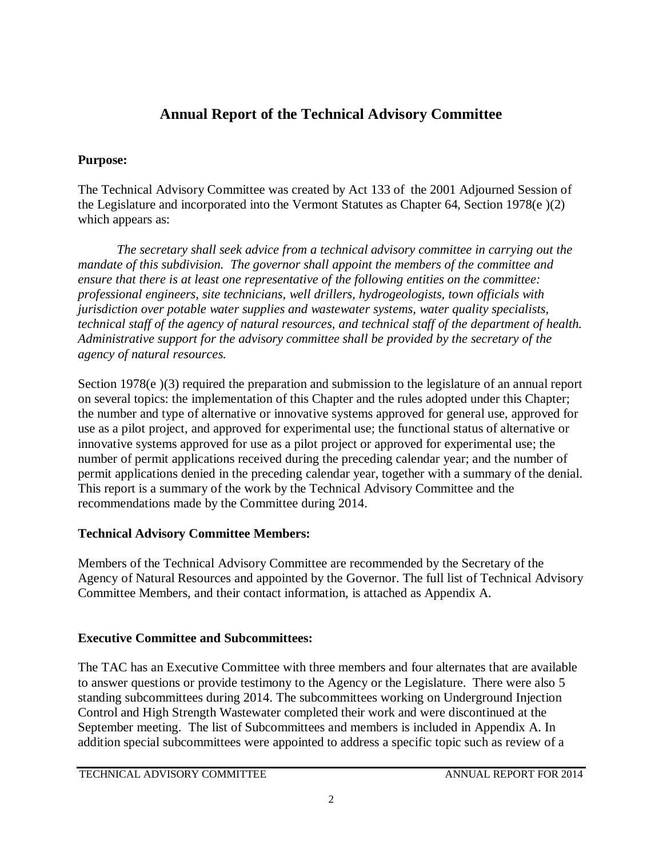# **Annual Report of the Technical Advisory Committee**

# **Purpose:**

The Technical Advisory Committee was created by Act 133 of the 2001 Adjourned Session of the Legislature and incorporated into the Vermont Statutes as Chapter 64, Section 1978(e )(2) which appears as:

*The secretary shall seek advice from a technical advisory committee in carrying out the mandate of this subdivision. The governor shall appoint the members of the committee and ensure that there is at least one representative of the following entities on the committee: professional engineers, site technicians, well drillers, hydrogeologists, town officials with jurisdiction over potable water supplies and wastewater systems, water quality specialists, technical staff of the agency of natural resources, and technical staff of the department of health. Administrative support for the advisory committee shall be provided by the secretary of the agency of natural resources.* 

Section 1978(e)(3) required the preparation and submission to the legislature of an annual report on several topics: the implementation of this Chapter and the rules adopted under this Chapter; the number and type of alternative or innovative systems approved for general use, approved for use as a pilot project, and approved for experimental use; the functional status of alternative or innovative systems approved for use as a pilot project or approved for experimental use; the number of permit applications received during the preceding calendar year; and the number of permit applications denied in the preceding calendar year, together with a summary of the denial. This report is a summary of the work by the Technical Advisory Committee and the recommendations made by the Committee during 2014.

# **Technical Advisory Committee Members:**

Members of the Technical Advisory Committee are recommended by the Secretary of the Agency of Natural Resources and appointed by the Governor. The full list of Technical Advisory Committee Members, and their contact information, is attached as Appendix A.

# **Executive Committee and Subcommittees:**

The TAC has an Executive Committee with three members and four alternates that are available to answer questions or provide testimony to the Agency or the Legislature. There were also 5 standing subcommittees during 2014. The subcommittees working on Underground Injection Control and High Strength Wastewater completed their work and were discontinued at the September meeting. The list of Subcommittees and members is included in Appendix A. In addition special subcommittees were appointed to address a specific topic such as review of a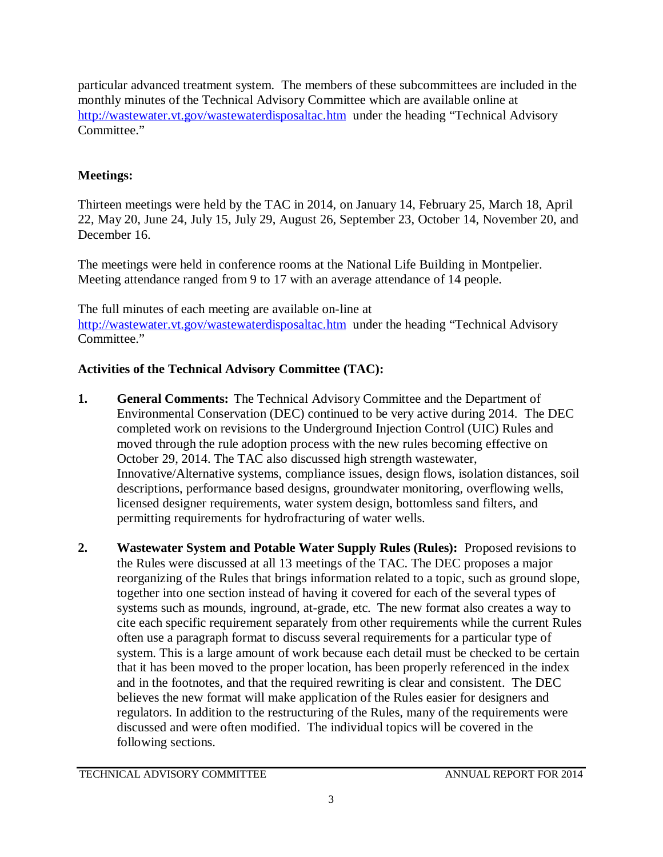particular advanced treatment system. The members of these subcommittees are included in the monthly minutes of the Technical Advisory Committee which are available online at <http://wastewater.vt.gov/wastewaterdisposaltac.htm> under the heading "Technical Advisory Committee."

# **Meetings:**

Thirteen meetings were held by the TAC in 2014, on January 14, February 25, March 18, April 22, May 20, June 24, July 15, July 29, August 26, September 23, October 14, November 20, and December 16.

The meetings were held in conference rooms at the National Life Building in Montpelier. Meeting attendance ranged from 9 to 17 with an average attendance of 14 people.

The full minutes of each meeting are available on-line at <http://wastewater.vt.gov/wastewaterdisposaltac.htm> under the heading "Technical Advisory Committee."

# **Activities of the Technical Advisory Committee (TAC):**

- **1. General Comments:** The Technical Advisory Committee and the Department of Environmental Conservation (DEC) continued to be very active during 2014. The DEC completed work on revisions to the Underground Injection Control (UIC) Rules and moved through the rule adoption process with the new rules becoming effective on October 29, 2014. The TAC also discussed high strength wastewater, Innovative/Alternative systems, compliance issues, design flows, isolation distances, soil descriptions, performance based designs, groundwater monitoring, overflowing wells, licensed designer requirements, water system design, bottomless sand filters, and permitting requirements for hydrofracturing of water wells.
- **2. Wastewater System and Potable Water Supply Rules (Rules):** Proposed revisions to the Rules were discussed at all 13 meetings of the TAC. The DEC proposes a major reorganizing of the Rules that brings information related to a topic, such as ground slope, together into one section instead of having it covered for each of the several types of systems such as mounds, inground, at-grade, etc. The new format also creates a way to cite each specific requirement separately from other requirements while the current Rules often use a paragraph format to discuss several requirements for a particular type of system. This is a large amount of work because each detail must be checked to be certain that it has been moved to the proper location, has been properly referenced in the index and in the footnotes, and that the required rewriting is clear and consistent. The DEC believes the new format will make application of the Rules easier for designers and regulators. In addition to the restructuring of the Rules, many of the requirements were discussed and were often modified. The individual topics will be covered in the following sections.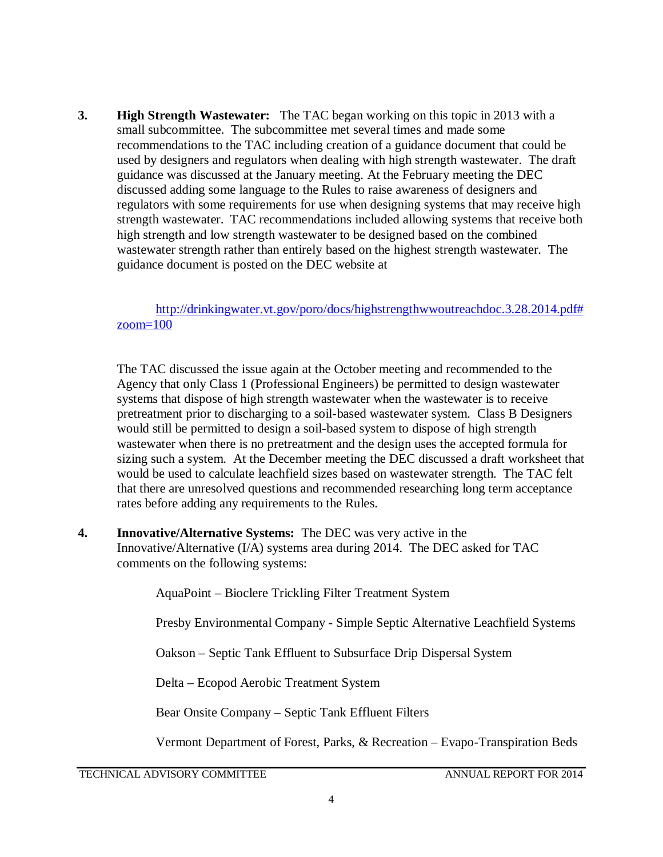**3. High Strength Wastewater:** The TAC began working on this topic in 2013 with a small subcommittee. The subcommittee met several times and made some recommendations to the TAC including creation of a guidance document that could be used by designers and regulators when dealing with high strength wastewater. The draft guidance was discussed at the January meeting. At the February meeting the DEC discussed adding some language to the Rules to raise awareness of designers and regulators with some requirements for use when designing systems that may receive high strength wastewater. TAC recommendations included allowing systems that receive both high strength and low strength wastewater to be designed based on the combined wastewater strength rather than entirely based on the highest strength wastewater. The guidance document is posted on the DEC website at

[http://drinkingwater.vt.gov/poro/docs/highstrengthwwoutreachdoc.3.28.2014.pdf#](http://drinkingwater.vt.gov/poro/docs/highstrengthwwoutreachdoc.3.28.2014.pdf%23zoom=100) [zoom=100](http://drinkingwater.vt.gov/poro/docs/highstrengthwwoutreachdoc.3.28.2014.pdf%23zoom=100)

The TAC discussed the issue again at the October meeting and recommended to the Agency that only Class 1 (Professional Engineers) be permitted to design wastewater systems that dispose of high strength wastewater when the wastewater is to receive pretreatment prior to discharging to a soil-based wastewater system. Class B Designers would still be permitted to design a soil-based system to dispose of high strength wastewater when there is no pretreatment and the design uses the accepted formula for sizing such a system. At the December meeting the DEC discussed a draft worksheet that would be used to calculate leachfield sizes based on wastewater strength. The TAC felt that there are unresolved questions and recommended researching long term acceptance rates before adding any requirements to the Rules.

**4. Innovative/Alternative Systems:** The DEC was very active in the Innovative/Alternative (I/A) systems area during 2014. The DEC asked for TAC comments on the following systems:

AquaPoint – Bioclere Trickling Filter Treatment System

Presby Environmental Company - Simple Septic Alternative Leachfield Systems

Oakson – Septic Tank Effluent to Subsurface Drip Dispersal System

Delta – Ecopod Aerobic Treatment System

Bear Onsite Company – Septic Tank Effluent Filters

Vermont Department of Forest, Parks, & Recreation – Evapo-Transpiration Beds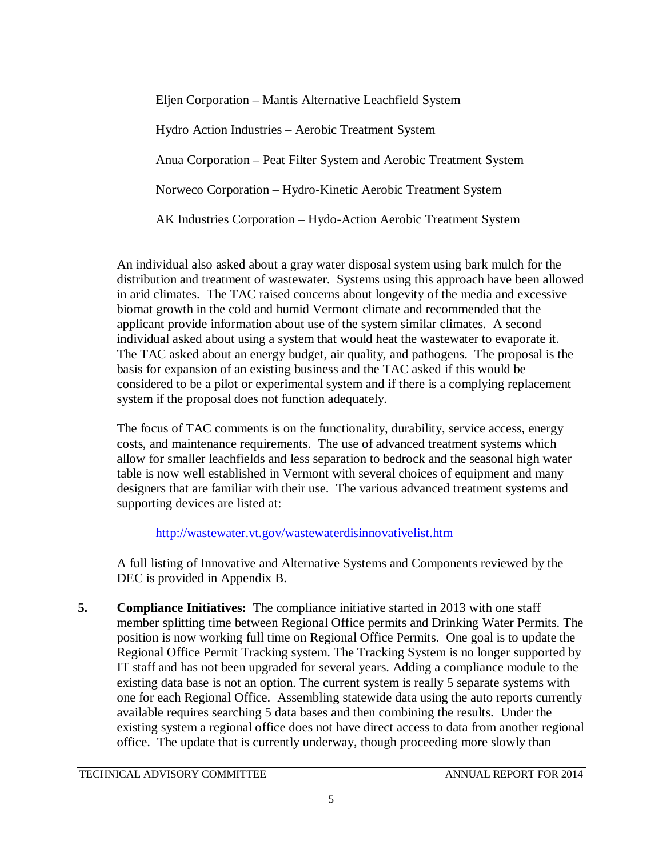Eljen Corporation – Mantis Alternative Leachfield System Hydro Action Industries – Aerobic Treatment System Anua Corporation – Peat Filter System and Aerobic Treatment System Norweco Corporation – Hydro-Kinetic Aerobic Treatment System AK Industries Corporation – Hydo-Action Aerobic Treatment System

An individual also asked about a gray water disposal system using bark mulch for the distribution and treatment of wastewater. Systems using this approach have been allowed in arid climates. The TAC raised concerns about longevity of the media and excessive biomat growth in the cold and humid Vermont climate and recommended that the applicant provide information about use of the system similar climates. A second individual asked about using a system that would heat the wastewater to evaporate it. The TAC asked about an energy budget, air quality, and pathogens. The proposal is the basis for expansion of an existing business and the TAC asked if this would be considered to be a pilot or experimental system and if there is a complying replacement system if the proposal does not function adequately.

The focus of TAC comments is on the functionality, durability, service access, energy costs, and maintenance requirements. The use of advanced treatment systems which allow for smaller leachfields and less separation to bedrock and the seasonal high water table is now well established in Vermont with several choices of equipment and many designers that are familiar with their use. The various advanced treatment systems and supporting devices are listed at:

<http://wastewater.vt.gov/wastewaterdisinnovativelist.htm>

A full listing of Innovative and Alternative Systems and Components reviewed by the DEC is provided in Appendix B.

**5. Compliance Initiatives:** The compliance initiative started in 2013 with one staff member splitting time between Regional Office permits and Drinking Water Permits. The position is now working full time on Regional Office Permits. One goal is to update the Regional Office Permit Tracking system. The Tracking System is no longer supported by IT staff and has not been upgraded for several years. Adding a compliance module to the existing data base is not an option. The current system is really 5 separate systems with one for each Regional Office. Assembling statewide data using the auto reports currently available requires searching 5 data bases and then combining the results. Under the existing system a regional office does not have direct access to data from another regional office. The update that is currently underway, though proceeding more slowly than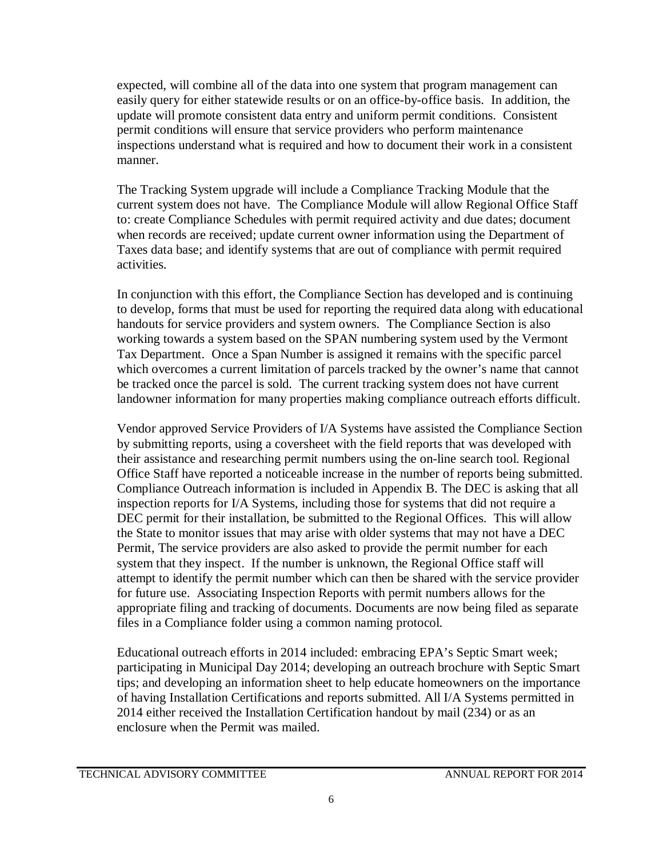expected, will combine all of the data into one system that program management can easily query for either statewide results or on an office-by-office basis. In addition, the update will promote consistent data entry and uniform permit conditions. Consistent permit conditions will ensure that service providers who perform maintenance inspections understand what is required and how to document their work in a consistent manner.

The Tracking System upgrade will include a Compliance Tracking Module that the current system does not have. The Compliance Module will allow Regional Office Staff to: create Compliance Schedules with permit required activity and due dates; document when records are received; update current owner information using the Department of Taxes data base; and identify systems that are out of compliance with permit required activities.

In conjunction with this effort, the Compliance Section has developed and is continuing to develop, forms that must be used for reporting the required data along with educational handouts for service providers and system owners. The Compliance Section is also working towards a system based on the SPAN numbering system used by the Vermont Tax Department. Once a Span Number is assigned it remains with the specific parcel which overcomes a current limitation of parcels tracked by the owner's name that cannot be tracked once the parcel is sold. The current tracking system does not have current landowner information for many properties making compliance outreach efforts difficult.

Vendor approved Service Providers of I/A Systems have assisted the Compliance Section by submitting reports, using a coversheet with the field reports that was developed with their assistance and researching permit numbers using the on-line search tool. Regional Office Staff have reported a noticeable increase in the number of reports being submitted. Compliance Outreach information is included in Appendix B. The DEC is asking that all inspection reports for I/A Systems, including those for systems that did not require a DEC permit for their installation, be submitted to the Regional Offices. This will allow the State to monitor issues that may arise with older systems that may not have a DEC Permit, The service providers are also asked to provide the permit number for each system that they inspect. If the number is unknown, the Regional Office staff will attempt to identify the permit number which can then be shared with the service provider for future use. Associating Inspection Reports with permit numbers allows for the appropriate filing and tracking of documents. Documents are now being filed as separate files in a Compliance folder using a common naming protocol.

Educational outreach efforts in 2014 included: embracing EPA's Septic Smart week; participating in Municipal Day 2014; developing an outreach brochure with Septic Smart tips; and developing an information sheet to help educate homeowners on the importance of having Installation Certifications and reports submitted. All I/A Systems permitted in 2014 either received the Installation Certification handout by mail (234) or as an enclosure when the Permit was mailed.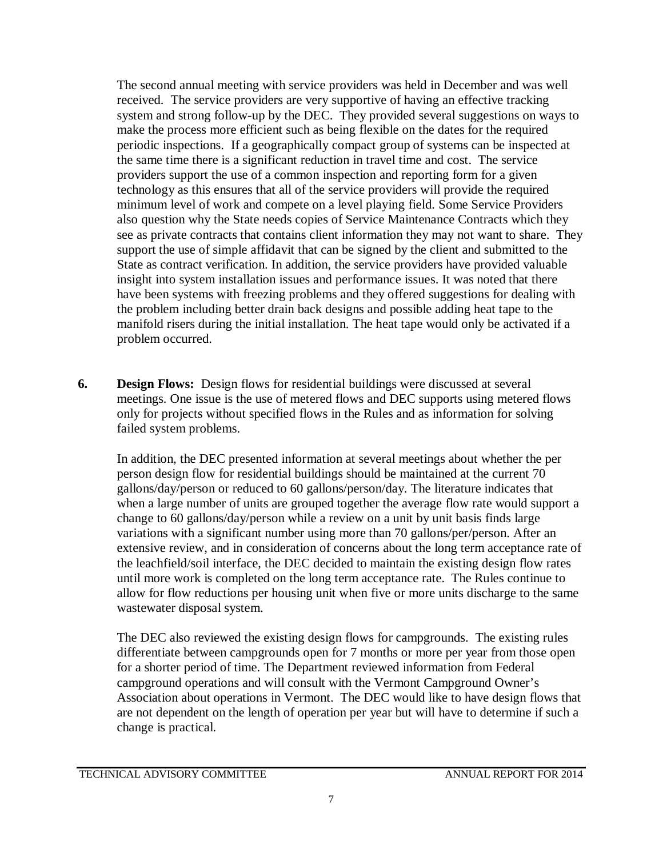The second annual meeting with service providers was held in December and was well received. The service providers are very supportive of having an effective tracking system and strong follow-up by the DEC. They provided several suggestions on ways to make the process more efficient such as being flexible on the dates for the required periodic inspections. If a geographically compact group of systems can be inspected at the same time there is a significant reduction in travel time and cost. The service providers support the use of a common inspection and reporting form for a given technology as this ensures that all of the service providers will provide the required minimum level of work and compete on a level playing field. Some Service Providers also question why the State needs copies of Service Maintenance Contracts which they see as private contracts that contains client information they may not want to share. They support the use of simple affidavit that can be signed by the client and submitted to the State as contract verification. In addition, the service providers have provided valuable insight into system installation issues and performance issues. It was noted that there have been systems with freezing problems and they offered suggestions for dealing with the problem including better drain back designs and possible adding heat tape to the manifold risers during the initial installation. The heat tape would only be activated if a problem occurred.

**6. Design Flows:** Design flows for residential buildings were discussed at several meetings. One issue is the use of metered flows and DEC supports using metered flows only for projects without specified flows in the Rules and as information for solving failed system problems.

In addition, the DEC presented information at several meetings about whether the per person design flow for residential buildings should be maintained at the current 70 gallons/day/person or reduced to 60 gallons/person/day. The literature indicates that when a large number of units are grouped together the average flow rate would support a change to 60 gallons/day/person while a review on a unit by unit basis finds large variations with a significant number using more than 70 gallons/per/person. After an extensive review, and in consideration of concerns about the long term acceptance rate of the leachfield/soil interface, the DEC decided to maintain the existing design flow rates until more work is completed on the long term acceptance rate. The Rules continue to allow for flow reductions per housing unit when five or more units discharge to the same wastewater disposal system.

The DEC also reviewed the existing design flows for campgrounds. The existing rules differentiate between campgrounds open for 7 months or more per year from those open for a shorter period of time. The Department reviewed information from Federal campground operations and will consult with the Vermont Campground Owner's Association about operations in Vermont. The DEC would like to have design flows that are not dependent on the length of operation per year but will have to determine if such a change is practical.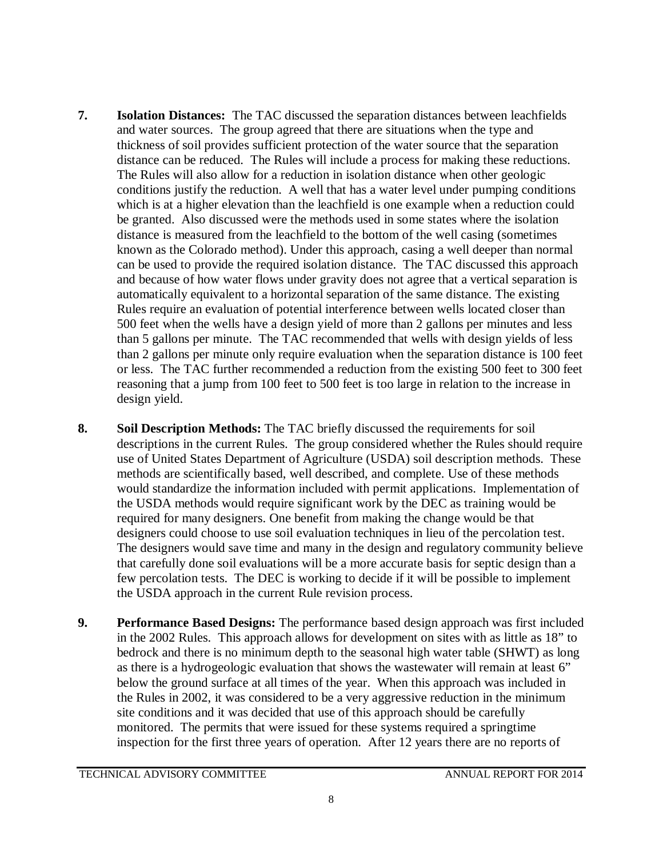- **7. Isolation Distances:** The TAC discussed the separation distances between leachfields and water sources. The group agreed that there are situations when the type and thickness of soil provides sufficient protection of the water source that the separation distance can be reduced. The Rules will include a process for making these reductions. The Rules will also allow for a reduction in isolation distance when other geologic conditions justify the reduction. A well that has a water level under pumping conditions which is at a higher elevation than the leachfield is one example when a reduction could be granted. Also discussed were the methods used in some states where the isolation distance is measured from the leachfield to the bottom of the well casing (sometimes known as the Colorado method). Under this approach, casing a well deeper than normal can be used to provide the required isolation distance. The TAC discussed this approach and because of how water flows under gravity does not agree that a vertical separation is automatically equivalent to a horizontal separation of the same distance. The existing Rules require an evaluation of potential interference between wells located closer than 500 feet when the wells have a design yield of more than 2 gallons per minutes and less than 5 gallons per minute. The TAC recommended that wells with design yields of less than 2 gallons per minute only require evaluation when the separation distance is 100 feet or less. The TAC further recommended a reduction from the existing 500 feet to 300 feet reasoning that a jump from 100 feet to 500 feet is too large in relation to the increase in design yield.
- **8. Soil Description Methods:** The TAC briefly discussed the requirements for soil descriptions in the current Rules. The group considered whether the Rules should require use of United States Department of Agriculture (USDA) soil description methods. These methods are scientifically based, well described, and complete. Use of these methods would standardize the information included with permit applications. Implementation of the USDA methods would require significant work by the DEC as training would be required for many designers. One benefit from making the change would be that designers could choose to use soil evaluation techniques in lieu of the percolation test. The designers would save time and many in the design and regulatory community believe that carefully done soil evaluations will be a more accurate basis for septic design than a few percolation tests. The DEC is working to decide if it will be possible to implement the USDA approach in the current Rule revision process.
- **9. Performance Based Designs:** The performance based design approach was first included in the 2002 Rules. This approach allows for development on sites with as little as 18" to bedrock and there is no minimum depth to the seasonal high water table (SHWT) as long as there is a hydrogeologic evaluation that shows the wastewater will remain at least 6" below the ground surface at all times of the year. When this approach was included in the Rules in 2002, it was considered to be a very aggressive reduction in the minimum site conditions and it was decided that use of this approach should be carefully monitored. The permits that were issued for these systems required a springtime inspection for the first three years of operation. After 12 years there are no reports of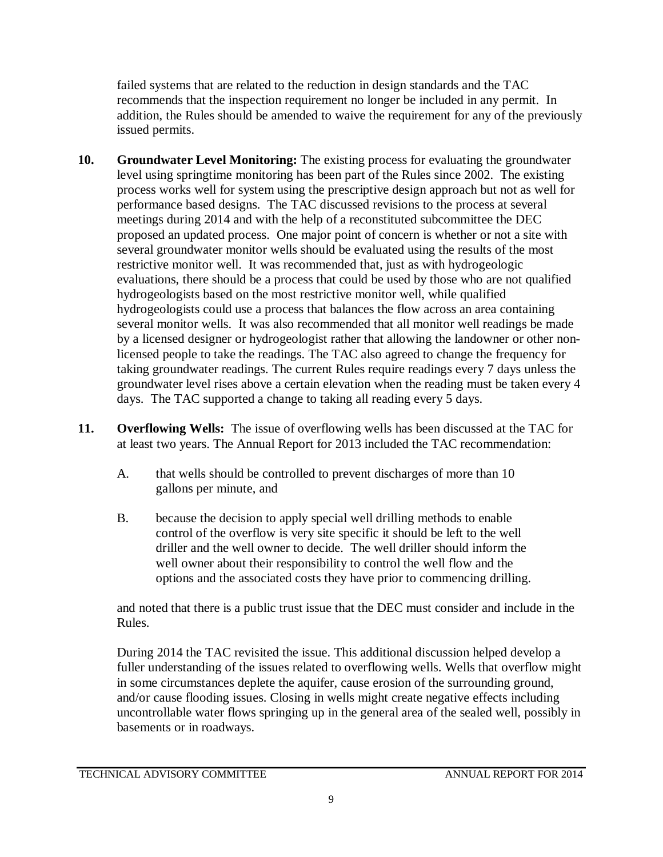failed systems that are related to the reduction in design standards and the TAC recommends that the inspection requirement no longer be included in any permit. In addition, the Rules should be amended to waive the requirement for any of the previously issued permits.

- **10. Groundwater Level Monitoring:** The existing process for evaluating the groundwater level using springtime monitoring has been part of the Rules since 2002. The existing process works well for system using the prescriptive design approach but not as well for performance based designs. The TAC discussed revisions to the process at several meetings during 2014 and with the help of a reconstituted subcommittee the DEC proposed an updated process. One major point of concern is whether or not a site with several groundwater monitor wells should be evaluated using the results of the most restrictive monitor well. It was recommended that, just as with hydrogeologic evaluations, there should be a process that could be used by those who are not qualified hydrogeologists based on the most restrictive monitor well, while qualified hydrogeologists could use a process that balances the flow across an area containing several monitor wells. It was also recommended that all monitor well readings be made by a licensed designer or hydrogeologist rather that allowing the landowner or other nonlicensed people to take the readings. The TAC also agreed to change the frequency for taking groundwater readings. The current Rules require readings every 7 days unless the groundwater level rises above a certain elevation when the reading must be taken every 4 days. The TAC supported a change to taking all reading every 5 days.
- **11. Overflowing Wells:** The issue of overflowing wells has been discussed at the TAC for at least two years. The Annual Report for 2013 included the TAC recommendation:
	- A. that wells should be controlled to prevent discharges of more than 10 gallons per minute, and
	- B. because the decision to apply special well drilling methods to enable control of the overflow is very site specific it should be left to the well driller and the well owner to decide. The well driller should inform the well owner about their responsibility to control the well flow and the options and the associated costs they have prior to commencing drilling.

and noted that there is a public trust issue that the DEC must consider and include in the Rules.

During 2014 the TAC revisited the issue. This additional discussion helped develop a fuller understanding of the issues related to overflowing wells. Wells that overflow might in some circumstances deplete the aquifer, cause erosion of the surrounding ground, and/or cause flooding issues. Closing in wells might create negative effects including uncontrollable water flows springing up in the general area of the sealed well, possibly in basements or in roadways.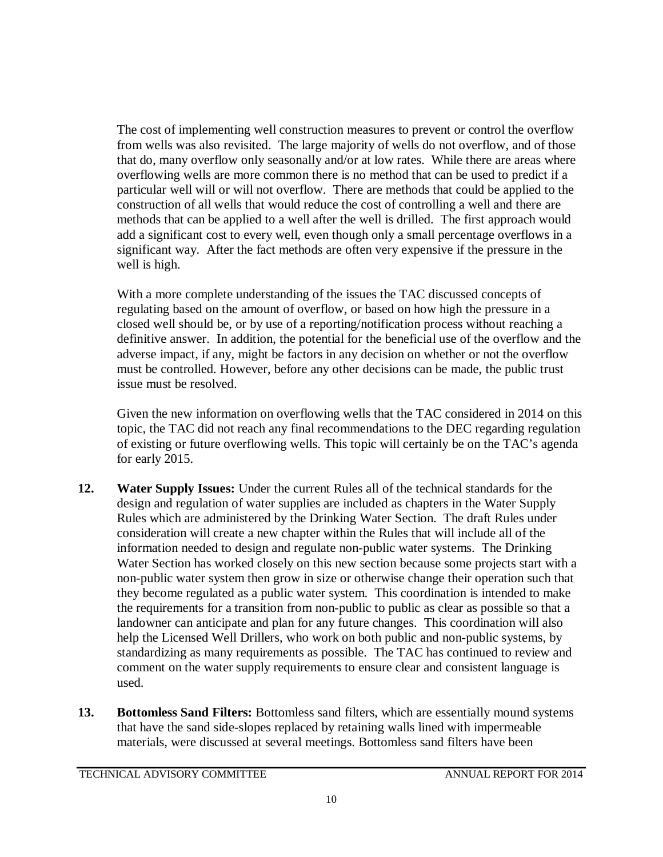The cost of implementing well construction measures to prevent or control the overflow from wells was also revisited. The large majority of wells do not overflow, and of those that do, many overflow only seasonally and/or at low rates. While there are areas where overflowing wells are more common there is no method that can be used to predict if a particular well will or will not overflow. There are methods that could be applied to the construction of all wells that would reduce the cost of controlling a well and there are methods that can be applied to a well after the well is drilled. The first approach would add a significant cost to every well, even though only a small percentage overflows in a significant way. After the fact methods are often very expensive if the pressure in the well is high.

With a more complete understanding of the issues the TAC discussed concepts of regulating based on the amount of overflow, or based on how high the pressure in a closed well should be, or by use of a reporting/notification process without reaching a definitive answer. In addition, the potential for the beneficial use of the overflow and the adverse impact, if any, might be factors in any decision on whether or not the overflow must be controlled. However, before any other decisions can be made, the public trust issue must be resolved.

Given the new information on overflowing wells that the TAC considered in 2014 on this topic, the TAC did not reach any final recommendations to the DEC regarding regulation of existing or future overflowing wells. This topic will certainly be on the TAC's agenda for early 2015.

- **12. Water Supply Issues:** Under the current Rules all of the technical standards for the design and regulation of water supplies are included as chapters in the Water Supply Rules which are administered by the Drinking Water Section. The draft Rules under consideration will create a new chapter within the Rules that will include all of the information needed to design and regulate non-public water systems. The Drinking Water Section has worked closely on this new section because some projects start with a non-public water system then grow in size or otherwise change their operation such that they become regulated as a public water system. This coordination is intended to make the requirements for a transition from non-public to public as clear as possible so that a landowner can anticipate and plan for any future changes. This coordination will also help the Licensed Well Drillers, who work on both public and non-public systems, by standardizing as many requirements as possible. The TAC has continued to review and comment on the water supply requirements to ensure clear and consistent language is used.
- **13. Bottomless Sand Filters:** Bottomless sand filters, which are essentially mound systems that have the sand side-slopes replaced by retaining walls lined with impermeable materials, were discussed at several meetings. Bottomless sand filters have been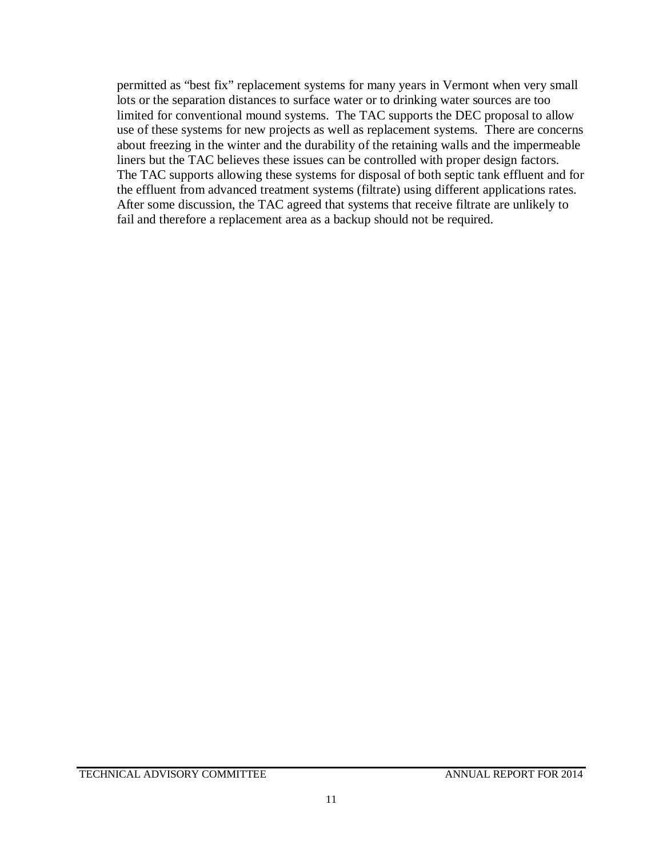permitted as "best fix" replacement systems for many years in Vermont when very small lots or the separation distances to surface water or to drinking water sources are too limited for conventional mound systems. The TAC supports the DEC proposal to allow use of these systems for new projects as well as replacement systems. There are concerns about freezing in the winter and the durability of the retaining walls and the impermeable liners but the TAC believes these issues can be controlled with proper design factors. The TAC supports allowing these systems for disposal of both septic tank effluent and for the effluent from advanced treatment systems (filtrate) using different applications rates. After some discussion, the TAC agreed that systems that receive filtrate are unlikely to fail and therefore a replacement area as a backup should not be required.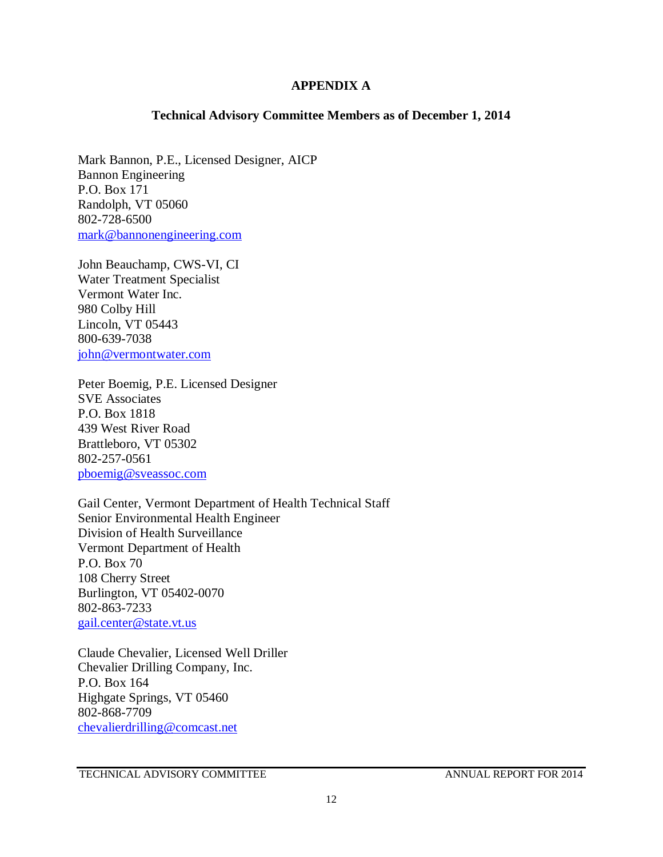### **APPENDIX A**

### **Technical Advisory Committee Members as of December 1, 2014**

Mark Bannon, P.E., Licensed Designer, AICP Bannon Engineering P.O. Box 171 Randolph, VT 05060 802-728-6500 [mark@bannonengineering.com](mailto:mark@bannonengineering.com)

John Beauchamp, CWS-VI, CI Water Treatment Specialist Vermont Water Inc. 980 Colby Hill Lincoln, VT 05443 800-639-7038 [john@vermontwater.com](mailto:john@vermontwater.com)

Peter Boemig, P.E. Licensed Designer SVE Associates P.O. Box 1818 439 West River Road Brattleboro, VT 05302 802-257-0561 [pboemig@sveassoc.com](mailto:pboemig@sveassoc.com)

Gail Center, Vermont Department of Health Technical Staff Senior Environmental Health Engineer Division of Health Surveillance Vermont Department of Health P.O. Box 70 108 Cherry Street Burlington, VT 05402-0070 802-863-7233 [gail.center@state.vt.us](mailto:gail.center@state.vt.us)

Claude Chevalier, Licensed Well Driller Chevalier Drilling Company, Inc. P.O. Box 164 Highgate Springs, VT 05460 802-868-7709 [chevalierdrilling@comcast.net](mailto:chevalierdrilling@comcast.net)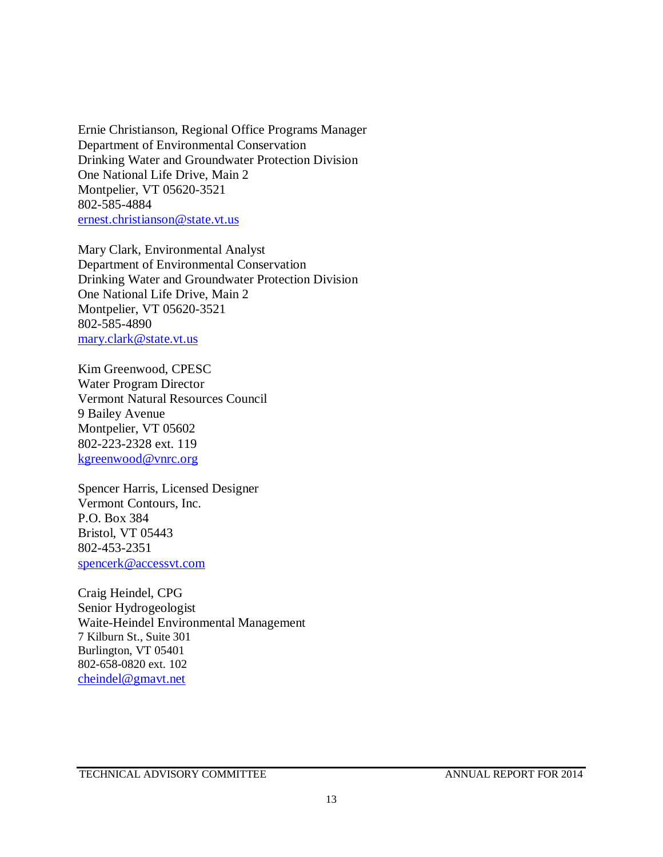Ernie Christianson, Regional Office Programs Manager Department of Environmental Conservation Drinking Water and Groundwater Protection Division One National Life Drive, Main 2 Montpelier, VT 05620-3521 802-585-4884 [ernest.christianson@state.vt.us](mailto:ernest.christianson@state.vt.us)

Mary Clark, Environmental Analyst Department of Environmental Conservation Drinking Water and Groundwater Protection Division One National Life Drive, Main 2 Montpelier, VT 05620-3521 802-585-4890 [mary.clark@state.vt.us](mailto:mary.clark@state.vt.us)

Kim Greenwood, CPESC Water Program Director Vermont Natural Resources Council 9 Bailey Avenue Montpelier, VT 05602 802-223-2328 ext. 119 [kgreenwood@vnrc.org](mailto:kgreenwood@vnrc.org)

Spencer Harris, Licensed Designer Vermont Contours, Inc. P.O. Box 384 Bristol, VT 05443 802-453-2351 [spencerk@accessvt.com](mailto:spencerk@accessvt.com)

Craig Heindel, CPG Senior Hydrogeologist Waite-Heindel Environmental Management 7 Kilburn St., Suite 301 Burlington, VT 05401 802-658-0820 ext. 102 [cheindel@gmavt.net](mailto:cheindel@gmavt.net)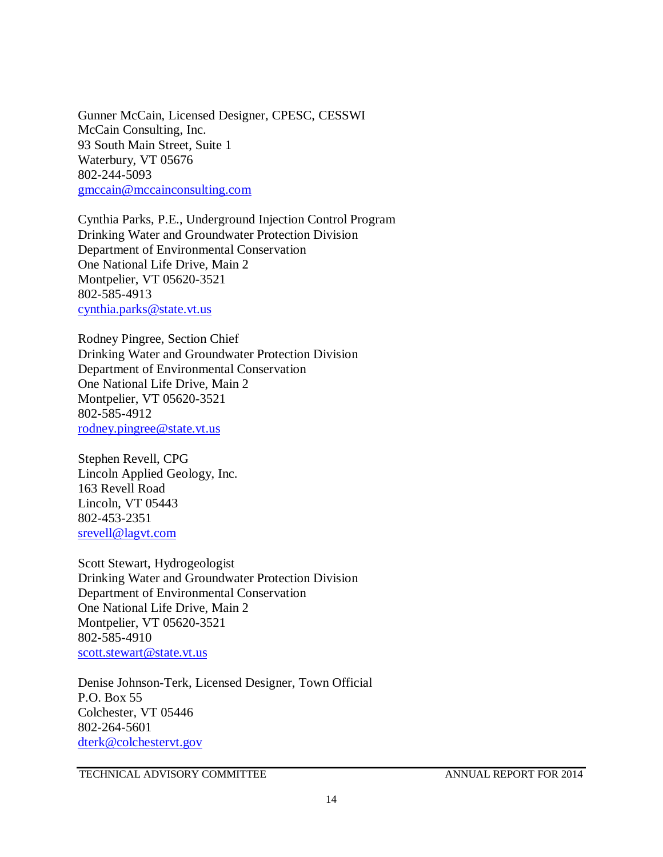Gunner McCain, Licensed Designer, CPESC, CESSWI McCain Consulting, Inc. 93 South Main Street, Suite 1 Waterbury, VT 05676 802-244-5093 [gmccain@mccainconsulting.com](mailto:gmccain@mccainconsulting.com)

Cynthia Parks, P.E., Underground Injection Control Program Drinking Water and Groundwater Protection Division Department of Environmental Conservation One National Life Drive, Main 2 Montpelier, VT 05620-3521 802-585-4913 [cynthia.parks@state.vt.us](mailto:cynthia.parks@state.vt.us)

Rodney Pingree, Section Chief Drinking Water and Groundwater Protection Division Department of Environmental Conservation One National Life Drive, Main 2 Montpelier, VT 05620-3521 802-585-4912 [rodney.pingree@state.vt.us](mailto:rodney.pingree@state.vt.us)

Stephen Revell, CPG Lincoln Applied Geology, Inc. 163 Revell Road Lincoln, VT 05443 802-453-2351 [srevell@lagvt.com](mailto:srevell@lagvt.com)

Scott Stewart, Hydrogeologist Drinking Water and Groundwater Protection Division Department of Environmental Conservation One National Life Drive, Main 2 Montpelier, VT 05620-3521 802-585-4910 [scott.stewart@state.vt.us](mailto:scott.stewart@state.vt.us)

Denise Johnson-Terk, Licensed Designer, Town Official P.O. Box 55 Colchester, VT 05446 802-264-5601 [dterk@colchestervt.gov](mailto:dterk@colchestervt.gov)

TECHNICAL ADVISORY COMMITTEE ANNUAL REPORT FOR 2014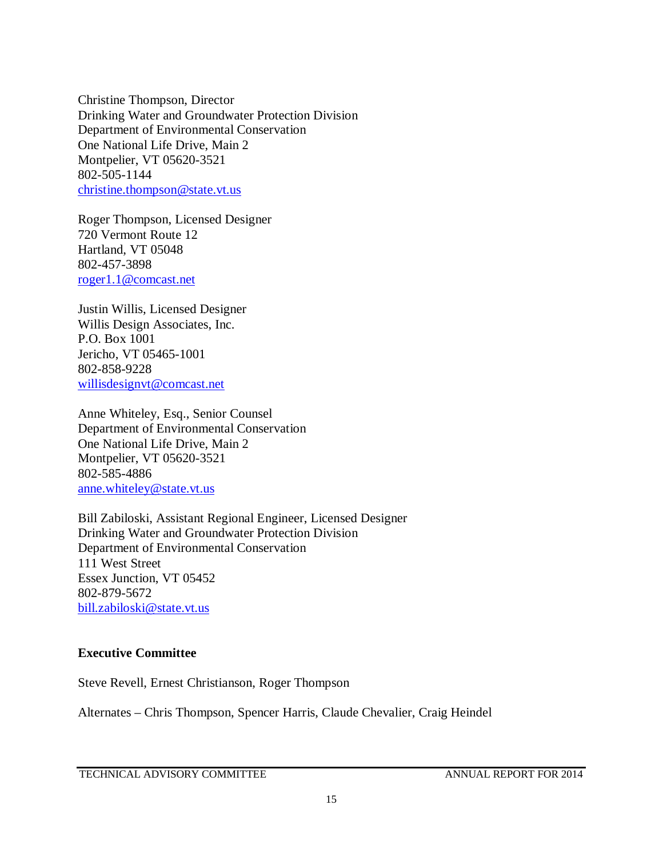Christine Thompson, Director Drinking Water and Groundwater Protection Division Department of Environmental Conservation One National Life Drive, Main 2 Montpelier, VT 05620-3521 802-505-1144 [christine.thompson@state.vt.us](mailto:christine.thompson@state.vt.us)

Roger Thompson, Licensed Designer 720 Vermont Route 12 Hartland, VT 05048 802-457-3898 [roger1.1@comcast.net](mailto:roger1.1@comcast.net)

Justin Willis, Licensed Designer Willis Design Associates, Inc. P.O. Box 1001 Jericho, VT 05465-1001 802-858-9228 [willisdesignvt@comcast.net](mailto:willisdesignvt@comcast.net)

Anne Whiteley, Esq., Senior Counsel Department of Environmental Conservation One National Life Drive, Main 2 Montpelier, VT 05620-3521 802-585-4886 [anne.whiteley@state.vt.us](mailto:anne.whiteley@state.vt.us)

Bill Zabiloski, Assistant Regional Engineer, Licensed Designer Drinking Water and Groundwater Protection Division Department of Environmental Conservation 111 West Street Essex Junction, VT 05452 802-879-5672 [bill.zabiloski@state.vt.us](mailto:bill.zabiloski@state.vt.us)

### **Executive Committee**

Steve Revell, Ernest Christianson, Roger Thompson

Alternates – Chris Thompson, Spencer Harris, Claude Chevalier, Craig Heindel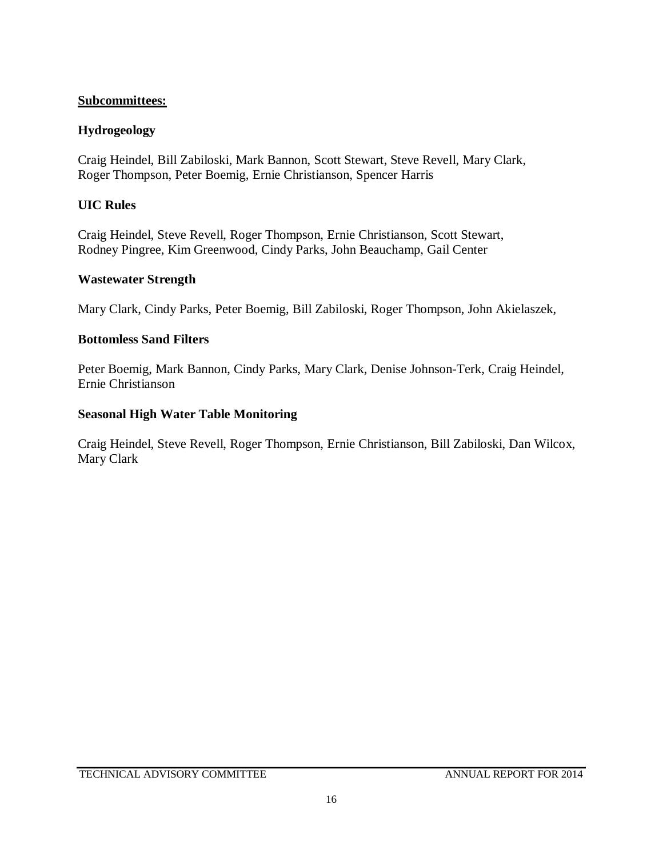## **Subcommittees:**

## **Hydrogeology**

Craig Heindel, Bill Zabiloski, Mark Bannon, Scott Stewart, Steve Revell, Mary Clark, Roger Thompson, Peter Boemig, Ernie Christianson, Spencer Harris

## **UIC Rules**

Craig Heindel, Steve Revell, Roger Thompson, Ernie Christianson, Scott Stewart, Rodney Pingree, Kim Greenwood, Cindy Parks, John Beauchamp, Gail Center

## **Wastewater Strength**

Mary Clark, Cindy Parks, Peter Boemig, Bill Zabiloski, Roger Thompson, John Akielaszek,

## **Bottomless Sand Filters**

Peter Boemig, Mark Bannon, Cindy Parks, Mary Clark, Denise Johnson-Terk, Craig Heindel, Ernie Christianson

## **Seasonal High Water Table Monitoring**

Craig Heindel, Steve Revell, Roger Thompson, Ernie Christianson, Bill Zabiloski, Dan Wilcox, Mary Clark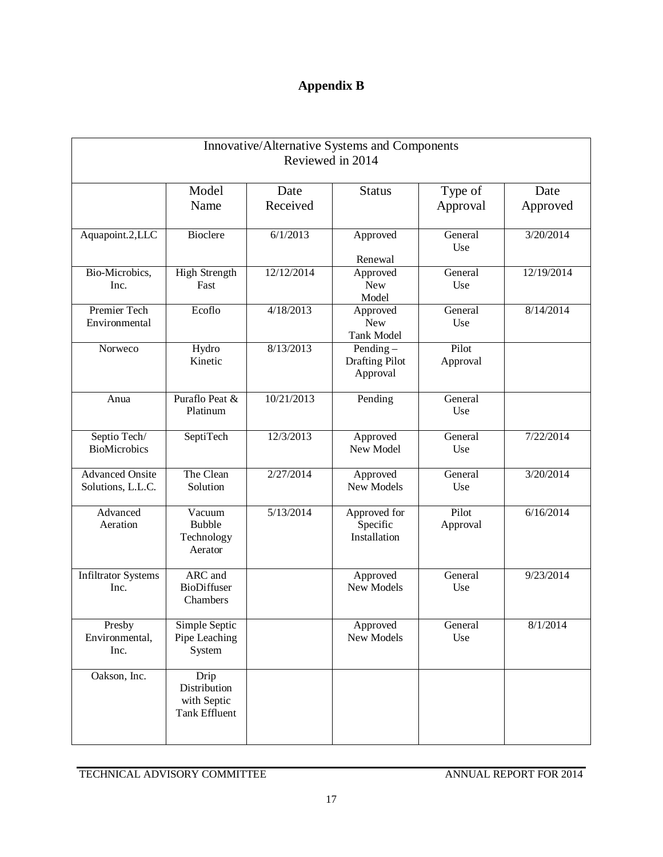# **Appendix B**

| Innovative/Alternative Systems and Components<br>Reviewed in 2014 |                                                      |                  |                                                  |                     |                  |
|-------------------------------------------------------------------|------------------------------------------------------|------------------|--------------------------------------------------|---------------------|------------------|
|                                                                   | Model<br>Name                                        | Date<br>Received | <b>Status</b>                                    | Type of<br>Approval | Date<br>Approved |
| Aquapoint.2,LLC                                                   | <b>Bioclere</b>                                      | 6/1/2013         | Approved<br>Renewal                              | General<br>Use      | 3/20/2014        |
| Bio-Microbics,<br>Inc.                                            | <b>High Strength</b><br>Fast                         | 12/12/2014       | Approved<br><b>New</b><br>Model                  | General<br>Use      | 12/19/2014       |
| Premier Tech<br>Environmental                                     | Ecoflo                                               | 4/18/2013        | Approved<br><b>New</b><br><b>Tank Model</b>      | General<br>Use      | 8/14/2014        |
| Norweco                                                           | Hydro<br>Kinetic                                     | 8/13/2013        | Pending $-$<br><b>Drafting Pilot</b><br>Approval | Pilot<br>Approval   |                  |
| Anua                                                              | Puraflo Peat &<br>Platinum                           | 10/21/2013       | Pending                                          | General<br>Use      |                  |
| Septio Tech/<br><b>BioMicrobics</b>                               | SeptiTech                                            | 12/3/2013        | Approved<br>New Model                            | General<br>Use      | 7/22/2014        |
| <b>Advanced Onsite</b><br>Solutions, L.L.C.                       | The Clean<br>Solution                                | 2/27/2014        | Approved<br>New Models                           | General<br>Use      | 3/20/2014        |
| Advanced<br>Aeration                                              | Vacuum<br><b>Bubble</b><br>Technology<br>Aerator     | 5/13/2014        | Approved for<br>Specific<br>Installation         | Pilot<br>Approval   | 6/16/2014        |
| <b>Infiltrator Systems</b><br>Inc.                                | ARC and<br><b>BioDiffuser</b><br>Chambers            |                  | Approved<br>New Models                           | General<br>Use      | 9/23/2014        |
| Presby<br>Environmental,<br>Inc.                                  | Simple Septic<br>Pipe Leaching<br>System             |                  | Approved<br>New Models                           | General<br>Use      | 8/1/2014         |
| Oakson, Inc.                                                      | Drip<br>Distribution<br>with Septic<br>Tank Effluent |                  |                                                  |                     |                  |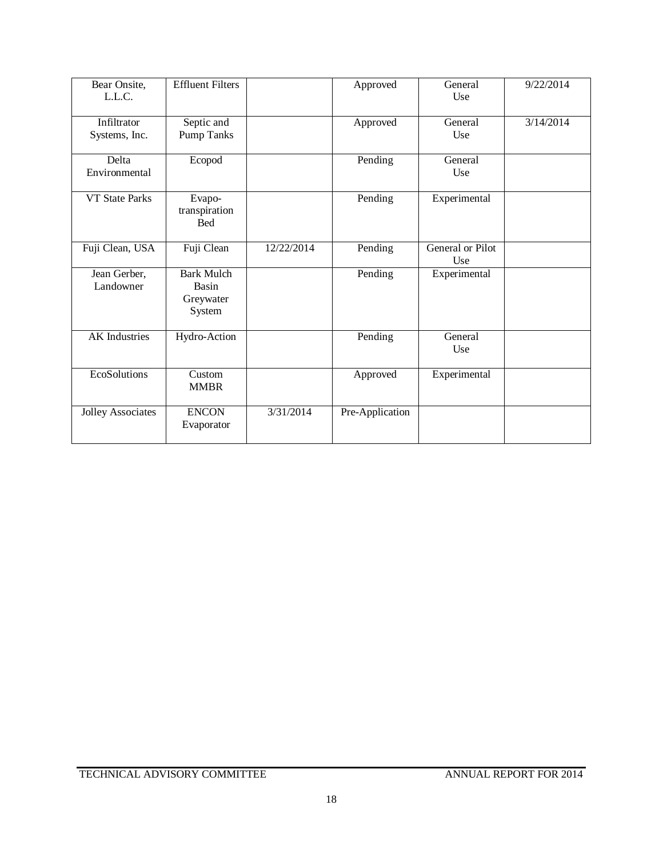| Bear Onsite,<br>L.L.C.       | <b>Effluent Filters</b>                           |            | Approved        | General<br>Use          | 9/22/2014 |
|------------------------------|---------------------------------------------------|------------|-----------------|-------------------------|-----------|
| Infiltrator<br>Systems, Inc. | Septic and<br><b>Pump Tanks</b>                   |            | Approved        | General<br>Use          | 3/14/2014 |
| Delta<br>Environmental       | Ecopod                                            |            | Pending         | General<br>Use          |           |
| <b>VT State Parks</b>        | Evapo-<br>transpiration<br><b>Bed</b>             |            | Pending         | Experimental            |           |
| Fuji Clean, USA              | Fuji Clean                                        | 12/22/2014 | Pending         | General or Pilot<br>Use |           |
| Jean Gerber,<br>Landowner    | <b>Bark Mulch</b><br>Basin<br>Greywater<br>System |            | Pending         | Experimental            |           |
| <b>AK</b> Industries         | Hydro-Action                                      |            | Pending         | General<br>Use          |           |
| EcoSolutions                 | Custom<br><b>MMBR</b>                             |            | Approved        | Experimental            |           |
| <b>Jolley Associates</b>     | <b>ENCON</b><br>Evaporator                        | 3/31/2014  | Pre-Application |                         |           |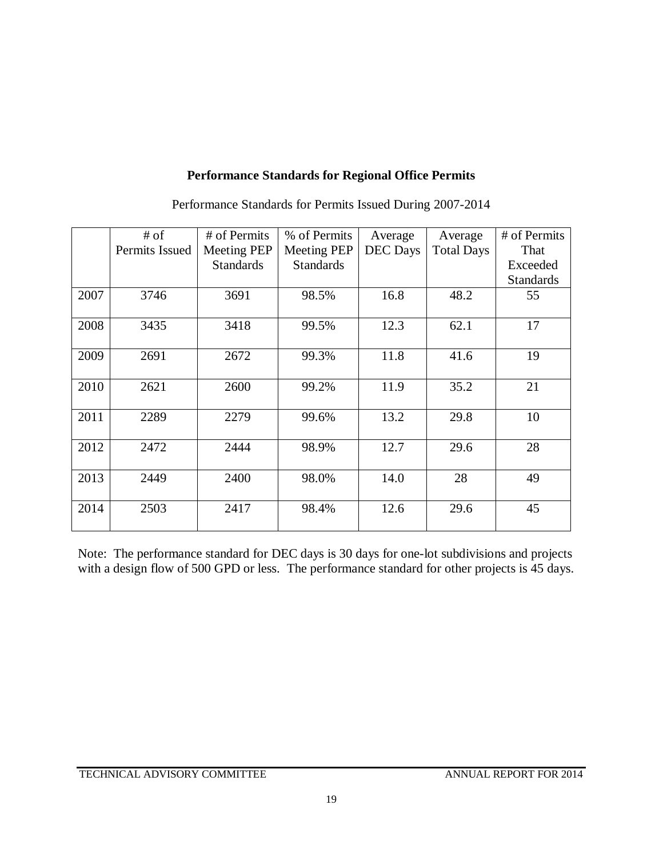# **Performance Standards for Regional Office Permits**

|      | # of<br>Permits Issued | # of Permits<br>Meeting PEP | % of Permits<br><b>Meeting PEP</b> | Average<br><b>DEC</b> Days | Average<br><b>Total Days</b> | # of Permits<br>That |
|------|------------------------|-----------------------------|------------------------------------|----------------------------|------------------------------|----------------------|
|      |                        | <b>Standards</b>            | <b>Standards</b>                   |                            |                              | Exceeded             |
|      |                        |                             |                                    |                            |                              | <b>Standards</b>     |
| 2007 | 3746                   | 3691                        | 98.5%                              | 16.8                       | 48.2                         | 55                   |
| 2008 | 3435                   | 3418                        | 99.5%                              | 12.3                       | 62.1                         | 17                   |
| 2009 | 2691                   | 2672                        | 99.3%                              | 11.8                       | 41.6                         | 19                   |
| 2010 | 2621                   | 2600                        | 99.2%                              | 11.9                       | 35.2                         | 21                   |
| 2011 | 2289                   | 2279                        | 99.6%                              | 13.2                       | 29.8                         | 10                   |
| 2012 | 2472                   | 2444                        | 98.9%                              | 12.7                       | 29.6                         | 28                   |
| 2013 | 2449                   | 2400                        | 98.0%                              | 14.0                       | 28                           | 49                   |
| 2014 | 2503                   | 2417                        | 98.4%                              | 12.6                       | 29.6                         | 45                   |

Performance Standards for Permits Issued During 2007-2014

Note: The performance standard for DEC days is 30 days for one-lot subdivisions and projects with a design flow of 500 GPD or less. The performance standard for other projects is 45 days.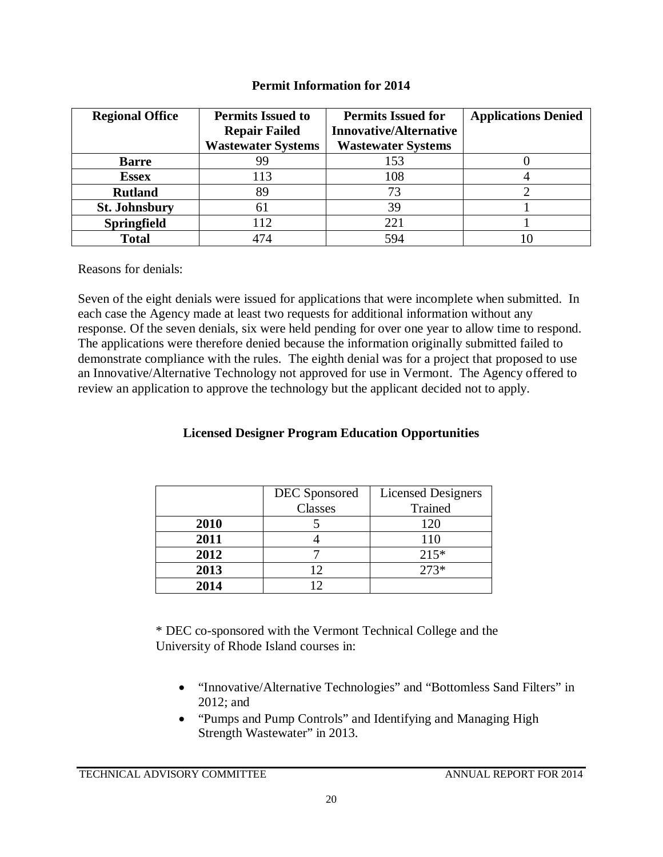## **Permit Information for 2014**

| <b>Regional Office</b> | <b>Permits Issued to</b>  | <b>Permits Issued for</b>     | <b>Applications Denied</b> |
|------------------------|---------------------------|-------------------------------|----------------------------|
|                        | <b>Repair Failed</b>      | <b>Innovative/Alternative</b> |                            |
|                        | <b>Wastewater Systems</b> | <b>Wastewater Systems</b>     |                            |
| <b>Barre</b>           | 99                        | 153                           |                            |
| <b>Essex</b>           | 113                       | 108                           |                            |
| <b>Rutland</b>         | 89                        | 73                            |                            |
| <b>St. Johnsbury</b>   | 61                        | 39                            |                            |
| <b>Springfield</b>     | 112                       | 221                           |                            |
| <b>Total</b>           | 474                       | 594                           |                            |

Reasons for denials:

Seven of the eight denials were issued for applications that were incomplete when submitted. In each case the Agency made at least two requests for additional information without any response. Of the seven denials, six were held pending for over one year to allow time to respond. The applications were therefore denied because the information originally submitted failed to demonstrate compliance with the rules. The eighth denial was for a project that proposed to use an Innovative/Alternative Technology not approved for use in Vermont. The Agency offered to review an application to approve the technology but the applicant decided not to apply.

# **Licensed Designer Program Education Opportunities**

|      | DEC Sponsored | <b>Licensed Designers</b> |
|------|---------------|---------------------------|
|      | Classes       | Trained                   |
| 2010 |               | 120                       |
| 2011 |               | 110                       |
| 2012 |               | $215*$                    |
| 2013 | 12            | $273*$                    |
| 2014 | റ             |                           |

\* DEC co-sponsored with the Vermont Technical College and the University of Rhode Island courses in:

- "Innovative/Alternative Technologies" and "Bottomless Sand Filters" in 2012; and
- "Pumps and Pump Controls" and Identifying and Managing High Strength Wastewater" in 2013.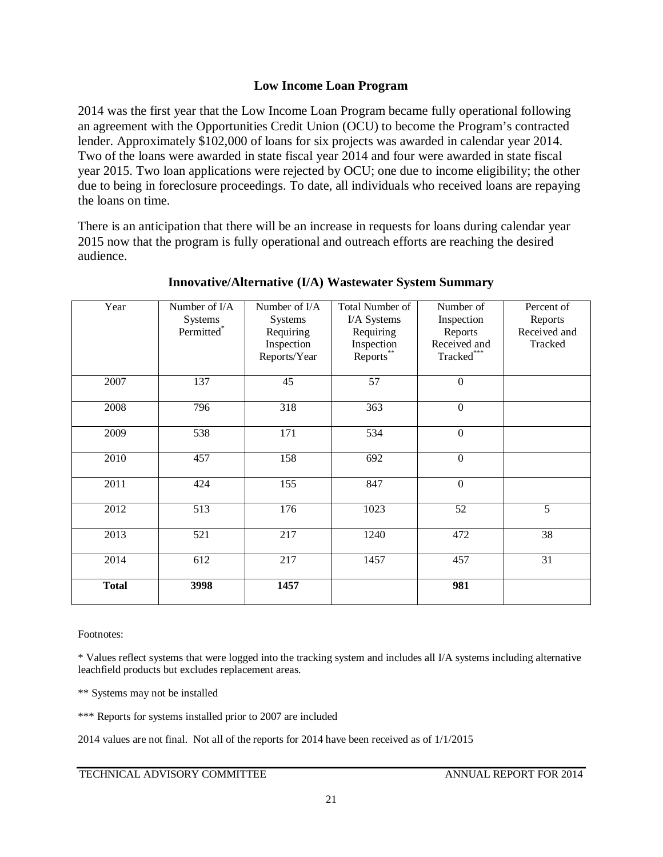## **Low Income Loan Program**

2014 was the first year that the Low Income Loan Program became fully operational following an agreement with the Opportunities Credit Union (OCU) to become the Program's contracted lender. Approximately \$102,000 of loans for six projects was awarded in calendar year 2014. Two of the loans were awarded in state fiscal year 2014 and four were awarded in state fiscal year 2015. Two loan applications were rejected by OCU; one due to income eligibility; the other due to being in foreclosure proceedings. To date, all individuals who received loans are repaying the loans on time.

There is an anticipation that there will be an increase in requests for loans during calendar year 2015 now that the program is fully operational and outreach efforts are reaching the desired audience.

| Year         | Number of I/A | Number of I/A  | Total Number of | Number of        | Percent of   |
|--------------|---------------|----------------|-----------------|------------------|--------------|
|              | Systems       | <b>Systems</b> | I/A Systems     | Inspection       | Reports      |
|              | Permitted*    | Requiring      | Requiring       | Reports          | Received and |
|              |               | Inspection     | Inspection      | Received and     | Tracked      |
|              |               | Reports/Year   | Reports**       | Tracked***       |              |
|              |               |                |                 |                  |              |
| 2007         | 137           | 45             | 57              | $\boldsymbol{0}$ |              |
|              |               |                |                 |                  |              |
| 2008         | 796           | 318            | 363             | $\boldsymbol{0}$ |              |
|              |               |                |                 |                  |              |
| 2009         | 538           | 171            | 534             | $\boldsymbol{0}$ |              |
|              |               |                |                 |                  |              |
| 2010         | 457           | 158            | 692             | $\boldsymbol{0}$ |              |
|              |               |                |                 |                  |              |
| 2011         | 424           | 155            | 847             | $\boldsymbol{0}$ |              |
|              |               |                |                 |                  |              |
| 2012         | 513           | 176            | 1023            | 52               | 5            |
|              |               |                |                 |                  |              |
| 2013         | 521           | 217            | 1240            | 472              | 38           |
|              |               |                |                 |                  |              |
| 2014         | 612           | 217            | 1457            | 457              | 31           |
|              |               |                |                 |                  |              |
| <b>Total</b> | 3998          | 1457           |                 | 981              |              |
|              |               |                |                 |                  |              |

## **Innovative/Alternative (I/A) Wastewater System Summary**

Footnotes:

\* Values reflect systems that were logged into the tracking system and includes all I/A systems including alternative leachfield products but excludes replacement areas.

\*\* Systems may not be installed

\*\*\* Reports for systems installed prior to 2007 are included

2014 values are not final. Not all of the reports for 2014 have been received as of 1/1/2015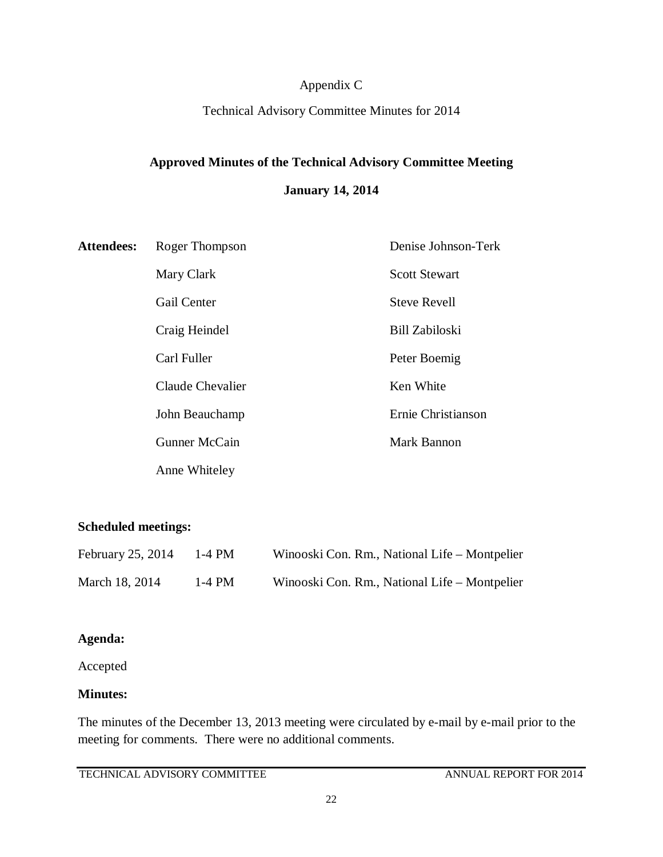# Appendix C

## Technical Advisory Committee Minutes for 2014

# **Approved Minutes of the Technical Advisory Committee Meeting**

## **January 14, 2014**

| <b>Attendees:</b> | Roger Thompson     | Denise Johnson-Terk   |
|-------------------|--------------------|-----------------------|
|                   | Mary Clark         | <b>Scott Stewart</b>  |
|                   | <b>Gail Center</b> | <b>Steve Revell</b>   |
|                   | Craig Heindel      | <b>Bill Zabiloski</b> |
|                   | Carl Fuller        | Peter Boemig          |
|                   | Claude Chevalier   | Ken White             |
|                   | John Beauchamp     | Ernie Christianson    |
|                   | Gunner McCain      | Mark Bannon           |
|                   | Anne Whiteley      |                       |

# **Scheduled meetings:**

| February 25, 2014 | 1-4 PM   | Winooski Con. Rm., National Life – Montpelier |
|-------------------|----------|-----------------------------------------------|
| March 18, 2014    | $1-4$ PM | Winooski Con. Rm., National Life – Montpelier |

## **Agenda:**

Accepted

## **Minutes:**

The minutes of the December 13, 2013 meeting were circulated by e-mail by e-mail prior to the meeting for comments. There were no additional comments.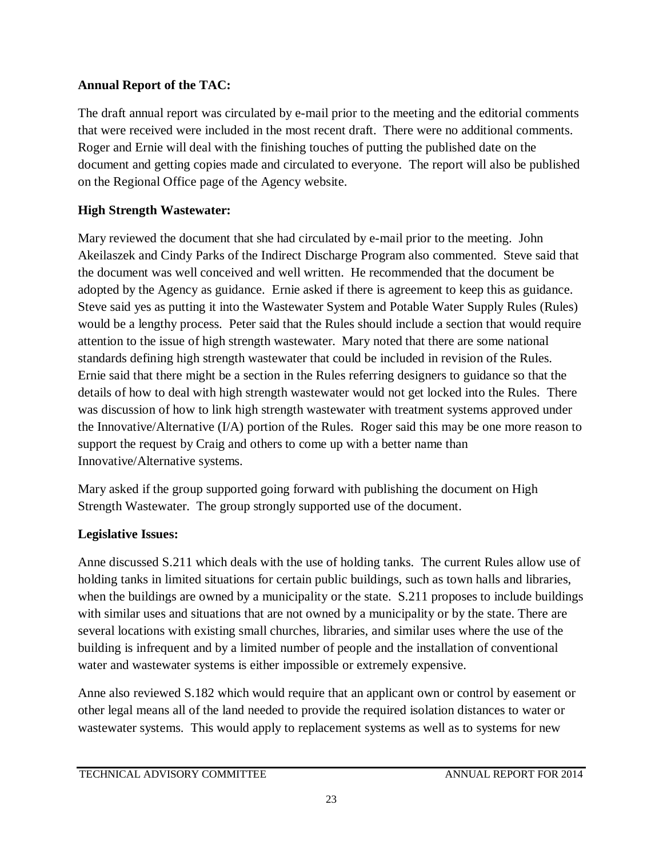# **Annual Report of the TAC:**

The draft annual report was circulated by e-mail prior to the meeting and the editorial comments that were received were included in the most recent draft. There were no additional comments. Roger and Ernie will deal with the finishing touches of putting the published date on the document and getting copies made and circulated to everyone. The report will also be published on the Regional Office page of the Agency website.

# **High Strength Wastewater:**

Mary reviewed the document that she had circulated by e-mail prior to the meeting. John Akeilaszek and Cindy Parks of the Indirect Discharge Program also commented. Steve said that the document was well conceived and well written. He recommended that the document be adopted by the Agency as guidance. Ernie asked if there is agreement to keep this as guidance. Steve said yes as putting it into the Wastewater System and Potable Water Supply Rules (Rules) would be a lengthy process. Peter said that the Rules should include a section that would require attention to the issue of high strength wastewater. Mary noted that there are some national standards defining high strength wastewater that could be included in revision of the Rules. Ernie said that there might be a section in the Rules referring designers to guidance so that the details of how to deal with high strength wastewater would not get locked into the Rules. There was discussion of how to link high strength wastewater with treatment systems approved under the Innovative/Alternative (I/A) portion of the Rules. Roger said this may be one more reason to support the request by Craig and others to come up with a better name than Innovative/Alternative systems.

Mary asked if the group supported going forward with publishing the document on High Strength Wastewater. The group strongly supported use of the document.

# **Legislative Issues:**

Anne discussed S.211 which deals with the use of holding tanks. The current Rules allow use of holding tanks in limited situations for certain public buildings, such as town halls and libraries, when the buildings are owned by a municipality or the state. S.211 proposes to include buildings with similar uses and situations that are not owned by a municipality or by the state. There are several locations with existing small churches, libraries, and similar uses where the use of the building is infrequent and by a limited number of people and the installation of conventional water and wastewater systems is either impossible or extremely expensive.

Anne also reviewed S.182 which would require that an applicant own or control by easement or other legal means all of the land needed to provide the required isolation distances to water or wastewater systems. This would apply to replacement systems as well as to systems for new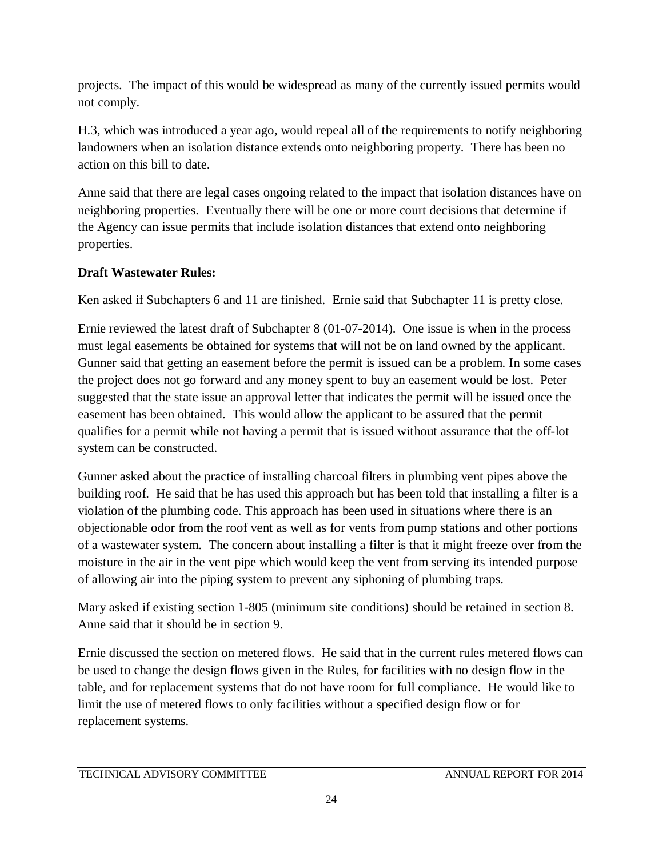projects. The impact of this would be widespread as many of the currently issued permits would not comply.

H.3, which was introduced a year ago, would repeal all of the requirements to notify neighboring landowners when an isolation distance extends onto neighboring property. There has been no action on this bill to date.

Anne said that there are legal cases ongoing related to the impact that isolation distances have on neighboring properties. Eventually there will be one or more court decisions that determine if the Agency can issue permits that include isolation distances that extend onto neighboring properties.

# **Draft Wastewater Rules:**

Ken asked if Subchapters 6 and 11 are finished. Ernie said that Subchapter 11 is pretty close.

Ernie reviewed the latest draft of Subchapter 8 (01-07-2014). One issue is when in the process must legal easements be obtained for systems that will not be on land owned by the applicant. Gunner said that getting an easement before the permit is issued can be a problem. In some cases the project does not go forward and any money spent to buy an easement would be lost. Peter suggested that the state issue an approval letter that indicates the permit will be issued once the easement has been obtained. This would allow the applicant to be assured that the permit qualifies for a permit while not having a permit that is issued without assurance that the off-lot system can be constructed.

Gunner asked about the practice of installing charcoal filters in plumbing vent pipes above the building roof. He said that he has used this approach but has been told that installing a filter is a violation of the plumbing code. This approach has been used in situations where there is an objectionable odor from the roof vent as well as for vents from pump stations and other portions of a wastewater system. The concern about installing a filter is that it might freeze over from the moisture in the air in the vent pipe which would keep the vent from serving its intended purpose of allowing air into the piping system to prevent any siphoning of plumbing traps.

Mary asked if existing section 1-805 (minimum site conditions) should be retained in section 8. Anne said that it should be in section 9.

Ernie discussed the section on metered flows. He said that in the current rules metered flows can be used to change the design flows given in the Rules, for facilities with no design flow in the table, and for replacement systems that do not have room for full compliance. He would like to limit the use of metered flows to only facilities without a specified design flow or for replacement systems.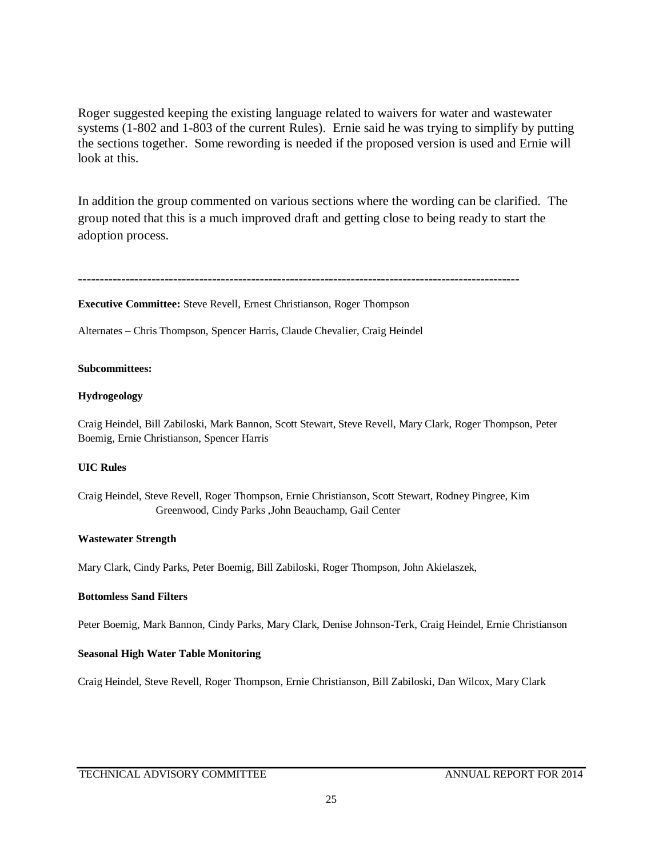Roger suggested keeping the existing language related to waivers for water and wastewater systems (1-802 and 1-803 of the current Rules). Ernie said he was trying to simplify by putting the sections together. Some rewording is needed if the proposed version is used and Ernie will look at this.

In addition the group commented on various sections where the wording can be clarified. The group noted that this is a much improved draft and getting close to being ready to start the adoption process.

```
------------------------------------------------------------------------------------------------------
```
**Executive Committee:** Steve Revell, Ernest Christianson, Roger Thompson

Alternates – Chris Thompson, Spencer Harris, Claude Chevalier, Craig Heindel

#### **Subcommittees:**

#### **Hydrogeology**

Craig Heindel, Bill Zabiloski, Mark Bannon, Scott Stewart, Steve Revell, Mary Clark, Roger Thompson, Peter Boemig, Ernie Christianson, Spencer Harris

### **UIC Rules**

Craig Heindel, Steve Revell, Roger Thompson, Ernie Christianson, Scott Stewart, Rodney Pingree, Kim Greenwood, Cindy Parks ,John Beauchamp, Gail Center

#### **Wastewater Strength**

Mary Clark, Cindy Parks, Peter Boemig, Bill Zabiloski, Roger Thompson, John Akielaszek,

#### **Bottomless Sand Filters**

Peter Boemig, Mark Bannon, Cindy Parks, Mary Clark, Denise Johnson-Terk, Craig Heindel, Ernie Christianson

### **Seasonal High Water Table Monitoring**

Craig Heindel, Steve Revell, Roger Thompson, Ernie Christianson, Bill Zabiloski, Dan Wilcox, Mary Clark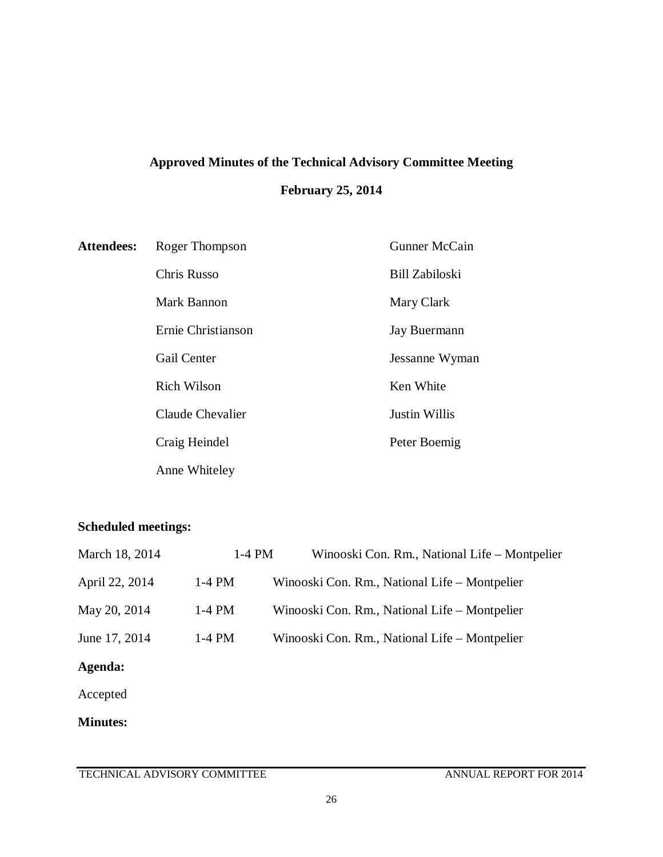# **Approved Minutes of the Technical Advisory Committee Meeting February 25, 2014**

| <b>Attendees:</b> | Roger Thompson     | <b>Gunner McCain</b>  |
|-------------------|--------------------|-----------------------|
|                   | Chris Russo        | <b>Bill Zabiloski</b> |
|                   | Mark Bannon        | Mary Clark            |
|                   | Ernie Christianson | Jay Buermann          |
|                   | <b>Gail Center</b> | Jessanne Wyman        |
|                   | <b>Rich Wilson</b> | Ken White             |
|                   | Claude Chevalier   | <b>Justin Willis</b>  |
|                   | Craig Heindel      | Peter Boemig          |
|                   | Anne Whiteley      |                       |

# **Scheduled meetings:**

| March 18, 2014  | 1-4 PM   | Winooski Con. Rm., National Life – Montpelier |
|-----------------|----------|-----------------------------------------------|
| April 22, 2014  | $1-4$ PM | Winooski Con. Rm., National Life – Montpelier |
| May 20, 2014    | $1-4$ PM | Winooski Con. Rm., National Life – Montpelier |
| June 17, 2014   | $1-4$ PM | Winooski Con. Rm., National Life – Montpelier |
| Agenda:         |          |                                               |
| Accepted        |          |                                               |
| <b>Minutes:</b> |          |                                               |
|                 |          |                                               |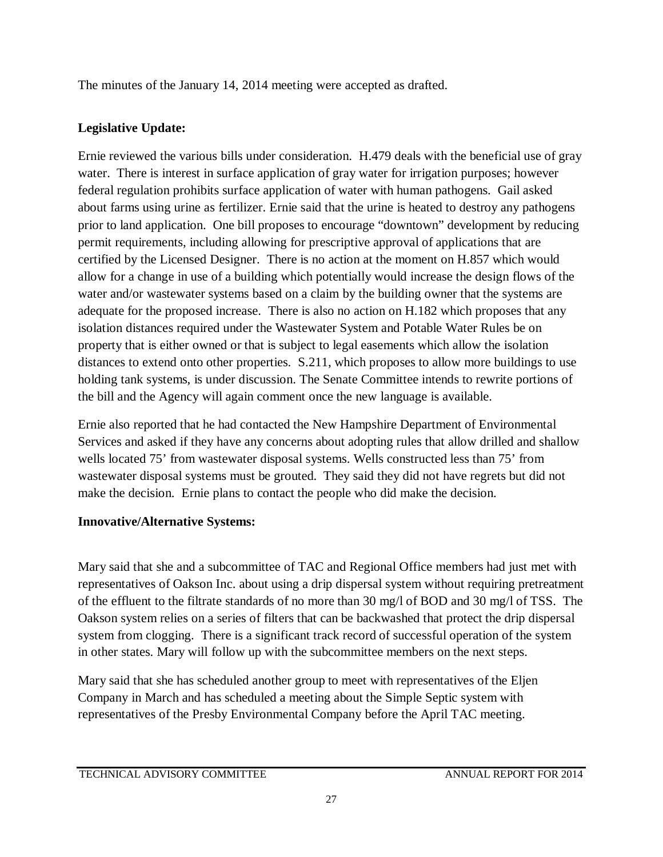The minutes of the January 14, 2014 meeting were accepted as drafted.

# **Legislative Update:**

Ernie reviewed the various bills under consideration. H.479 deals with the beneficial use of gray water. There is interest in surface application of gray water for irrigation purposes; however federal regulation prohibits surface application of water with human pathogens. Gail asked about farms using urine as fertilizer. Ernie said that the urine is heated to destroy any pathogens prior to land application. One bill proposes to encourage "downtown" development by reducing permit requirements, including allowing for prescriptive approval of applications that are certified by the Licensed Designer. There is no action at the moment on H.857 which would allow for a change in use of a building which potentially would increase the design flows of the water and/or wastewater systems based on a claim by the building owner that the systems are adequate for the proposed increase. There is also no action on H.182 which proposes that any isolation distances required under the Wastewater System and Potable Water Rules be on property that is either owned or that is subject to legal easements which allow the isolation distances to extend onto other properties. S.211, which proposes to allow more buildings to use holding tank systems, is under discussion. The Senate Committee intends to rewrite portions of the bill and the Agency will again comment once the new language is available.

Ernie also reported that he had contacted the New Hampshire Department of Environmental Services and asked if they have any concerns about adopting rules that allow drilled and shallow wells located 75' from wastewater disposal systems. Wells constructed less than 75' from wastewater disposal systems must be grouted. They said they did not have regrets but did not make the decision. Ernie plans to contact the people who did make the decision.

# **Innovative/Alternative Systems:**

Mary said that she and a subcommittee of TAC and Regional Office members had just met with representatives of Oakson Inc. about using a drip dispersal system without requiring pretreatment of the effluent to the filtrate standards of no more than 30 mg/l of BOD and 30 mg/l of TSS. The Oakson system relies on a series of filters that can be backwashed that protect the drip dispersal system from clogging. There is a significant track record of successful operation of the system in other states. Mary will follow up with the subcommittee members on the next steps.

Mary said that she has scheduled another group to meet with representatives of the Eljen Company in March and has scheduled a meeting about the Simple Septic system with representatives of the Presby Environmental Company before the April TAC meeting.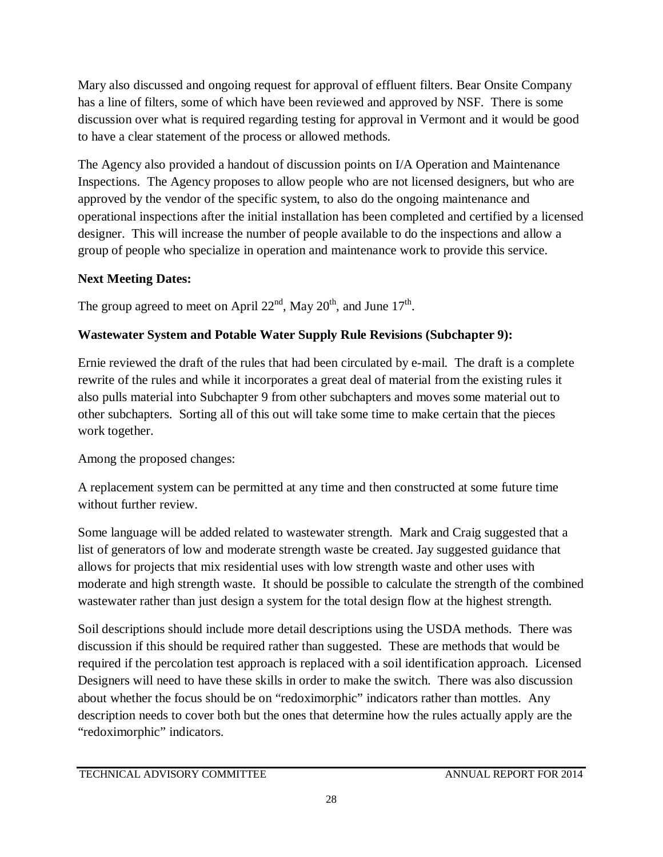Mary also discussed and ongoing request for approval of effluent filters. Bear Onsite Company has a line of filters, some of which have been reviewed and approved by NSF. There is some discussion over what is required regarding testing for approval in Vermont and it would be good to have a clear statement of the process or allowed methods.

The Agency also provided a handout of discussion points on I/A Operation and Maintenance Inspections. The Agency proposes to allow people who are not licensed designers, but who are approved by the vendor of the specific system, to also do the ongoing maintenance and operational inspections after the initial installation has been completed and certified by a licensed designer. This will increase the number of people available to do the inspections and allow a group of people who specialize in operation and maintenance work to provide this service.

# **Next Meeting Dates:**

The group agreed to meet on April  $22<sup>nd</sup>$ , May  $20<sup>th</sup>$ , and June  $17<sup>th</sup>$ .

# **Wastewater System and Potable Water Supply Rule Revisions (Subchapter 9):**

Ernie reviewed the draft of the rules that had been circulated by e-mail. The draft is a complete rewrite of the rules and while it incorporates a great deal of material from the existing rules it also pulls material into Subchapter 9 from other subchapters and moves some material out to other subchapters. Sorting all of this out will take some time to make certain that the pieces work together.

# Among the proposed changes:

A replacement system can be permitted at any time and then constructed at some future time without further review.

Some language will be added related to wastewater strength. Mark and Craig suggested that a list of generators of low and moderate strength waste be created. Jay suggested guidance that allows for projects that mix residential uses with low strength waste and other uses with moderate and high strength waste. It should be possible to calculate the strength of the combined wastewater rather than just design a system for the total design flow at the highest strength.

Soil descriptions should include more detail descriptions using the USDA methods. There was discussion if this should be required rather than suggested. These are methods that would be required if the percolation test approach is replaced with a soil identification approach. Licensed Designers will need to have these skills in order to make the switch. There was also discussion about whether the focus should be on "redoximorphic" indicators rather than mottles. Any description needs to cover both but the ones that determine how the rules actually apply are the "redoximorphic" indicators.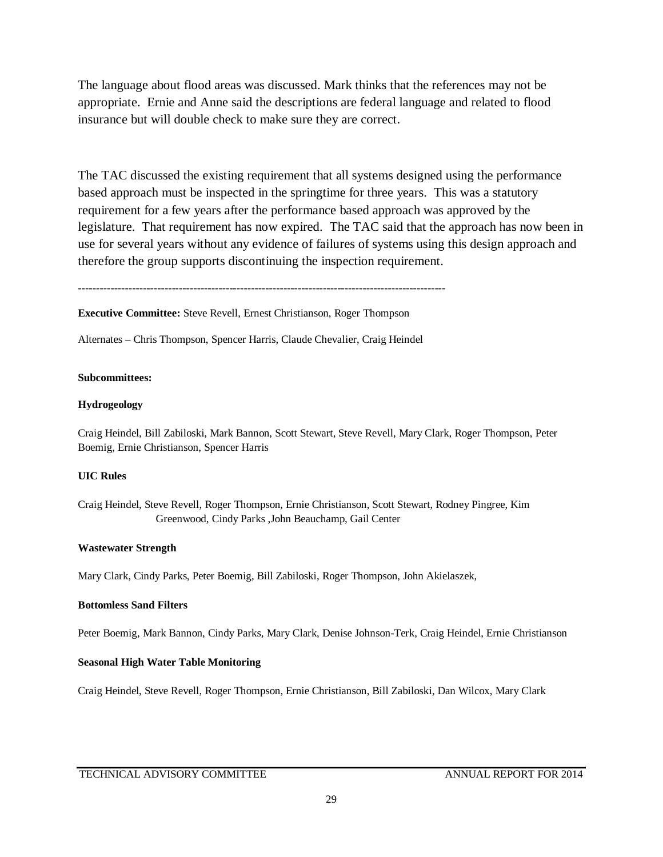The language about flood areas was discussed. Mark thinks that the references may not be appropriate. Ernie and Anne said the descriptions are federal language and related to flood insurance but will double check to make sure they are correct.

The TAC discussed the existing requirement that all systems designed using the performance based approach must be inspected in the springtime for three years. This was a statutory requirement for a few years after the performance based approach was approved by the legislature. That requirement has now expired. The TAC said that the approach has now been in use for several years without any evidence of failures of systems using this design approach and therefore the group supports discontinuing the inspection requirement.

**------------------------------------------------------------------------------------------------------**

**Executive Committee:** Steve Revell, Ernest Christianson, Roger Thompson

Alternates – Chris Thompson, Spencer Harris, Claude Chevalier, Craig Heindel

#### **Subcommittees:**

#### **Hydrogeology**

Craig Heindel, Bill Zabiloski, Mark Bannon, Scott Stewart, Steve Revell, Mary Clark, Roger Thompson, Peter Boemig, Ernie Christianson, Spencer Harris

#### **UIC Rules**

Craig Heindel, Steve Revell, Roger Thompson, Ernie Christianson, Scott Stewart, Rodney Pingree, Kim Greenwood, Cindy Parks ,John Beauchamp, Gail Center

#### **Wastewater Strength**

Mary Clark, Cindy Parks, Peter Boemig, Bill Zabiloski, Roger Thompson, John Akielaszek,

#### **Bottomless Sand Filters**

Peter Boemig, Mark Bannon, Cindy Parks, Mary Clark, Denise Johnson-Terk, Craig Heindel, Ernie Christianson

#### **Seasonal High Water Table Monitoring**

Craig Heindel, Steve Revell, Roger Thompson, Ernie Christianson, Bill Zabiloski, Dan Wilcox, Mary Clark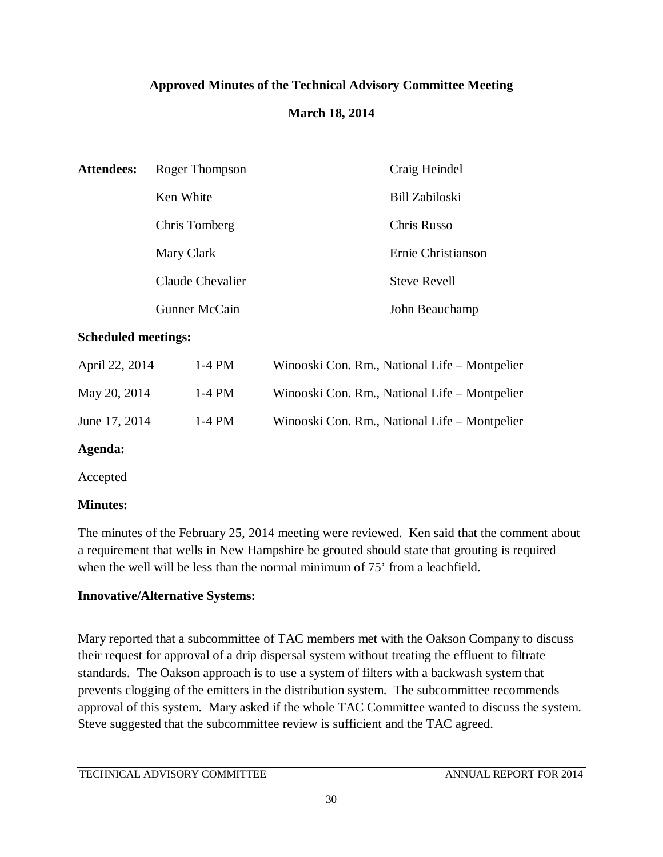# **Approved Minutes of the Technical Advisory Committee Meeting**

# **March 18, 2014**

| <b>Attendees:</b> | Roger Thompson   | Craig Heindel       |
|-------------------|------------------|---------------------|
|                   | Ken White        | Bill Zabiloski      |
|                   | Chris Tomberg    | Chris Russo         |
|                   | Mary Clark       | Ernie Christianson  |
|                   | Claude Chevalier | <b>Steve Revell</b> |
|                   | Gunner McCain    | John Beauchamp      |

## **Scheduled meetings:**

| April 22, 2014 | $1-4$ PM | Winooski Con. Rm., National Life – Montpelier |
|----------------|----------|-----------------------------------------------|
| May 20, 2014   | $1-4$ PM | Winooski Con. Rm., National Life – Montpelier |
| June 17, 2014  | 1-4 PM   | Winooski Con. Rm., National Life – Montpelier |

# **Agenda:**

Accepted

# **Minutes:**

The minutes of the February 25, 2014 meeting were reviewed. Ken said that the comment about a requirement that wells in New Hampshire be grouted should state that grouting is required when the well will be less than the normal minimum of 75' from a leachfield.

# **Innovative/Alternative Systems:**

Mary reported that a subcommittee of TAC members met with the Oakson Company to discuss their request for approval of a drip dispersal system without treating the effluent to filtrate standards. The Oakson approach is to use a system of filters with a backwash system that prevents clogging of the emitters in the distribution system. The subcommittee recommends approval of this system. Mary asked if the whole TAC Committee wanted to discuss the system. Steve suggested that the subcommittee review is sufficient and the TAC agreed.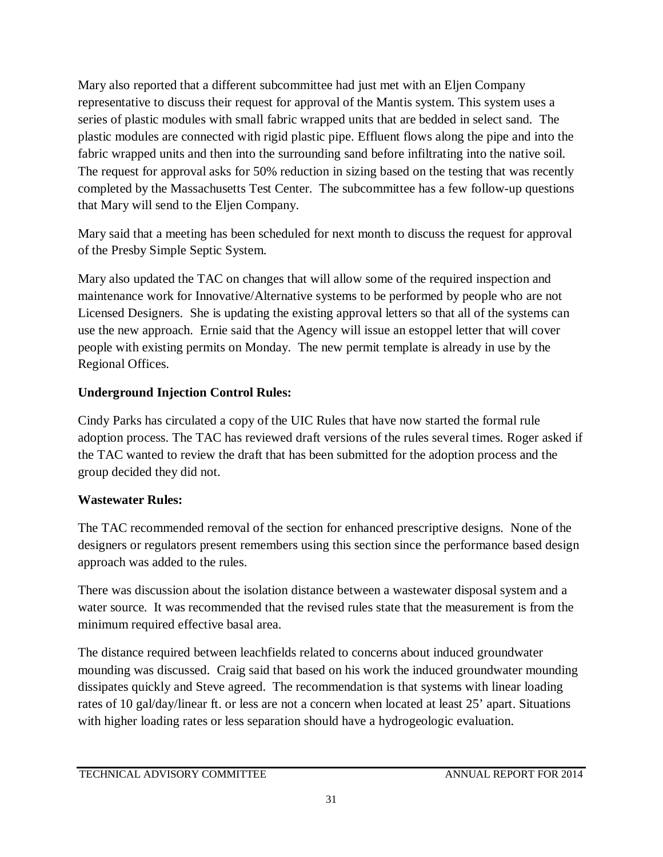Mary also reported that a different subcommittee had just met with an Eljen Company representative to discuss their request for approval of the Mantis system. This system uses a series of plastic modules with small fabric wrapped units that are bedded in select sand. The plastic modules are connected with rigid plastic pipe. Effluent flows along the pipe and into the fabric wrapped units and then into the surrounding sand before infiltrating into the native soil. The request for approval asks for 50% reduction in sizing based on the testing that was recently completed by the Massachusetts Test Center. The subcommittee has a few follow-up questions that Mary will send to the Eljen Company.

Mary said that a meeting has been scheduled for next month to discuss the request for approval of the Presby Simple Septic System.

Mary also updated the TAC on changes that will allow some of the required inspection and maintenance work for Innovative/Alternative systems to be performed by people who are not Licensed Designers. She is updating the existing approval letters so that all of the systems can use the new approach. Ernie said that the Agency will issue an estoppel letter that will cover people with existing permits on Monday. The new permit template is already in use by the Regional Offices.

# **Underground Injection Control Rules:**

Cindy Parks has circulated a copy of the UIC Rules that have now started the formal rule adoption process. The TAC has reviewed draft versions of the rules several times. Roger asked if the TAC wanted to review the draft that has been submitted for the adoption process and the group decided they did not.

# **Wastewater Rules:**

The TAC recommended removal of the section for enhanced prescriptive designs. None of the designers or regulators present remembers using this section since the performance based design approach was added to the rules.

There was discussion about the isolation distance between a wastewater disposal system and a water source. It was recommended that the revised rules state that the measurement is from the minimum required effective basal area.

The distance required between leachfields related to concerns about induced groundwater mounding was discussed. Craig said that based on his work the induced groundwater mounding dissipates quickly and Steve agreed. The recommendation is that systems with linear loading rates of 10 gal/day/linear ft. or less are not a concern when located at least 25' apart. Situations with higher loading rates or less separation should have a hydrogeologic evaluation.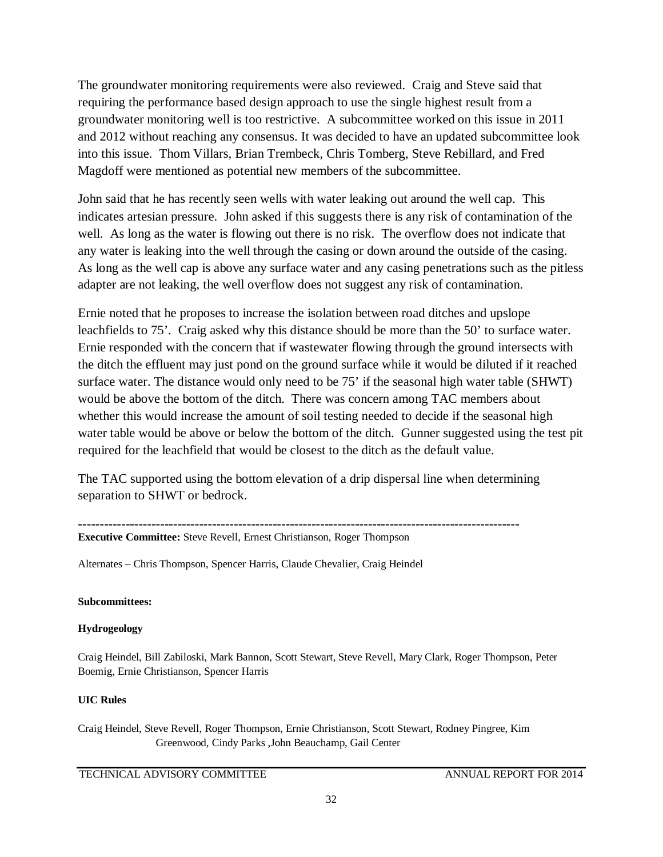The groundwater monitoring requirements were also reviewed. Craig and Steve said that requiring the performance based design approach to use the single highest result from a groundwater monitoring well is too restrictive. A subcommittee worked on this issue in 2011 and 2012 without reaching any consensus. It was decided to have an updated subcommittee look into this issue. Thom Villars, Brian Trembeck, Chris Tomberg, Steve Rebillard, and Fred Magdoff were mentioned as potential new members of the subcommittee.

John said that he has recently seen wells with water leaking out around the well cap. This indicates artesian pressure. John asked if this suggests there is any risk of contamination of the well. As long as the water is flowing out there is no risk. The overflow does not indicate that any water is leaking into the well through the casing or down around the outside of the casing. As long as the well cap is above any surface water and any casing penetrations such as the pitless adapter are not leaking, the well overflow does not suggest any risk of contamination.

Ernie noted that he proposes to increase the isolation between road ditches and upslope leachfields to 75'. Craig asked why this distance should be more than the 50' to surface water. Ernie responded with the concern that if wastewater flowing through the ground intersects with the ditch the effluent may just pond on the ground surface while it would be diluted if it reached surface water. The distance would only need to be 75' if the seasonal high water table (SHWT) would be above the bottom of the ditch. There was concern among TAC members about whether this would increase the amount of soil testing needed to decide if the seasonal high water table would be above or below the bottom of the ditch. Gunner suggested using the test pit required for the leachfield that would be closest to the ditch as the default value.

The TAC supported using the bottom elevation of a drip dispersal line when determining separation to SHWT or bedrock.

**------------------------------------------------------------------------------------------------------**

**Executive Committee:** Steve Revell, Ernest Christianson, Roger Thompson

Alternates – Chris Thompson, Spencer Harris, Claude Chevalier, Craig Heindel

### **Subcommittees:**

### **Hydrogeology**

Craig Heindel, Bill Zabiloski, Mark Bannon, Scott Stewart, Steve Revell, Mary Clark, Roger Thompson, Peter Boemig, Ernie Christianson, Spencer Harris

### **UIC Rules**

Craig Heindel, Steve Revell, Roger Thompson, Ernie Christianson, Scott Stewart, Rodney Pingree, Kim Greenwood, Cindy Parks ,John Beauchamp, Gail Center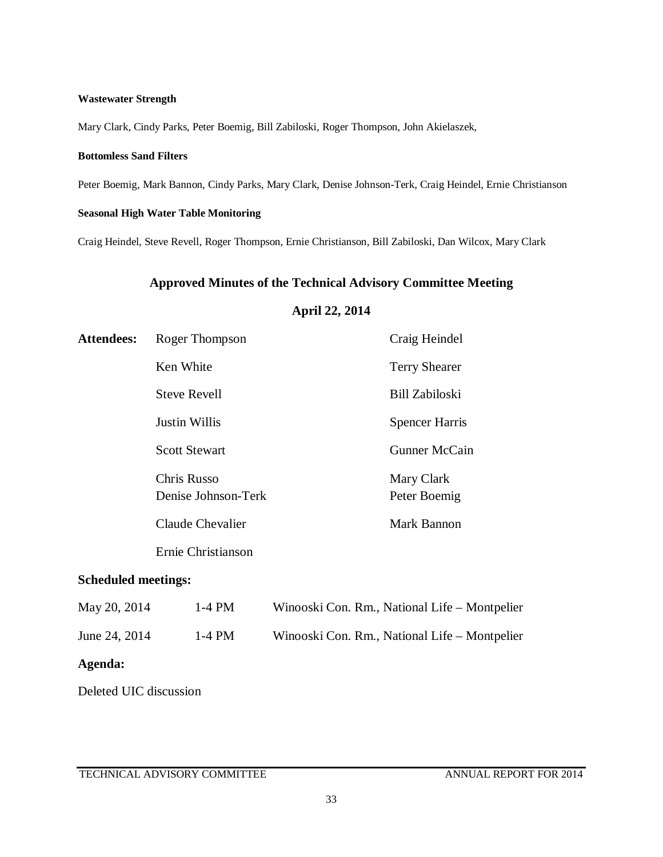#### **Wastewater Strength**

Mary Clark, Cindy Parks, Peter Boemig, Bill Zabiloski, Roger Thompson, John Akielaszek,

#### **Bottomless Sand Filters**

Peter Boemig, Mark Bannon, Cindy Parks, Mary Clark, Denise Johnson-Terk, Craig Heindel, Ernie Christianson

### **Seasonal High Water Table Monitoring**

Craig Heindel, Steve Revell, Roger Thompson, Ernie Christianson, Bill Zabiloski, Dan Wilcox, Mary Clark

### **Approved Minutes of the Technical Advisory Committee Meeting**

### **April 22, 2014**

| <b>Attendees:</b> | Roger Thompson                            | Craig Heindel              |
|-------------------|-------------------------------------------|----------------------------|
|                   | Ken White                                 | <b>Terry Shearer</b>       |
|                   | <b>Steve Revell</b>                       | <b>Bill Zabiloski</b>      |
|                   | <b>Justin Willis</b>                      | <b>Spencer Harris</b>      |
|                   | <b>Scott Stewart</b>                      | <b>Gunner McCain</b>       |
|                   | <b>Chris Russo</b><br>Denise Johnson-Terk | Mary Clark<br>Peter Boemig |
|                   | Claude Chevalier                          | Mark Bannon                |
|                   | Ernie Christianson                        |                            |

## **Scheduled meetings:**

| May 20, 2014  | $1-4$ PM | Winooski Con. Rm., National Life – Montpelier |
|---------------|----------|-----------------------------------------------|
| June 24, 2014 | 1-4 PM   | Winooski Con. Rm., National Life – Montpelier |

# **Agenda:**

Deleted UIC discussion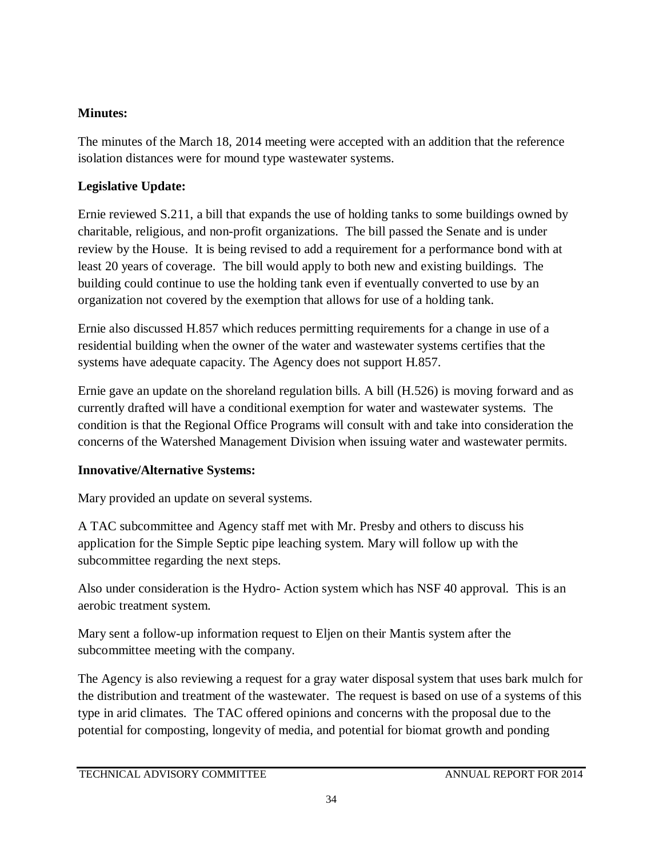# **Minutes:**

The minutes of the March 18, 2014 meeting were accepted with an addition that the reference isolation distances were for mound type wastewater systems.

# **Legislative Update:**

Ernie reviewed S.211, a bill that expands the use of holding tanks to some buildings owned by charitable, religious, and non-profit organizations. The bill passed the Senate and is under review by the House. It is being revised to add a requirement for a performance bond with at least 20 years of coverage. The bill would apply to both new and existing buildings. The building could continue to use the holding tank even if eventually converted to use by an organization not covered by the exemption that allows for use of a holding tank.

Ernie also discussed H.857 which reduces permitting requirements for a change in use of a residential building when the owner of the water and wastewater systems certifies that the systems have adequate capacity. The Agency does not support H.857.

Ernie gave an update on the shoreland regulation bills. A bill (H.526) is moving forward and as currently drafted will have a conditional exemption for water and wastewater systems. The condition is that the Regional Office Programs will consult with and take into consideration the concerns of the Watershed Management Division when issuing water and wastewater permits.

# **Innovative/Alternative Systems:**

Mary provided an update on several systems.

A TAC subcommittee and Agency staff met with Mr. Presby and others to discuss his application for the Simple Septic pipe leaching system. Mary will follow up with the subcommittee regarding the next steps.

Also under consideration is the Hydro- Action system which has NSF 40 approval. This is an aerobic treatment system.

Mary sent a follow-up information request to Eljen on their Mantis system after the subcommittee meeting with the company.

The Agency is also reviewing a request for a gray water disposal system that uses bark mulch for the distribution and treatment of the wastewater. The request is based on use of a systems of this type in arid climates. The TAC offered opinions and concerns with the proposal due to the potential for composting, longevity of media, and potential for biomat growth and ponding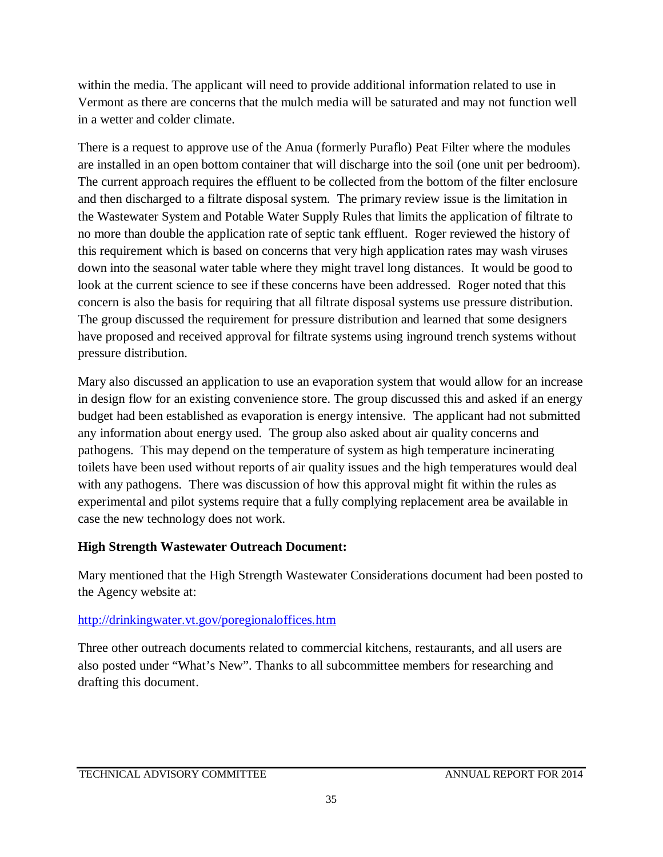within the media. The applicant will need to provide additional information related to use in Vermont as there are concerns that the mulch media will be saturated and may not function well in a wetter and colder climate.

There is a request to approve use of the Anua (formerly Puraflo) Peat Filter where the modules are installed in an open bottom container that will discharge into the soil (one unit per bedroom). The current approach requires the effluent to be collected from the bottom of the filter enclosure and then discharged to a filtrate disposal system. The primary review issue is the limitation in the Wastewater System and Potable Water Supply Rules that limits the application of filtrate to no more than double the application rate of septic tank effluent. Roger reviewed the history of this requirement which is based on concerns that very high application rates may wash viruses down into the seasonal water table where they might travel long distances. It would be good to look at the current science to see if these concerns have been addressed. Roger noted that this concern is also the basis for requiring that all filtrate disposal systems use pressure distribution. The group discussed the requirement for pressure distribution and learned that some designers have proposed and received approval for filtrate systems using inground trench systems without pressure distribution.

Mary also discussed an application to use an evaporation system that would allow for an increase in design flow for an existing convenience store. The group discussed this and asked if an energy budget had been established as evaporation is energy intensive. The applicant had not submitted any information about energy used. The group also asked about air quality concerns and pathogens. This may depend on the temperature of system as high temperature incinerating toilets have been used without reports of air quality issues and the high temperatures would deal with any pathogens. There was discussion of how this approval might fit within the rules as experimental and pilot systems require that a fully complying replacement area be available in case the new technology does not work.

# **High Strength Wastewater Outreach Document:**

Mary mentioned that the High Strength Wastewater Considerations document had been posted to the Agency website at:

# <http://drinkingwater.vt.gov/poregionaloffices.htm>

Three other outreach documents related to commercial kitchens, restaurants, and all users are also posted under "What's New". Thanks to all subcommittee members for researching and drafting this document.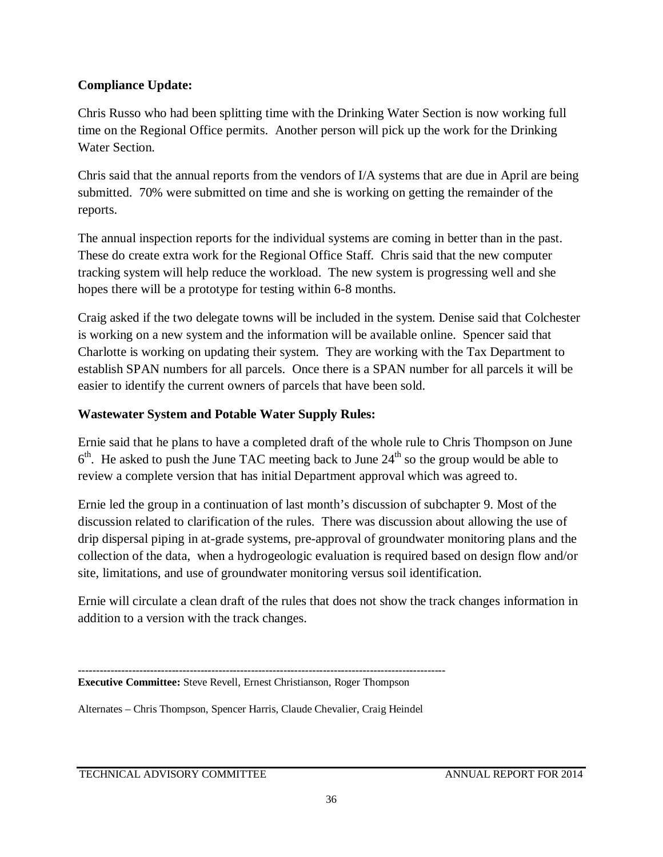# **Compliance Update:**

Chris Russo who had been splitting time with the Drinking Water Section is now working full time on the Regional Office permits. Another person will pick up the work for the Drinking Water Section.

Chris said that the annual reports from the vendors of I/A systems that are due in April are being submitted. 70% were submitted on time and she is working on getting the remainder of the reports.

The annual inspection reports for the individual systems are coming in better than in the past. These do create extra work for the Regional Office Staff. Chris said that the new computer tracking system will help reduce the workload. The new system is progressing well and she hopes there will be a prototype for testing within 6-8 months.

Craig asked if the two delegate towns will be included in the system. Denise said that Colchester is working on a new system and the information will be available online. Spencer said that Charlotte is working on updating their system. They are working with the Tax Department to establish SPAN numbers for all parcels. Once there is a SPAN number for all parcels it will be easier to identify the current owners of parcels that have been sold.

# **Wastewater System and Potable Water Supply Rules:**

Ernie said that he plans to have a completed draft of the whole rule to Chris Thompson on June  $6<sup>th</sup>$ . He asked to push the June TAC meeting back to June  $24<sup>th</sup>$  so the group would be able to review a complete version that has initial Department approval which was agreed to.

Ernie led the group in a continuation of last month's discussion of subchapter 9. Most of the discussion related to clarification of the rules. There was discussion about allowing the use of drip dispersal piping in at-grade systems, pre-approval of groundwater monitoring plans and the collection of the data, when a hydrogeologic evaluation is required based on design flow and/or site, limitations, and use of groundwater monitoring versus soil identification.

Ernie will circulate a clean draft of the rules that does not show the track changes information in addition to a version with the track changes.

Alternates – Chris Thompson, Spencer Harris, Claude Chevalier, Craig Heindel

TECHNICAL ADVISORY COMMITTEE ANNUAL REPORT FOR 2014

**<sup>------------------------------------------------------------------------------------------------------</sup>**

**Executive Committee:** Steve Revell, Ernest Christianson, Roger Thompson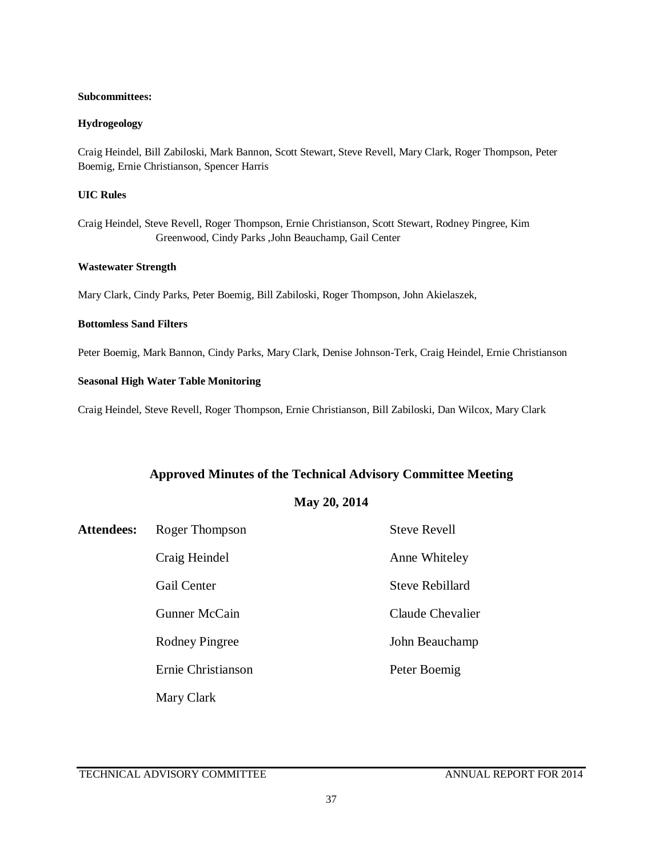#### **Subcommittees:**

#### **Hydrogeology**

Craig Heindel, Bill Zabiloski, Mark Bannon, Scott Stewart, Steve Revell, Mary Clark, Roger Thompson, Peter Boemig, Ernie Christianson, Spencer Harris

#### **UIC Rules**

Craig Heindel, Steve Revell, Roger Thompson, Ernie Christianson, Scott Stewart, Rodney Pingree, Kim Greenwood, Cindy Parks ,John Beauchamp, Gail Center

#### **Wastewater Strength**

Mary Clark, Cindy Parks, Peter Boemig, Bill Zabiloski, Roger Thompson, John Akielaszek,

### **Bottomless Sand Filters**

Peter Boemig, Mark Bannon, Cindy Parks, Mary Clark, Denise Johnson-Terk, Craig Heindel, Ernie Christianson

### **Seasonal High Water Table Monitoring**

Craig Heindel, Steve Revell, Roger Thompson, Ernie Christianson, Bill Zabiloski, Dan Wilcox, Mary Clark

### **Approved Minutes of the Technical Advisory Committee Meeting**

### **May 20, 2014**

| <b>Attendees:</b> | Roger Thompson     | <b>Steve Revell</b> |
|-------------------|--------------------|---------------------|
|                   | Craig Heindel      | Anne Whiteley       |
|                   | Gail Center        | Steve Rebillard     |
|                   | Gunner McCain      | Claude Chevalier    |
|                   | Rodney Pingree     | John Beauchamp      |
|                   | Ernie Christianson | Peter Boemig        |
|                   | Mary Clark         |                     |

TECHNICAL ADVISORY COMMITTEE ANNUAL REPORT FOR 2014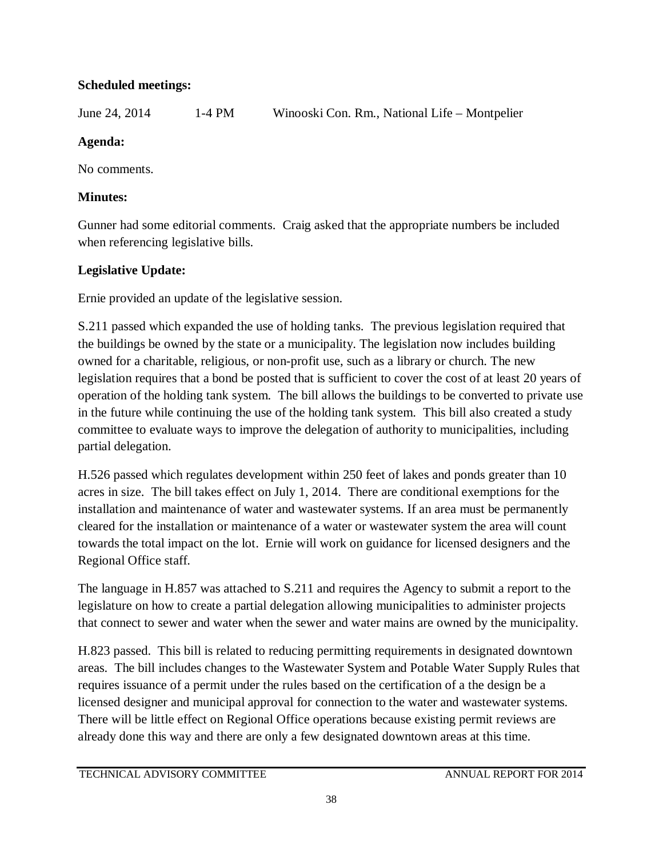# **Scheduled meetings:**

June 24, 2014 1-4 PM Winooski Con. Rm., National Life – Montpelier

# **Agenda:**

No comments.

# **Minutes:**

Gunner had some editorial comments. Craig asked that the appropriate numbers be included when referencing legislative bills.

# **Legislative Update:**

Ernie provided an update of the legislative session.

S.211 passed which expanded the use of holding tanks. The previous legislation required that the buildings be owned by the state or a municipality. The legislation now includes building owned for a charitable, religious, or non-profit use, such as a library or church. The new legislation requires that a bond be posted that is sufficient to cover the cost of at least 20 years of operation of the holding tank system. The bill allows the buildings to be converted to private use in the future while continuing the use of the holding tank system. This bill also created a study committee to evaluate ways to improve the delegation of authority to municipalities, including partial delegation.

H.526 passed which regulates development within 250 feet of lakes and ponds greater than 10 acres in size. The bill takes effect on July 1, 2014. There are conditional exemptions for the installation and maintenance of water and wastewater systems. If an area must be permanently cleared for the installation or maintenance of a water or wastewater system the area will count towards the total impact on the lot. Ernie will work on guidance for licensed designers and the Regional Office staff.

The language in H.857 was attached to S.211 and requires the Agency to submit a report to the legislature on how to create a partial delegation allowing municipalities to administer projects that connect to sewer and water when the sewer and water mains are owned by the municipality.

H.823 passed. This bill is related to reducing permitting requirements in designated downtown areas. The bill includes changes to the Wastewater System and Potable Water Supply Rules that requires issuance of a permit under the rules based on the certification of a the design be a licensed designer and municipal approval for connection to the water and wastewater systems. There will be little effect on Regional Office operations because existing permit reviews are already done this way and there are only a few designated downtown areas at this time.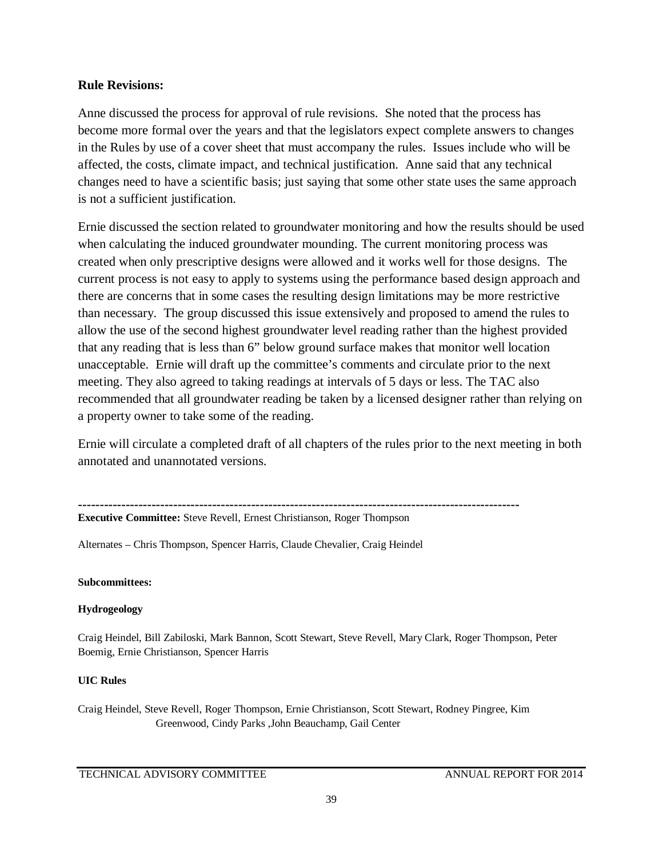### **Rule Revisions:**

Anne discussed the process for approval of rule revisions. She noted that the process has become more formal over the years and that the legislators expect complete answers to changes in the Rules by use of a cover sheet that must accompany the rules. Issues include who will be affected, the costs, climate impact, and technical justification. Anne said that any technical changes need to have a scientific basis; just saying that some other state uses the same approach is not a sufficient justification.

Ernie discussed the section related to groundwater monitoring and how the results should be used when calculating the induced groundwater mounding. The current monitoring process was created when only prescriptive designs were allowed and it works well for those designs. The current process is not easy to apply to systems using the performance based design approach and there are concerns that in some cases the resulting design limitations may be more restrictive than necessary. The group discussed this issue extensively and proposed to amend the rules to allow the use of the second highest groundwater level reading rather than the highest provided that any reading that is less than 6" below ground surface makes that monitor well location unacceptable. Ernie will draft up the committee's comments and circulate prior to the next meeting. They also agreed to taking readings at intervals of 5 days or less. The TAC also recommended that all groundwater reading be taken by a licensed designer rather than relying on a property owner to take some of the reading.

Ernie will circulate a completed draft of all chapters of the rules prior to the next meeting in both annotated and unannotated versions.

**------------------------------------------------------------------------------------------------------ Executive Committee:** Steve Revell, Ernest Christianson, Roger Thompson

Alternates – Chris Thompson, Spencer Harris, Claude Chevalier, Craig Heindel

### **Subcommittees:**

### **Hydrogeology**

Craig Heindel, Bill Zabiloski, Mark Bannon, Scott Stewart, Steve Revell, Mary Clark, Roger Thompson, Peter Boemig, Ernie Christianson, Spencer Harris

### **UIC Rules**

Craig Heindel, Steve Revell, Roger Thompson, Ernie Christianson, Scott Stewart, Rodney Pingree, Kim Greenwood, Cindy Parks ,John Beauchamp, Gail Center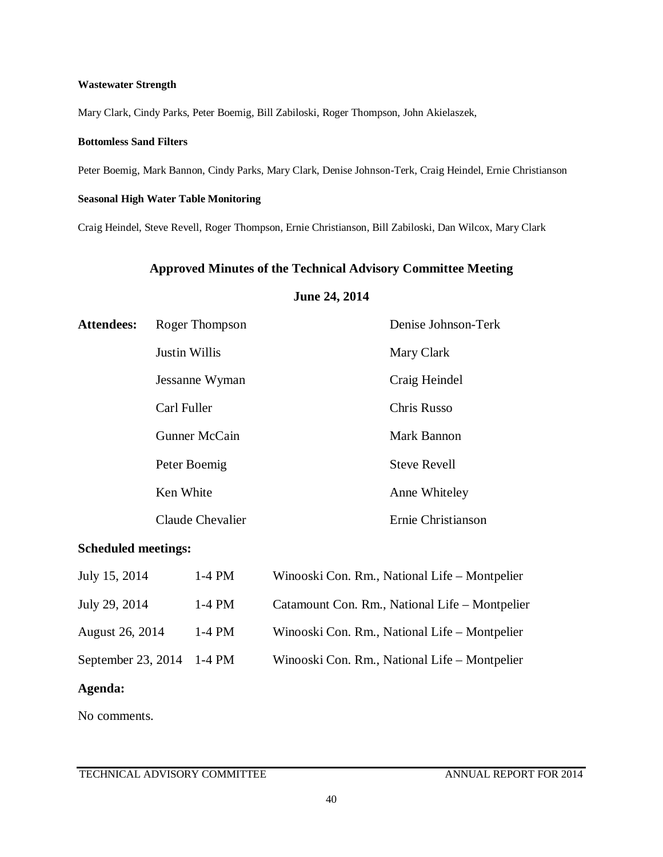#### **Wastewater Strength**

Mary Clark, Cindy Parks, Peter Boemig, Bill Zabiloski, Roger Thompson, John Akielaszek,

### **Bottomless Sand Filters**

Peter Boemig, Mark Bannon, Cindy Parks, Mary Clark, Denise Johnson-Terk, Craig Heindel, Ernie Christianson

### **Seasonal High Water Table Monitoring**

Craig Heindel, Steve Revell, Roger Thompson, Ernie Christianson, Bill Zabiloski, Dan Wilcox, Mary Clark

### **Approved Minutes of the Technical Advisory Committee Meeting**

### **June 24, 2014**

| <b>Attendees:</b> | Roger Thompson       | Denise Johnson-Terk |
|-------------------|----------------------|---------------------|
|                   | <b>Justin Willis</b> | Mary Clark          |
|                   | Jessanne Wyman       | Craig Heindel       |
|                   | Carl Fuller          | Chris Russo         |
|                   | <b>Gunner McCain</b> | Mark Bannon         |
|                   | Peter Boemig         | <b>Steve Revell</b> |
|                   | Ken White            | Anne Whiteley       |
|                   | Claude Chevalier     | Ernie Christianson  |

### **Scheduled meetings:**

| July 15, 2014             | $1-4$ PM | Winooski Con. Rm., National Life - Montpelier  |
|---------------------------|----------|------------------------------------------------|
| July 29, 2014             | $1-4$ PM | Catamount Con. Rm., National Life - Montpelier |
| August 26, 2014           | $1-4$ PM | Winooski Con. Rm., National Life - Montpelier  |
| September 23, 2014 1-4 PM |          | Winooski Con. Rm., National Life - Montpelier  |

### **Agenda:**

No comments.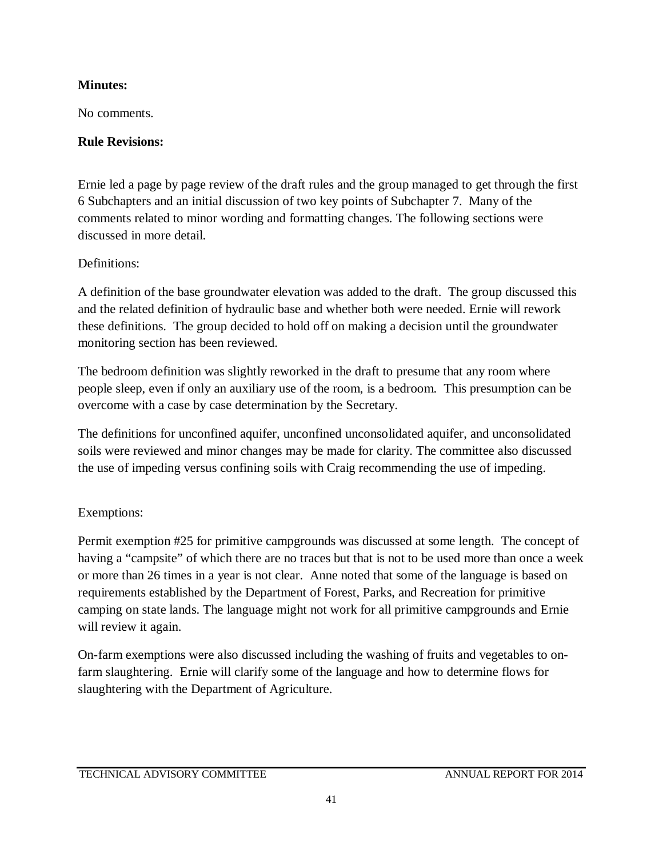# **Minutes:**

No comments.

# **Rule Revisions:**

Ernie led a page by page review of the draft rules and the group managed to get through the first 6 Subchapters and an initial discussion of two key points of Subchapter 7. Many of the comments related to minor wording and formatting changes. The following sections were discussed in more detail.

# Definitions:

A definition of the base groundwater elevation was added to the draft. The group discussed this and the related definition of hydraulic base and whether both were needed. Ernie will rework these definitions. The group decided to hold off on making a decision until the groundwater monitoring section has been reviewed.

The bedroom definition was slightly reworked in the draft to presume that any room where people sleep, even if only an auxiliary use of the room, is a bedroom. This presumption can be overcome with a case by case determination by the Secretary.

The definitions for unconfined aquifer, unconfined unconsolidated aquifer, and unconsolidated soils were reviewed and minor changes may be made for clarity. The committee also discussed the use of impeding versus confining soils with Craig recommending the use of impeding.

# Exemptions:

Permit exemption #25 for primitive campgrounds was discussed at some length. The concept of having a "campsite" of which there are no traces but that is not to be used more than once a week or more than 26 times in a year is not clear. Anne noted that some of the language is based on requirements established by the Department of Forest, Parks, and Recreation for primitive camping on state lands. The language might not work for all primitive campgrounds and Ernie will review it again.

On-farm exemptions were also discussed including the washing of fruits and vegetables to onfarm slaughtering. Ernie will clarify some of the language and how to determine flows for slaughtering with the Department of Agriculture.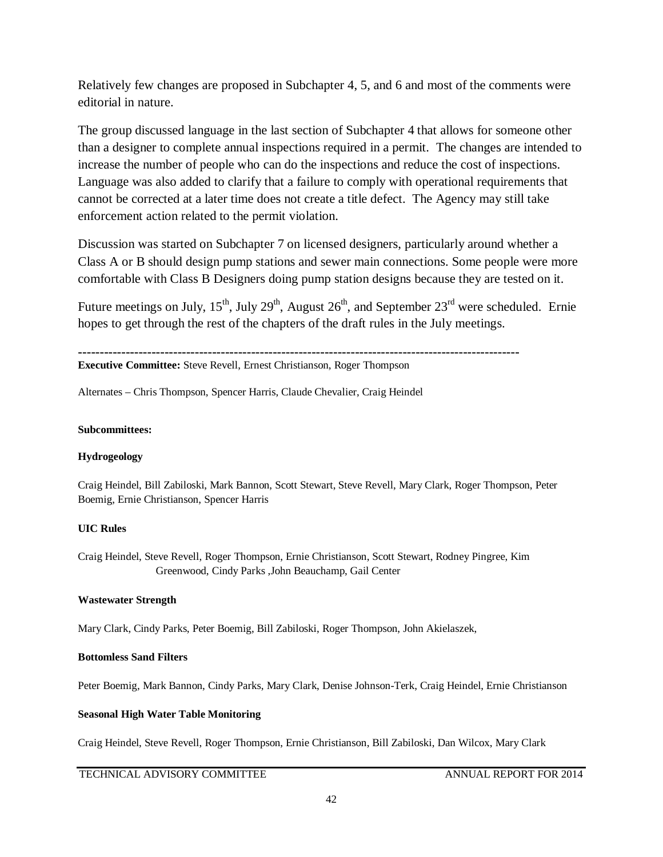Relatively few changes are proposed in Subchapter 4, 5, and 6 and most of the comments were editorial in nature.

The group discussed language in the last section of Subchapter 4 that allows for someone other than a designer to complete annual inspections required in a permit. The changes are intended to increase the number of people who can do the inspections and reduce the cost of inspections. Language was also added to clarify that a failure to comply with operational requirements that cannot be corrected at a later time does not create a title defect. The Agency may still take enforcement action related to the permit violation.

Discussion was started on Subchapter 7 on licensed designers, particularly around whether a Class A or B should design pump stations and sewer main connections. Some people were more comfortable with Class B Designers doing pump station designs because they are tested on it.

Future meetings on July,  $15^{th}$ , July  $29^{th}$ , August  $26^{th}$ , and September  $23^{rd}$  were scheduled. Ernie hopes to get through the rest of the chapters of the draft rules in the July meetings.

```
------------------------------------------------------------------------------------------------------
```
**Executive Committee:** Steve Revell, Ernest Christianson, Roger Thompson

Alternates – Chris Thompson, Spencer Harris, Claude Chevalier, Craig Heindel

### **Subcommittees:**

### **Hydrogeology**

Craig Heindel, Bill Zabiloski, Mark Bannon, Scott Stewart, Steve Revell, Mary Clark, Roger Thompson, Peter Boemig, Ernie Christianson, Spencer Harris

### **UIC Rules**

Craig Heindel, Steve Revell, Roger Thompson, Ernie Christianson, Scott Stewart, Rodney Pingree, Kim Greenwood, Cindy Parks ,John Beauchamp, Gail Center

### **Wastewater Strength**

Mary Clark, Cindy Parks, Peter Boemig, Bill Zabiloski, Roger Thompson, John Akielaszek,

### **Bottomless Sand Filters**

Peter Boemig, Mark Bannon, Cindy Parks, Mary Clark, Denise Johnson-Terk, Craig Heindel, Ernie Christianson

### **Seasonal High Water Table Monitoring**

Craig Heindel, Steve Revell, Roger Thompson, Ernie Christianson, Bill Zabiloski, Dan Wilcox, Mary Clark

### TECHNICAL ADVISORY COMMITTEE ANNUAL REPORT FOR 2014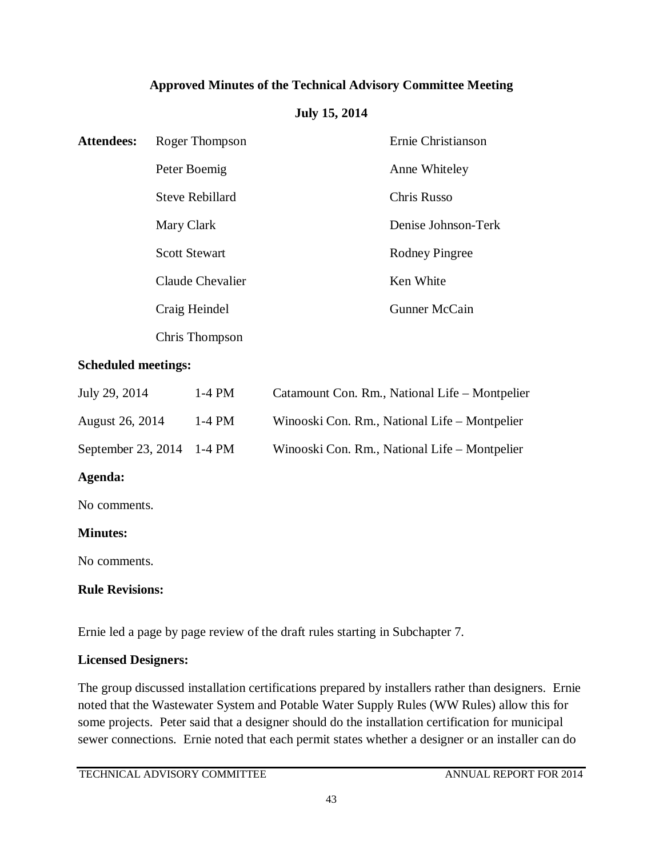## **Approved Minutes of the Technical Advisory Committee Meeting**

## **July 15, 2014**

| <b>Attendees:</b> | Roger Thompson       | Ernie Christianson  |
|-------------------|----------------------|---------------------|
|                   | Peter Boemig         | Anne Whiteley       |
|                   | Steve Rebillard      | Chris Russo         |
|                   | Mary Clark           | Denise Johnson-Terk |
|                   | <b>Scott Stewart</b> | Rodney Pingree      |
|                   | Claude Chevalier     | Ken White           |
|                   | Craig Heindel        | Gunner McCain       |
|                   | Chris Thompson       |                     |

## **Scheduled meetings:**

| July 29, 2014             | $1-4$ PM | Catamount Con. Rm., National Life – Montpelier |
|---------------------------|----------|------------------------------------------------|
| August 26, 2014           | $1-4$ PM | Winooski Con. Rm., National Life – Montpelier  |
| September 23, 2014 1-4 PM |          | Winooski Con. Rm., National Life – Montpelier  |

## **Agenda:**

No comments.

## **Minutes:**

No comments.

## **Rule Revisions:**

Ernie led a page by page review of the draft rules starting in Subchapter 7.

## **Licensed Designers:**

The group discussed installation certifications prepared by installers rather than designers. Ernie noted that the Wastewater System and Potable Water Supply Rules (WW Rules) allow this for some projects. Peter said that a designer should do the installation certification for municipal sewer connections. Ernie noted that each permit states whether a designer or an installer can do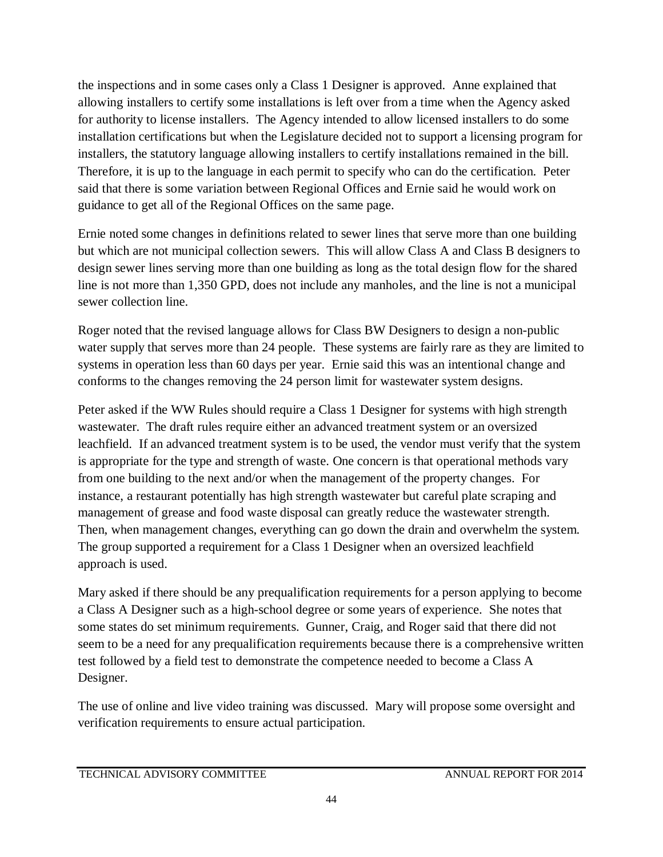the inspections and in some cases only a Class 1 Designer is approved. Anne explained that allowing installers to certify some installations is left over from a time when the Agency asked for authority to license installers. The Agency intended to allow licensed installers to do some installation certifications but when the Legislature decided not to support a licensing program for installers, the statutory language allowing installers to certify installations remained in the bill. Therefore, it is up to the language in each permit to specify who can do the certification. Peter said that there is some variation between Regional Offices and Ernie said he would work on guidance to get all of the Regional Offices on the same page.

Ernie noted some changes in definitions related to sewer lines that serve more than one building but which are not municipal collection sewers. This will allow Class A and Class B designers to design sewer lines serving more than one building as long as the total design flow for the shared line is not more than 1,350 GPD, does not include any manholes, and the line is not a municipal sewer collection line.

Roger noted that the revised language allows for Class BW Designers to design a non-public water supply that serves more than 24 people. These systems are fairly rare as they are limited to systems in operation less than 60 days per year. Ernie said this was an intentional change and conforms to the changes removing the 24 person limit for wastewater system designs.

Peter asked if the WW Rules should require a Class 1 Designer for systems with high strength wastewater. The draft rules require either an advanced treatment system or an oversized leachfield. If an advanced treatment system is to be used, the vendor must verify that the system is appropriate for the type and strength of waste. One concern is that operational methods vary from one building to the next and/or when the management of the property changes. For instance, a restaurant potentially has high strength wastewater but careful plate scraping and management of grease and food waste disposal can greatly reduce the wastewater strength. Then, when management changes, everything can go down the drain and overwhelm the system. The group supported a requirement for a Class 1 Designer when an oversized leachfield approach is used.

Mary asked if there should be any prequalification requirements for a person applying to become a Class A Designer such as a high-school degree or some years of experience. She notes that some states do set minimum requirements. Gunner, Craig, and Roger said that there did not seem to be a need for any prequalification requirements because there is a comprehensive written test followed by a field test to demonstrate the competence needed to become a Class A Designer.

The use of online and live video training was discussed. Mary will propose some oversight and verification requirements to ensure actual participation.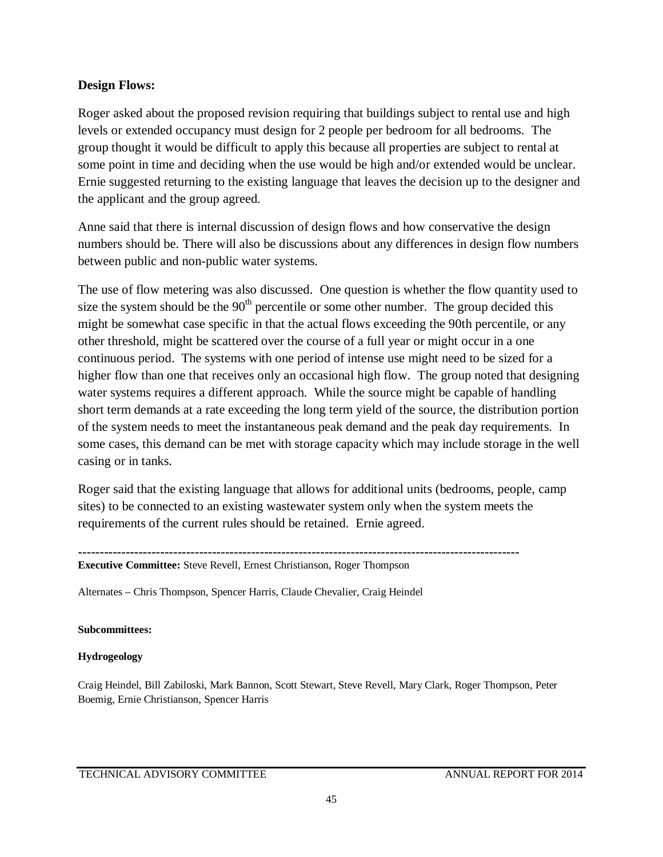### **Design Flows:**

Roger asked about the proposed revision requiring that buildings subject to rental use and high levels or extended occupancy must design for 2 people per bedroom for all bedrooms. The group thought it would be difficult to apply this because all properties are subject to rental at some point in time and deciding when the use would be high and/or extended would be unclear. Ernie suggested returning to the existing language that leaves the decision up to the designer and the applicant and the group agreed.

Anne said that there is internal discussion of design flows and how conservative the design numbers should be. There will also be discussions about any differences in design flow numbers between public and non-public water systems.

The use of flow metering was also discussed. One question is whether the flow quantity used to size the system should be the  $90<sup>th</sup>$  percentile or some other number. The group decided this might be somewhat case specific in that the actual flows exceeding the 90th percentile, or any other threshold, might be scattered over the course of a full year or might occur in a one continuous period. The systems with one period of intense use might need to be sized for a higher flow than one that receives only an occasional high flow. The group noted that designing water systems requires a different approach. While the source might be capable of handling short term demands at a rate exceeding the long term yield of the source, the distribution portion of the system needs to meet the instantaneous peak demand and the peak day requirements. In some cases, this demand can be met with storage capacity which may include storage in the well casing or in tanks.

Roger said that the existing language that allows for additional units (bedrooms, people, camp sites) to be connected to an existing wastewater system only when the system meets the requirements of the current rules should be retained. Ernie agreed.

**------------------------------------------------------------------------------------------------------**

**Executive Committee:** Steve Revell, Ernest Christianson, Roger Thompson

Alternates – Chris Thompson, Spencer Harris, Claude Chevalier, Craig Heindel

**Subcommittees:**

### **Hydrogeology**

Craig Heindel, Bill Zabiloski, Mark Bannon, Scott Stewart, Steve Revell, Mary Clark, Roger Thompson, Peter Boemig, Ernie Christianson, Spencer Harris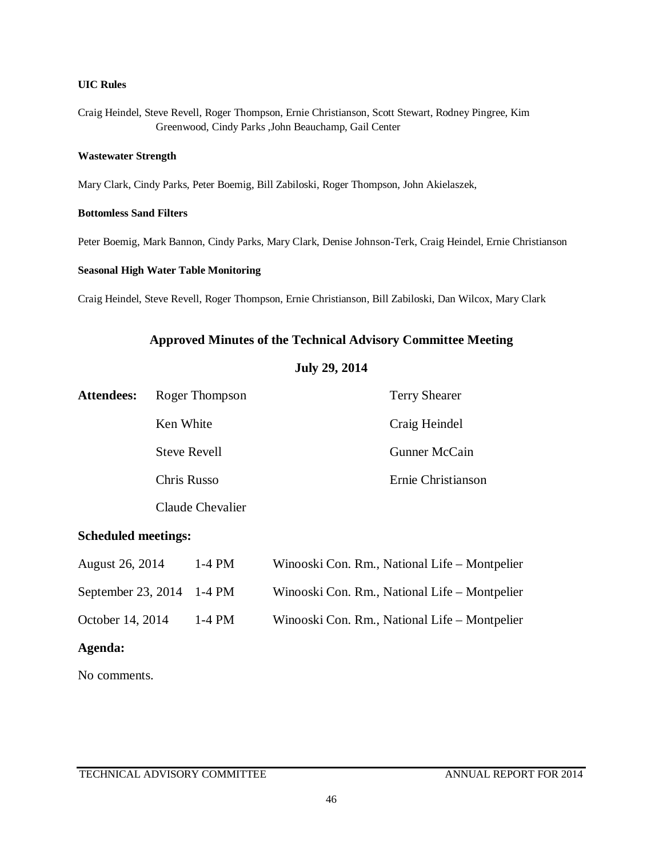### **UIC Rules**

Craig Heindel, Steve Revell, Roger Thompson, Ernie Christianson, Scott Stewart, Rodney Pingree, Kim Greenwood, Cindy Parks ,John Beauchamp, Gail Center

#### **Wastewater Strength**

Mary Clark, Cindy Parks, Peter Boemig, Bill Zabiloski, Roger Thompson, John Akielaszek,

### **Bottomless Sand Filters**

Peter Boemig, Mark Bannon, Cindy Parks, Mary Clark, Denise Johnson-Terk, Craig Heindel, Ernie Christianson

### **Seasonal High Water Table Monitoring**

Craig Heindel, Steve Revell, Roger Thompson, Ernie Christianson, Bill Zabiloski, Dan Wilcox, Mary Clark

### **Approved Minutes of the Technical Advisory Committee Meeting**

### **July 29, 2014**

| <b>Attendees:</b> | Roger Thompson      | <b>Terry Shearer</b> |
|-------------------|---------------------|----------------------|
|                   | Ken White           | Craig Heindel        |
|                   | <b>Steve Revell</b> | Gunner McCain        |
|                   | Chris Russo         | Ernie Christianson   |
|                   | Claude Chevalier    |                      |

### **Scheduled meetings:**

| August 26, 2014           | $1-4$ PM | Winooski Con. Rm., National Life – Montpelier |
|---------------------------|----------|-----------------------------------------------|
| September 23, 2014 1-4 PM |          | Winooski Con. Rm., National Life – Montpelier |
| October 14, 2014          | $1-4$ PM | Winooski Con. Rm., National Life – Montpelier |

### **Agenda:**

No comments.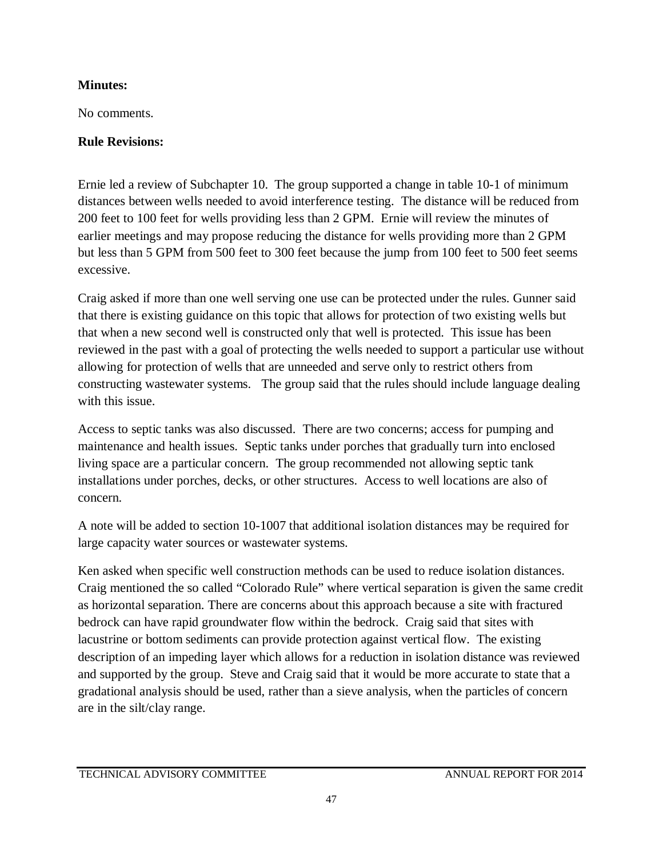# **Minutes:**

No comments.

# **Rule Revisions:**

Ernie led a review of Subchapter 10. The group supported a change in table 10-1 of minimum distances between wells needed to avoid interference testing. The distance will be reduced from 200 feet to 100 feet for wells providing less than 2 GPM. Ernie will review the minutes of earlier meetings and may propose reducing the distance for wells providing more than 2 GPM but less than 5 GPM from 500 feet to 300 feet because the jump from 100 feet to 500 feet seems excessive.

Craig asked if more than one well serving one use can be protected under the rules. Gunner said that there is existing guidance on this topic that allows for protection of two existing wells but that when a new second well is constructed only that well is protected. This issue has been reviewed in the past with a goal of protecting the wells needed to support a particular use without allowing for protection of wells that are unneeded and serve only to restrict others from constructing wastewater systems. The group said that the rules should include language dealing with this issue.

Access to septic tanks was also discussed. There are two concerns; access for pumping and maintenance and health issues. Septic tanks under porches that gradually turn into enclosed living space are a particular concern. The group recommended not allowing septic tank installations under porches, decks, or other structures. Access to well locations are also of concern.

A note will be added to section 10-1007 that additional isolation distances may be required for large capacity water sources or wastewater systems.

Ken asked when specific well construction methods can be used to reduce isolation distances. Craig mentioned the so called "Colorado Rule" where vertical separation is given the same credit as horizontal separation. There are concerns about this approach because a site with fractured bedrock can have rapid groundwater flow within the bedrock. Craig said that sites with lacustrine or bottom sediments can provide protection against vertical flow. The existing description of an impeding layer which allows for a reduction in isolation distance was reviewed and supported by the group. Steve and Craig said that it would be more accurate to state that a gradational analysis should be used, rather than a sieve analysis, when the particles of concern are in the silt/clay range.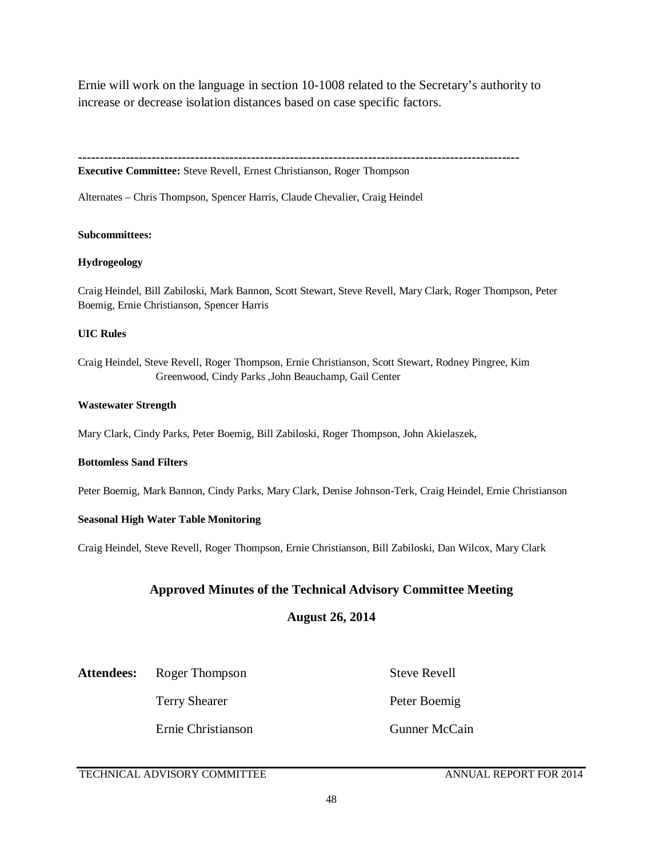Ernie will work on the language in section 10-1008 related to the Secretary's authority to increase or decrease isolation distances based on case specific factors.

**------------------------------------------------------------------------------------------------------**

**Executive Committee:** Steve Revell, Ernest Christianson, Roger Thompson

Alternates – Chris Thompson, Spencer Harris, Claude Chevalier, Craig Heindel

#### **Subcommittees:**

#### **Hydrogeology**

Craig Heindel, Bill Zabiloski, Mark Bannon, Scott Stewart, Steve Revell, Mary Clark, Roger Thompson, Peter Boemig, Ernie Christianson, Spencer Harris

#### **UIC Rules**

Craig Heindel, Steve Revell, Roger Thompson, Ernie Christianson, Scott Stewart, Rodney Pingree, Kim Greenwood, Cindy Parks ,John Beauchamp, Gail Center

#### **Wastewater Strength**

Mary Clark, Cindy Parks, Peter Boemig, Bill Zabiloski, Roger Thompson, John Akielaszek,

### **Bottomless Sand Filters**

Peter Boemig, Mark Bannon, Cindy Parks, Mary Clark, Denise Johnson-Terk, Craig Heindel, Ernie Christianson

### **Seasonal High Water Table Monitoring**

Craig Heindel, Steve Revell, Roger Thompson, Ernie Christianson, Bill Zabiloski, Dan Wilcox, Mary Clark

### **Approved Minutes of the Technical Advisory Committee Meeting**

### **August 26, 2014**

### Attendees: Roger Thompson Steve Revell

Ernie Christianson Gunner McCain

Terry Shearer Peter Boemig

### TECHNICAL ADVISORY COMMITTEE ANNUAL REPORT FOR 2014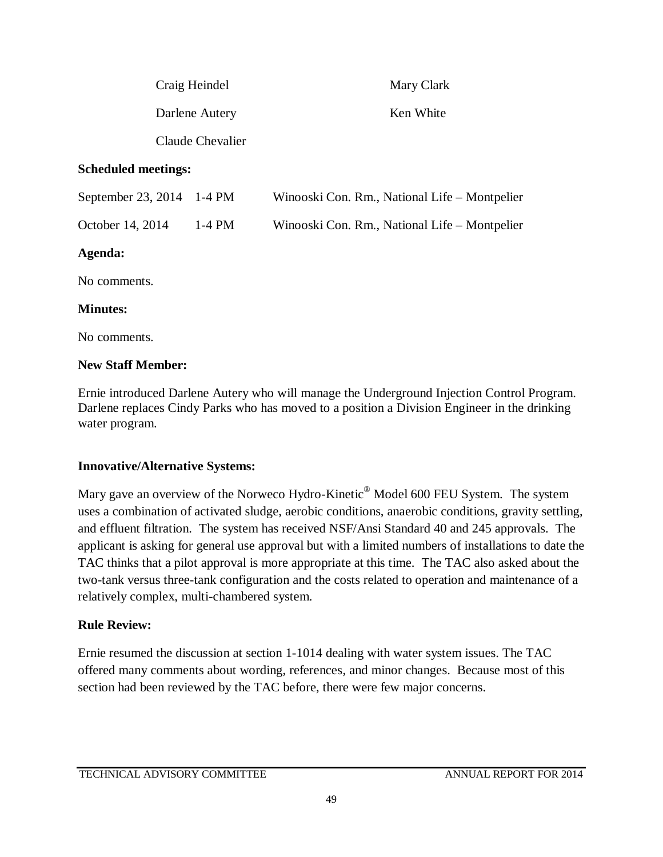| Craig Heindel              | Mary Clark |  |
|----------------------------|------------|--|
| Darlene Autery             | Ken White  |  |
| Claude Chevalier           |            |  |
| <b>Scheduled meetings:</b> |            |  |

| September 23, 2014 1-4 PM |        | Winooski Con. Rm., National Life – Montpelier |
|---------------------------|--------|-----------------------------------------------|
| October 14, 2014          | 1-4 PM | Winooski Con. Rm., National Life – Montpelier |

## **Agenda:**

No comments.

## **Minutes:**

No comments.

## **New Staff Member:**

Ernie introduced Darlene Autery who will manage the Underground Injection Control Program. Darlene replaces Cindy Parks who has moved to a position a Division Engineer in the drinking water program.

## **Innovative/Alternative Systems:**

Mary gave an overview of the Norweco Hydro-Kinetic® Model 600 FEU System. The system uses a combination of activated sludge, aerobic conditions, anaerobic conditions, gravity settling, and effluent filtration. The system has received NSF/Ansi Standard 40 and 245 approvals. The applicant is asking for general use approval but with a limited numbers of installations to date the TAC thinks that a pilot approval is more appropriate at this time. The TAC also asked about the two-tank versus three-tank configuration and the costs related to operation and maintenance of a relatively complex, multi-chambered system.

# **Rule Review:**

Ernie resumed the discussion at section 1-1014 dealing with water system issues. The TAC offered many comments about wording, references, and minor changes. Because most of this section had been reviewed by the TAC before, there were few major concerns.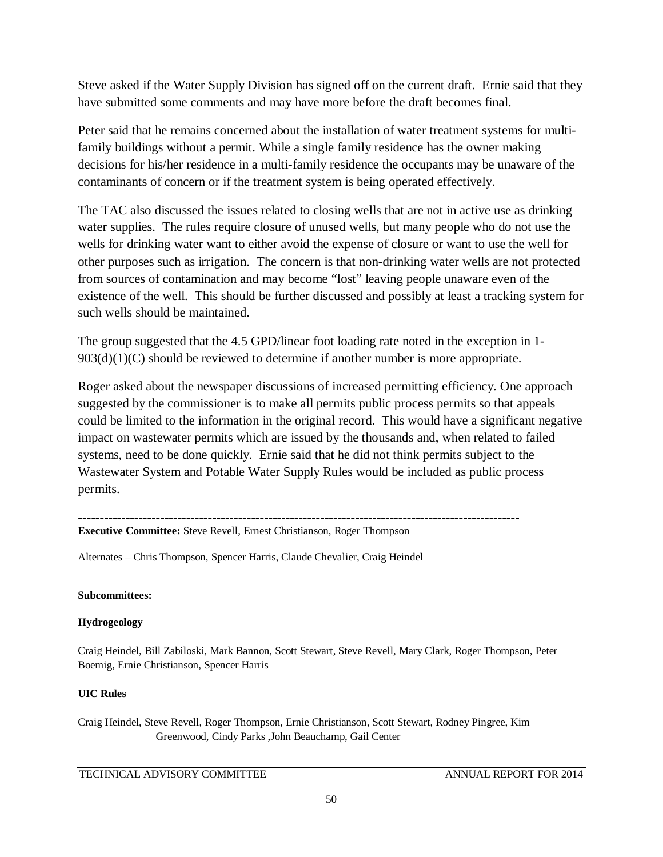Steve asked if the Water Supply Division has signed off on the current draft. Ernie said that they have submitted some comments and may have more before the draft becomes final.

Peter said that he remains concerned about the installation of water treatment systems for multifamily buildings without a permit. While a single family residence has the owner making decisions for his/her residence in a multi-family residence the occupants may be unaware of the contaminants of concern or if the treatment system is being operated effectively.

The TAC also discussed the issues related to closing wells that are not in active use as drinking water supplies. The rules require closure of unused wells, but many people who do not use the wells for drinking water want to either avoid the expense of closure or want to use the well for other purposes such as irrigation. The concern is that non-drinking water wells are not protected from sources of contamination and may become "lost" leaving people unaware even of the existence of the well. This should be further discussed and possibly at least a tracking system for such wells should be maintained.

The group suggested that the 4.5 GPD/linear foot loading rate noted in the exception in 1- 903(d)(1)(C) should be reviewed to determine if another number is more appropriate.

Roger asked about the newspaper discussions of increased permitting efficiency. One approach suggested by the commissioner is to make all permits public process permits so that appeals could be limited to the information in the original record. This would have a significant negative impact on wastewater permits which are issued by the thousands and, when related to failed systems, need to be done quickly. Ernie said that he did not think permits subject to the Wastewater System and Potable Water Supply Rules would be included as public process permits.

### **------------------------------------------------------------------------------------------------------ Executive Committee:** Steve Revell, Ernest Christianson, Roger Thompson

Alternates – Chris Thompson, Spencer Harris, Claude Chevalier, Craig Heindel

### **Subcommittees:**

### **Hydrogeology**

Craig Heindel, Bill Zabiloski, Mark Bannon, Scott Stewart, Steve Revell, Mary Clark, Roger Thompson, Peter Boemig, Ernie Christianson, Spencer Harris

## **UIC Rules**

Craig Heindel, Steve Revell, Roger Thompson, Ernie Christianson, Scott Stewart, Rodney Pingree, Kim Greenwood, Cindy Parks ,John Beauchamp, Gail Center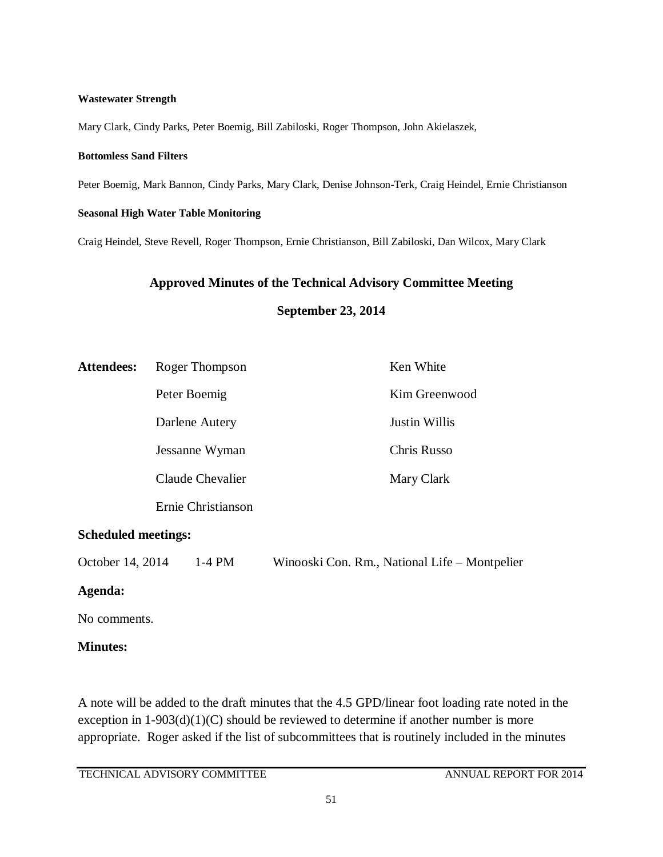### **Wastewater Strength**

Mary Clark, Cindy Parks, Peter Boemig, Bill Zabiloski, Roger Thompson, John Akielaszek,

### **Bottomless Sand Filters**

Peter Boemig, Mark Bannon, Cindy Parks, Mary Clark, Denise Johnson-Terk, Craig Heindel, Ernie Christianson

### **Seasonal High Water Table Monitoring**

Craig Heindel, Steve Revell, Roger Thompson, Ernie Christianson, Bill Zabiloski, Dan Wilcox, Mary Clark

### **Approved Minutes of the Technical Advisory Committee Meeting**

### **September 23, 2014**

| <b>Attendees:</b>                                                                                                                                                                                                                                             | Roger Thompson     | Ken White     |
|---------------------------------------------------------------------------------------------------------------------------------------------------------------------------------------------------------------------------------------------------------------|--------------------|---------------|
|                                                                                                                                                                                                                                                               | Peter Boemig       | Kim Greenwood |
|                                                                                                                                                                                                                                                               | Darlene Autery     | Justin Willis |
|                                                                                                                                                                                                                                                               | Jessanne Wyman     | Chris Russo   |
|                                                                                                                                                                                                                                                               | Claude Chevalier   | Mary Clark    |
|                                                                                                                                                                                                                                                               | Ernie Christianson |               |
| $C_1$ , $C_2$ , $C_3$ , $C_4$ , $C_5$ , $C_5$ , $C_6$ , $C_7$ , $C_8$ , $C_9$ , $C_9$ , $C_9$ , $C_9$ , $C_9$ , $C_9$ , $C_9$ , $C_9$ , $C_9$ , $C_9$ , $C_9$ , $C_9$ , $C_9$ , $C_9$ , $C_9$ , $C_9$ , $C_9$ , $C_9$ , $C_9$ , $C_9$ , $C_9$ , $C_9$ , $C_9$ |                    |               |

### **Scheduled meetings:**

October 14, 2014 1-4 PM Winooski Con. Rm., National Life – Montpelier

## **Agenda:**

No comments.

## **Minutes:**

A note will be added to the draft minutes that the 4.5 GPD/linear foot loading rate noted in the exception in  $1-903(d)(1)(C)$  should be reviewed to determine if another number is more appropriate. Roger asked if the list of subcommittees that is routinely included in the minutes

TECHNICAL ADVISORY COMMITTEE ANNUAL REPORT FOR 2014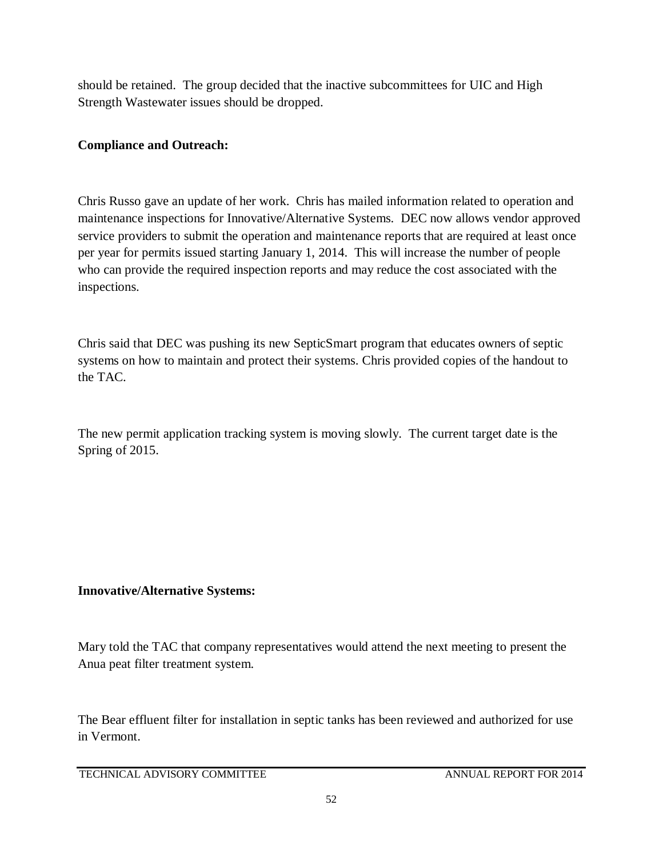should be retained. The group decided that the inactive subcommittees for UIC and High Strength Wastewater issues should be dropped.

# **Compliance and Outreach:**

Chris Russo gave an update of her work. Chris has mailed information related to operation and maintenance inspections for Innovative/Alternative Systems. DEC now allows vendor approved service providers to submit the operation and maintenance reports that are required at least once per year for permits issued starting January 1, 2014. This will increase the number of people who can provide the required inspection reports and may reduce the cost associated with the inspections.

Chris said that DEC was pushing its new SepticSmart program that educates owners of septic systems on how to maintain and protect their systems. Chris provided copies of the handout to the TAC.

The new permit application tracking system is moving slowly. The current target date is the Spring of 2015.

# **Innovative/Alternative Systems:**

Mary told the TAC that company representatives would attend the next meeting to present the Anua peat filter treatment system.

The Bear effluent filter for installation in septic tanks has been reviewed and authorized for use in Vermont.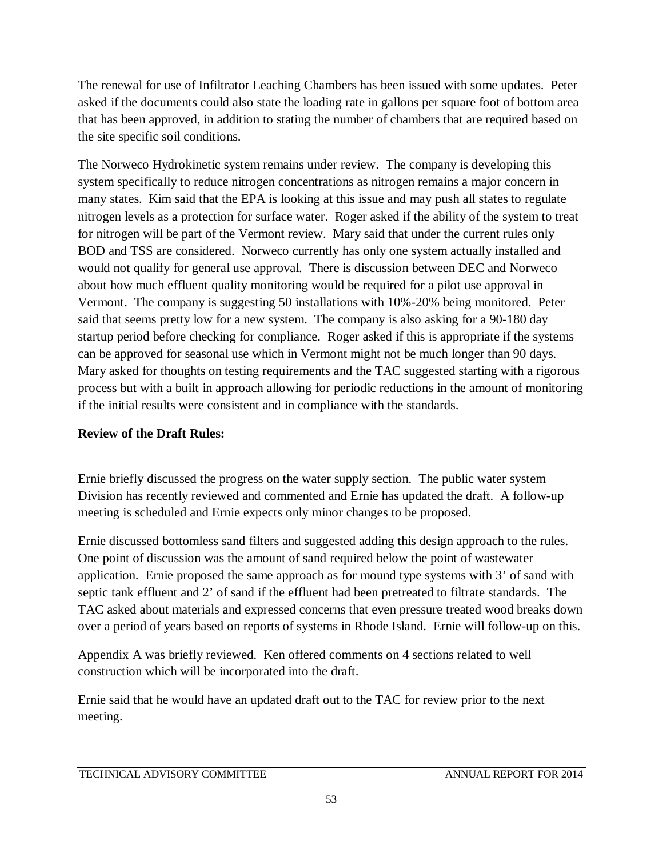The renewal for use of Infiltrator Leaching Chambers has been issued with some updates. Peter asked if the documents could also state the loading rate in gallons per square foot of bottom area that has been approved, in addition to stating the number of chambers that are required based on the site specific soil conditions.

The Norweco Hydrokinetic system remains under review. The company is developing this system specifically to reduce nitrogen concentrations as nitrogen remains a major concern in many states. Kim said that the EPA is looking at this issue and may push all states to regulate nitrogen levels as a protection for surface water. Roger asked if the ability of the system to treat for nitrogen will be part of the Vermont review. Mary said that under the current rules only BOD and TSS are considered. Norweco currently has only one system actually installed and would not qualify for general use approval. There is discussion between DEC and Norweco about how much effluent quality monitoring would be required for a pilot use approval in Vermont. The company is suggesting 50 installations with 10%-20% being monitored. Peter said that seems pretty low for a new system. The company is also asking for a 90-180 day startup period before checking for compliance. Roger asked if this is appropriate if the systems can be approved for seasonal use which in Vermont might not be much longer than 90 days. Mary asked for thoughts on testing requirements and the TAC suggested starting with a rigorous process but with a built in approach allowing for periodic reductions in the amount of monitoring if the initial results were consistent and in compliance with the standards.

# **Review of the Draft Rules:**

Ernie briefly discussed the progress on the water supply section. The public water system Division has recently reviewed and commented and Ernie has updated the draft. A follow-up meeting is scheduled and Ernie expects only minor changes to be proposed.

Ernie discussed bottomless sand filters and suggested adding this design approach to the rules. One point of discussion was the amount of sand required below the point of wastewater application. Ernie proposed the same approach as for mound type systems with 3' of sand with septic tank effluent and 2' of sand if the effluent had been pretreated to filtrate standards. The TAC asked about materials and expressed concerns that even pressure treated wood breaks down over a period of years based on reports of systems in Rhode Island. Ernie will follow-up on this.

Appendix A was briefly reviewed. Ken offered comments on 4 sections related to well construction which will be incorporated into the draft.

Ernie said that he would have an updated draft out to the TAC for review prior to the next meeting.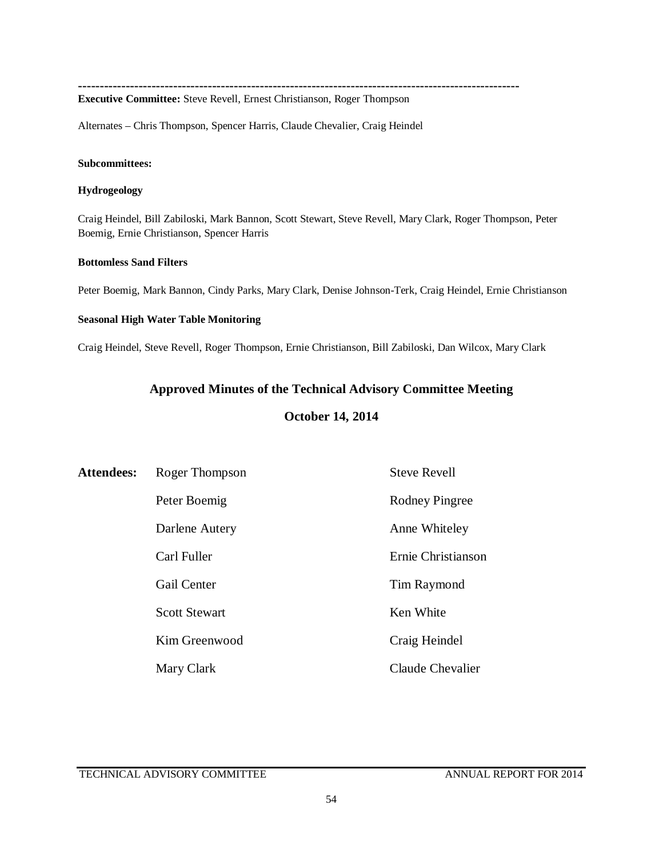**------------------------------------------------------------------------------------------------------**

**Executive Committee:** Steve Revell, Ernest Christianson, Roger Thompson

Alternates – Chris Thompson, Spencer Harris, Claude Chevalier, Craig Heindel

#### **Subcommittees:**

#### **Hydrogeology**

Craig Heindel, Bill Zabiloski, Mark Bannon, Scott Stewart, Steve Revell, Mary Clark, Roger Thompson, Peter Boemig, Ernie Christianson, Spencer Harris

### **Bottomless Sand Filters**

Peter Boemig, Mark Bannon, Cindy Parks, Mary Clark, Denise Johnson-Terk, Craig Heindel, Ernie Christianson

#### **Seasonal High Water Table Monitoring**

Craig Heindel, Steve Revell, Roger Thompson, Ernie Christianson, Bill Zabiloski, Dan Wilcox, Mary Clark

## **Approved Minutes of the Technical Advisory Committee Meeting**

### **October 14, 2014**

| <b>Attendees:</b> | Roger Thompson       | <b>Steve Revell</b> |
|-------------------|----------------------|---------------------|
|                   | Peter Boemig         | Rodney Pingree      |
|                   | Darlene Autery       | Anne Whiteley       |
|                   | Carl Fuller          | Ernie Christianson  |
|                   | <b>Gail Center</b>   | Tim Raymond         |
|                   | <b>Scott Stewart</b> | Ken White           |
|                   | Kim Greenwood        | Craig Heindel       |
|                   | Mary Clark           | Claude Chevalier    |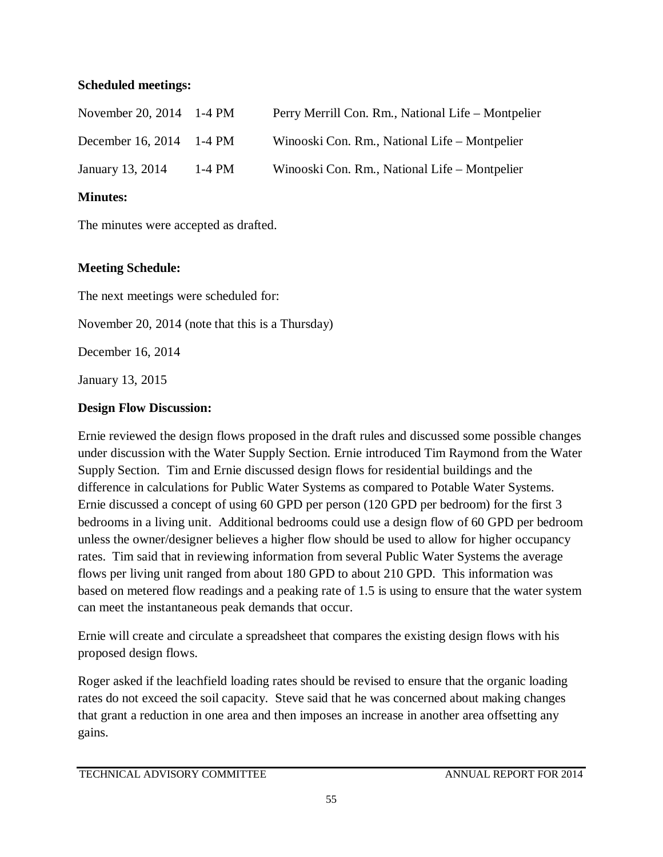## **Scheduled meetings:**

| November 20, 2014 1-4 PM |          | Perry Merrill Con. Rm., National Life – Montpelier |
|--------------------------|----------|----------------------------------------------------|
| December 16, 2014 1-4 PM |          | Winooski Con. Rm., National Life – Montpelier      |
| January 13, 2014         | $1-4$ PM | Winooski Con. Rm., National Life - Montpelier      |

# **Minutes:**

The minutes were accepted as drafted.

# **Meeting Schedule:**

The next meetings were scheduled for:

November 20, 2014 (note that this is a Thursday)

December 16, 2014

January 13, 2015

# **Design Flow Discussion:**

Ernie reviewed the design flows proposed in the draft rules and discussed some possible changes under discussion with the Water Supply Section. Ernie introduced Tim Raymond from the Water Supply Section. Tim and Ernie discussed design flows for residential buildings and the difference in calculations for Public Water Systems as compared to Potable Water Systems. Ernie discussed a concept of using 60 GPD per person (120 GPD per bedroom) for the first 3 bedrooms in a living unit. Additional bedrooms could use a design flow of 60 GPD per bedroom unless the owner/designer believes a higher flow should be used to allow for higher occupancy rates. Tim said that in reviewing information from several Public Water Systems the average flows per living unit ranged from about 180 GPD to about 210 GPD. This information was based on metered flow readings and a peaking rate of 1.5 is using to ensure that the water system can meet the instantaneous peak demands that occur.

Ernie will create and circulate a spreadsheet that compares the existing design flows with his proposed design flows.

Roger asked if the leachfield loading rates should be revised to ensure that the organic loading rates do not exceed the soil capacity. Steve said that he was concerned about making changes that grant a reduction in one area and then imposes an increase in another area offsetting any gains.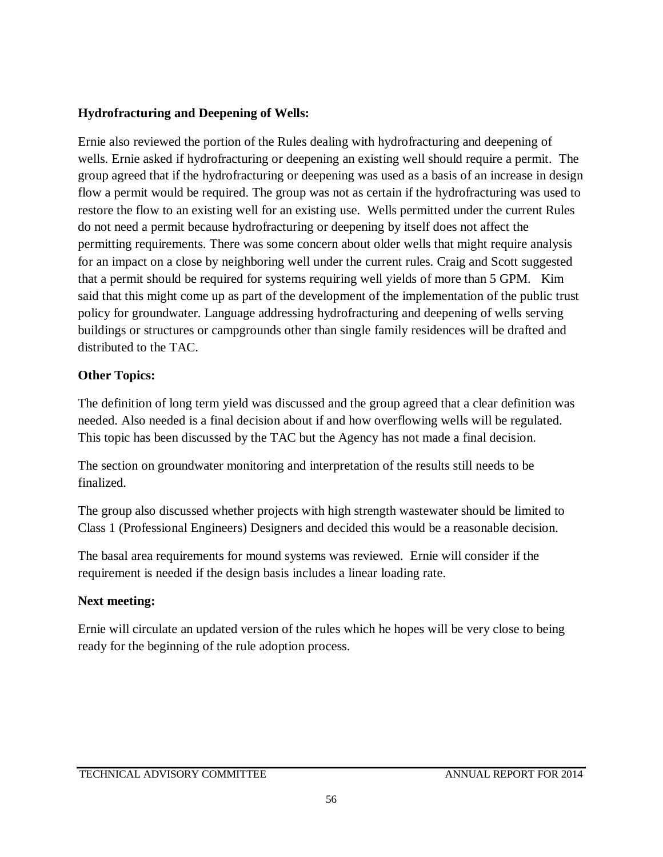# **Hydrofracturing and Deepening of Wells:**

Ernie also reviewed the portion of the Rules dealing with hydrofracturing and deepening of wells. Ernie asked if hydrofracturing or deepening an existing well should require a permit. The group agreed that if the hydrofracturing or deepening was used as a basis of an increase in design flow a permit would be required. The group was not as certain if the hydrofracturing was used to restore the flow to an existing well for an existing use. Wells permitted under the current Rules do not need a permit because hydrofracturing or deepening by itself does not affect the permitting requirements. There was some concern about older wells that might require analysis for an impact on a close by neighboring well under the current rules. Craig and Scott suggested that a permit should be required for systems requiring well yields of more than 5 GPM. Kim said that this might come up as part of the development of the implementation of the public trust policy for groundwater. Language addressing hydrofracturing and deepening of wells serving buildings or structures or campgrounds other than single family residences will be drafted and distributed to the TAC.

# **Other Topics:**

The definition of long term yield was discussed and the group agreed that a clear definition was needed. Also needed is a final decision about if and how overflowing wells will be regulated. This topic has been discussed by the TAC but the Agency has not made a final decision.

The section on groundwater monitoring and interpretation of the results still needs to be finalized.

The group also discussed whether projects with high strength wastewater should be limited to Class 1 (Professional Engineers) Designers and decided this would be a reasonable decision.

The basal area requirements for mound systems was reviewed. Ernie will consider if the requirement is needed if the design basis includes a linear loading rate.

# **Next meeting:**

Ernie will circulate an updated version of the rules which he hopes will be very close to being ready for the beginning of the rule adoption process.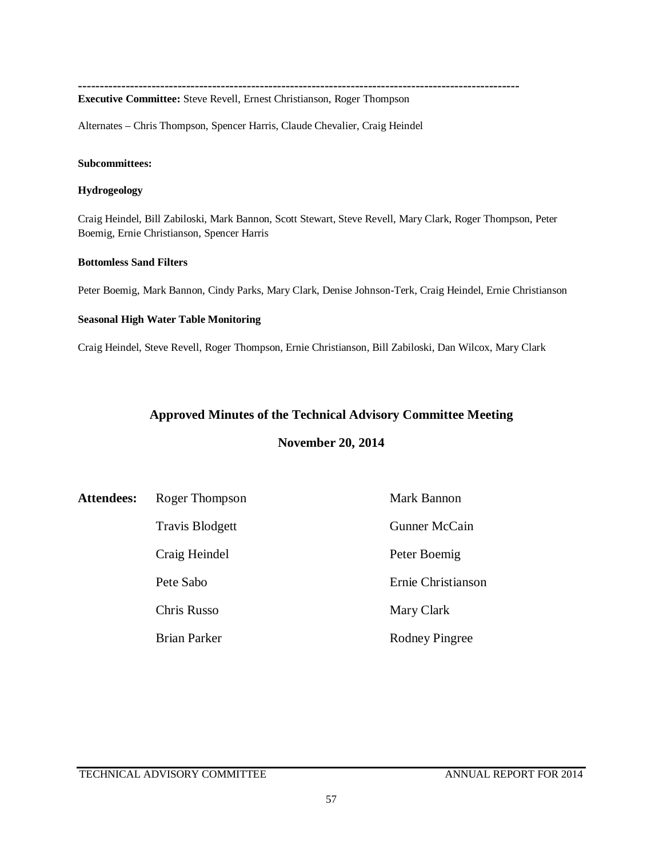**------------------------------------------------------------------------------------------------------**

**Executive Committee:** Steve Revell, Ernest Christianson, Roger Thompson

Alternates – Chris Thompson, Spencer Harris, Claude Chevalier, Craig Heindel

#### **Subcommittees:**

#### **Hydrogeology**

Craig Heindel, Bill Zabiloski, Mark Bannon, Scott Stewart, Steve Revell, Mary Clark, Roger Thompson, Peter Boemig, Ernie Christianson, Spencer Harris

### **Bottomless Sand Filters**

Peter Boemig, Mark Bannon, Cindy Parks, Mary Clark, Denise Johnson-Terk, Craig Heindel, Ernie Christianson

#### **Seasonal High Water Table Monitoring**

Craig Heindel, Steve Revell, Roger Thompson, Ernie Christianson, Bill Zabiloski, Dan Wilcox, Mary Clark

### **Approved Minutes of the Technical Advisory Committee Meeting**

### **November 20, 2014**

| <b>Attendees:</b> | Roger Thompson         | Mark Bannon           |
|-------------------|------------------------|-----------------------|
|                   | <b>Travis Blodgett</b> | Gunner McCain         |
|                   | Craig Heindel          | Peter Boemig          |
|                   | Pete Sabo              | Ernie Christianson    |
|                   | Chris Russo            | Mary Clark            |
|                   | <b>Brian Parker</b>    | <b>Rodney Pingree</b> |

TECHNICAL ADVISORY COMMITTEE ANNUAL REPORT FOR 2014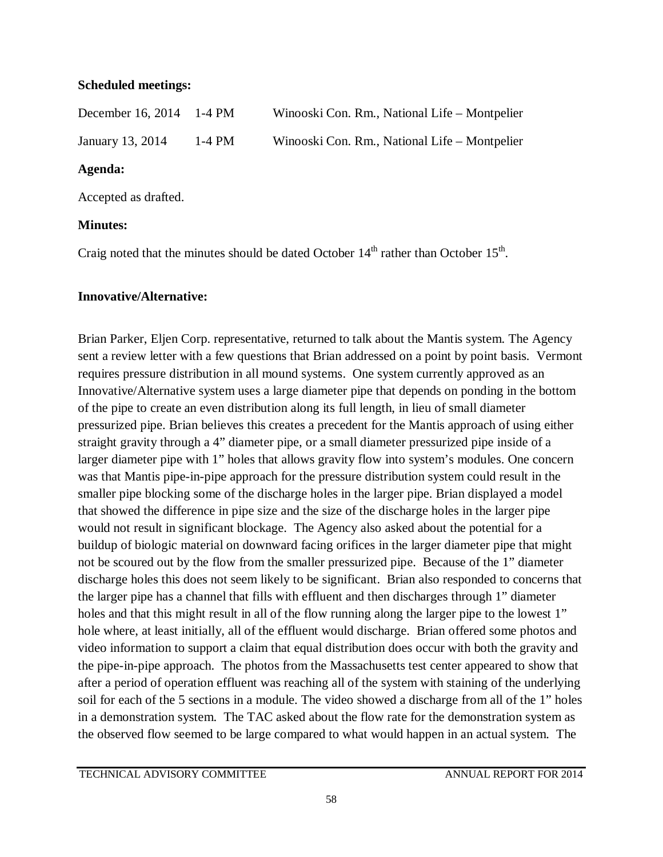## **Scheduled meetings:**

| December 16, 2014 1-4 PM |          | Winooski Con. Rm., National Life – Montpelier |
|--------------------------|----------|-----------------------------------------------|
| January 13, 2014         | $1-4$ PM | Winooski Con. Rm., National Life – Montpelier |

# **Agenda:**

Accepted as drafted.

# **Minutes:**

Craig noted that the minutes should be dated October  $14<sup>th</sup>$  rather than October  $15<sup>th</sup>$ .

# **Innovative/Alternative:**

Brian Parker, Eljen Corp. representative, returned to talk about the Mantis system. The Agency sent a review letter with a few questions that Brian addressed on a point by point basis. Vermont requires pressure distribution in all mound systems. One system currently approved as an Innovative/Alternative system uses a large diameter pipe that depends on ponding in the bottom of the pipe to create an even distribution along its full length, in lieu of small diameter pressurized pipe. Brian believes this creates a precedent for the Mantis approach of using either straight gravity through a 4" diameter pipe, or a small diameter pressurized pipe inside of a larger diameter pipe with 1" holes that allows gravity flow into system's modules. One concern was that Mantis pipe-in-pipe approach for the pressure distribution system could result in the smaller pipe blocking some of the discharge holes in the larger pipe. Brian displayed a model that showed the difference in pipe size and the size of the discharge holes in the larger pipe would not result in significant blockage. The Agency also asked about the potential for a buildup of biologic material on downward facing orifices in the larger diameter pipe that might not be scoured out by the flow from the smaller pressurized pipe. Because of the 1" diameter discharge holes this does not seem likely to be significant. Brian also responded to concerns that the larger pipe has a channel that fills with effluent and then discharges through 1" diameter holes and that this might result in all of the flow running along the larger pipe to the lowest 1" hole where, at least initially, all of the effluent would discharge. Brian offered some photos and video information to support a claim that equal distribution does occur with both the gravity and the pipe-in-pipe approach. The photos from the Massachusetts test center appeared to show that after a period of operation effluent was reaching all of the system with staining of the underlying soil for each of the 5 sections in a module. The video showed a discharge from all of the 1" holes in a demonstration system. The TAC asked about the flow rate for the demonstration system as the observed flow seemed to be large compared to what would happen in an actual system. The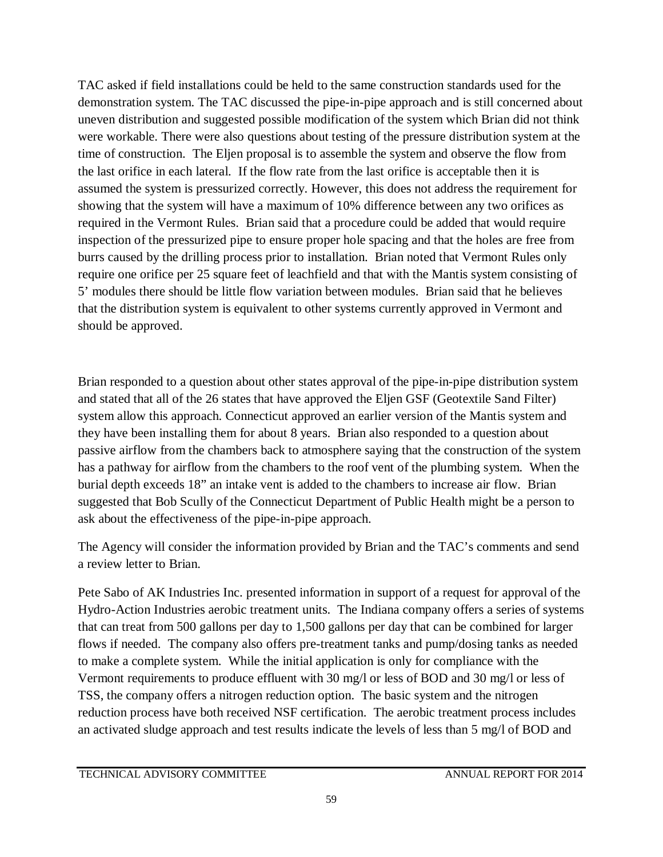TAC asked if field installations could be held to the same construction standards used for the demonstration system. The TAC discussed the pipe-in-pipe approach and is still concerned about uneven distribution and suggested possible modification of the system which Brian did not think were workable. There were also questions about testing of the pressure distribution system at the time of construction. The Eljen proposal is to assemble the system and observe the flow from the last orifice in each lateral. If the flow rate from the last orifice is acceptable then it is assumed the system is pressurized correctly. However, this does not address the requirement for showing that the system will have a maximum of 10% difference between any two orifices as required in the Vermont Rules. Brian said that a procedure could be added that would require inspection of the pressurized pipe to ensure proper hole spacing and that the holes are free from burrs caused by the drilling process prior to installation. Brian noted that Vermont Rules only require one orifice per 25 square feet of leachfield and that with the Mantis system consisting of 5' modules there should be little flow variation between modules. Brian said that he believes that the distribution system is equivalent to other systems currently approved in Vermont and should be approved.

Brian responded to a question about other states approval of the pipe-in-pipe distribution system and stated that all of the 26 states that have approved the Eljen GSF (Geotextile Sand Filter) system allow this approach. Connecticut approved an earlier version of the Mantis system and they have been installing them for about 8 years. Brian also responded to a question about passive airflow from the chambers back to atmosphere saying that the construction of the system has a pathway for airflow from the chambers to the roof vent of the plumbing system. When the burial depth exceeds 18" an intake vent is added to the chambers to increase air flow. Brian suggested that Bob Scully of the Connecticut Department of Public Health might be a person to ask about the effectiveness of the pipe-in-pipe approach.

The Agency will consider the information provided by Brian and the TAC's comments and send a review letter to Brian.

Pete Sabo of AK Industries Inc. presented information in support of a request for approval of the Hydro-Action Industries aerobic treatment units. The Indiana company offers a series of systems that can treat from 500 gallons per day to 1,500 gallons per day that can be combined for larger flows if needed. The company also offers pre-treatment tanks and pump/dosing tanks as needed to make a complete system. While the initial application is only for compliance with the Vermont requirements to produce effluent with 30 mg/l or less of BOD and 30 mg/l or less of TSS, the company offers a nitrogen reduction option. The basic system and the nitrogen reduction process have both received NSF certification. The aerobic treatment process includes an activated sludge approach and test results indicate the levels of less than 5 mg/l of BOD and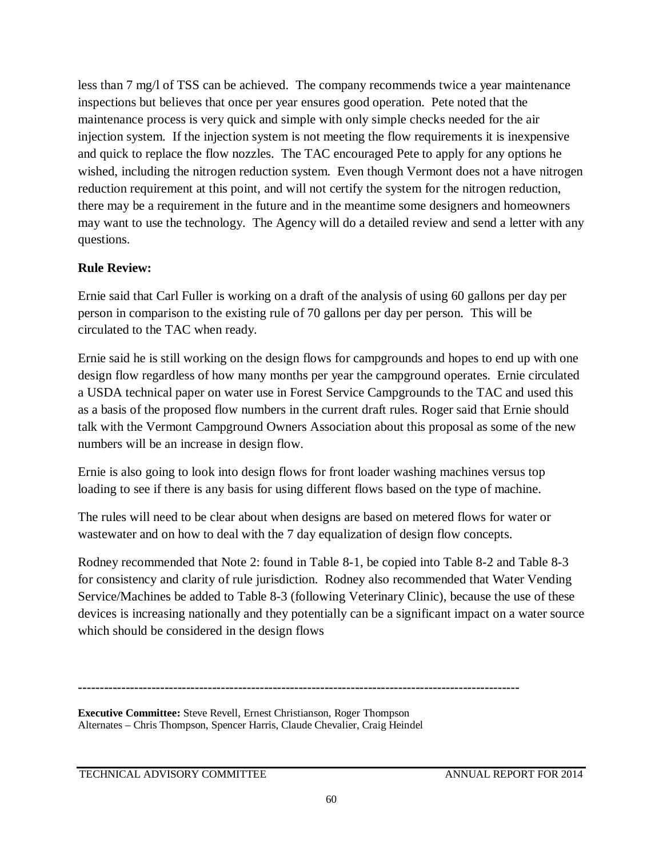less than 7 mg/l of TSS can be achieved. The company recommends twice a year maintenance inspections but believes that once per year ensures good operation. Pete noted that the maintenance process is very quick and simple with only simple checks needed for the air injection system. If the injection system is not meeting the flow requirements it is inexpensive and quick to replace the flow nozzles. The TAC encouraged Pete to apply for any options he wished, including the nitrogen reduction system. Even though Vermont does not a have nitrogen reduction requirement at this point, and will not certify the system for the nitrogen reduction, there may be a requirement in the future and in the meantime some designers and homeowners may want to use the technology. The Agency will do a detailed review and send a letter with any questions.

# **Rule Review:**

Ernie said that Carl Fuller is working on a draft of the analysis of using 60 gallons per day per person in comparison to the existing rule of 70 gallons per day per person. This will be circulated to the TAC when ready.

Ernie said he is still working on the design flows for campgrounds and hopes to end up with one design flow regardless of how many months per year the campground operates. Ernie circulated a USDA technical paper on water use in Forest Service Campgrounds to the TAC and used this as a basis of the proposed flow numbers in the current draft rules. Roger said that Ernie should talk with the Vermont Campground Owners Association about this proposal as some of the new numbers will be an increase in design flow.

Ernie is also going to look into design flows for front loader washing machines versus top loading to see if there is any basis for using different flows based on the type of machine.

The rules will need to be clear about when designs are based on metered flows for water or wastewater and on how to deal with the 7 day equalization of design flow concepts.

Rodney recommended that Note 2: found in Table 8-1, be copied into Table 8-2 and Table 8-3 for consistency and clarity of rule jurisdiction. Rodney also recommended that Water Vending Service/Machines be added to Table 8-3 (following Veterinary Clinic), because the use of these devices is increasing nationally and they potentially can be a significant impact on a water source which should be considered in the design flows

**------------------------------------------------------------------------------------------------------**

**Executive Committee:** Steve Revell, Ernest Christianson, Roger Thompson Alternates – Chris Thompson, Spencer Harris, Claude Chevalier, Craig Heindel

TECHNICAL ADVISORY COMMITTEE ANNUAL REPORT FOR 2014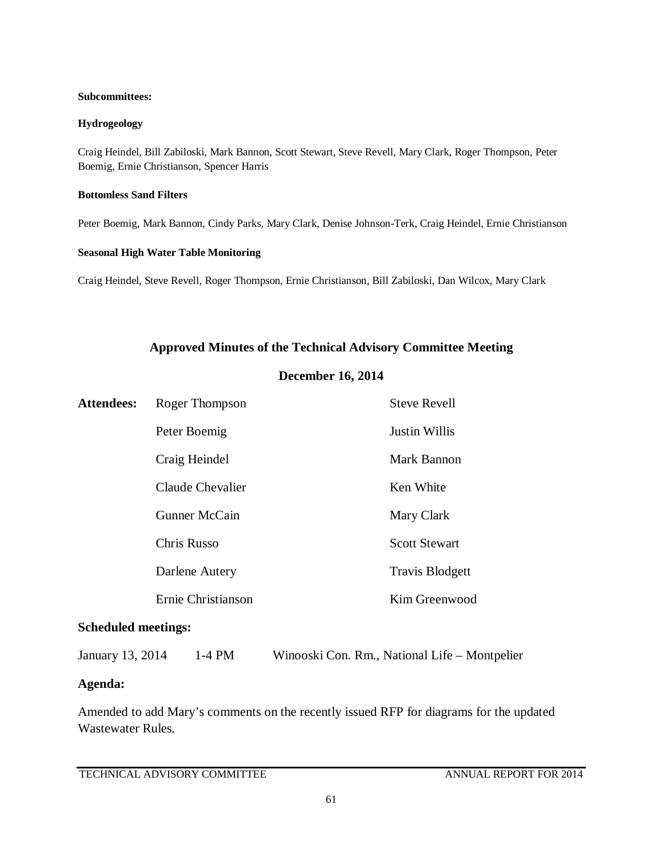#### **Subcommittees:**

### **Hydrogeology**

Craig Heindel, Bill Zabiloski, Mark Bannon, Scott Stewart, Steve Revell, Mary Clark, Roger Thompson, Peter Boemig, Ernie Christianson, Spencer Harris

#### **Bottomless Sand Filters**

Peter Boemig, Mark Bannon, Cindy Parks, Mary Clark, Denise Johnson-Terk, Craig Heindel, Ernie Christianson

#### **Seasonal High Water Table Monitoring**

Craig Heindel, Steve Revell, Roger Thompson, Ernie Christianson, Bill Zabiloski, Dan Wilcox, Mary Clark

### **Approved Minutes of the Technical Advisory Committee Meeting**

### **December 16, 2014**

| <b>Attendees:</b> | Roger Thompson     | <b>Steve Revell</b>    |
|-------------------|--------------------|------------------------|
|                   | Peter Boemig       | <b>Justin Willis</b>   |
|                   | Craig Heindel      | <b>Mark Bannon</b>     |
|                   | Claude Chevalier   | Ken White              |
|                   | Gunner McCain      | Mary Clark             |
|                   | <b>Chris Russo</b> | <b>Scott Stewart</b>   |
|                   | Darlene Autery     | <b>Travis Blodgett</b> |
|                   | Ernie Christianson | Kim Greenwood          |

### **Scheduled meetings:**

January 13, 2014 1-4 PM Winooski Con. Rm., National Life – Montpelier

### **Agenda:**

Amended to add Mary's comments on the recently issued RFP for diagrams for the updated Wastewater Rules.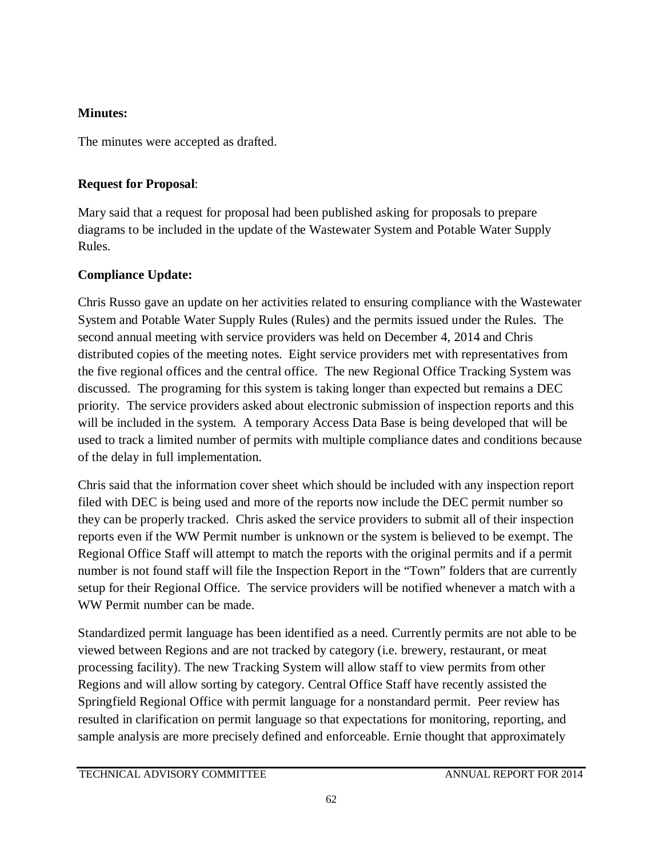# **Minutes:**

The minutes were accepted as drafted.

# **Request for Proposal**:

Mary said that a request for proposal had been published asking for proposals to prepare diagrams to be included in the update of the Wastewater System and Potable Water Supply Rules.

# **Compliance Update:**

Chris Russo gave an update on her activities related to ensuring compliance with the Wastewater System and Potable Water Supply Rules (Rules) and the permits issued under the Rules. The second annual meeting with service providers was held on December 4, 2014 and Chris distributed copies of the meeting notes. Eight service providers met with representatives from the five regional offices and the central office. The new Regional Office Tracking System was discussed. The programing for this system is taking longer than expected but remains a DEC priority. The service providers asked about electronic submission of inspection reports and this will be included in the system. A temporary Access Data Base is being developed that will be used to track a limited number of permits with multiple compliance dates and conditions because of the delay in full implementation.

Chris said that the information cover sheet which should be included with any inspection report filed with DEC is being used and more of the reports now include the DEC permit number so they can be properly tracked. Chris asked the service providers to submit all of their inspection reports even if the WW Permit number is unknown or the system is believed to be exempt. The Regional Office Staff will attempt to match the reports with the original permits and if a permit number is not found staff will file the Inspection Report in the "Town" folders that are currently setup for their Regional Office. The service providers will be notified whenever a match with a WW Permit number can be made.

Standardized permit language has been identified as a need. Currently permits are not able to be viewed between Regions and are not tracked by category (i.e. brewery, restaurant, or meat processing facility). The new Tracking System will allow staff to view permits from other Regions and will allow sorting by category. Central Office Staff have recently assisted the Springfield Regional Office with permit language for a nonstandard permit. Peer review has resulted in clarification on permit language so that expectations for monitoring, reporting, and sample analysis are more precisely defined and enforceable. Ernie thought that approximately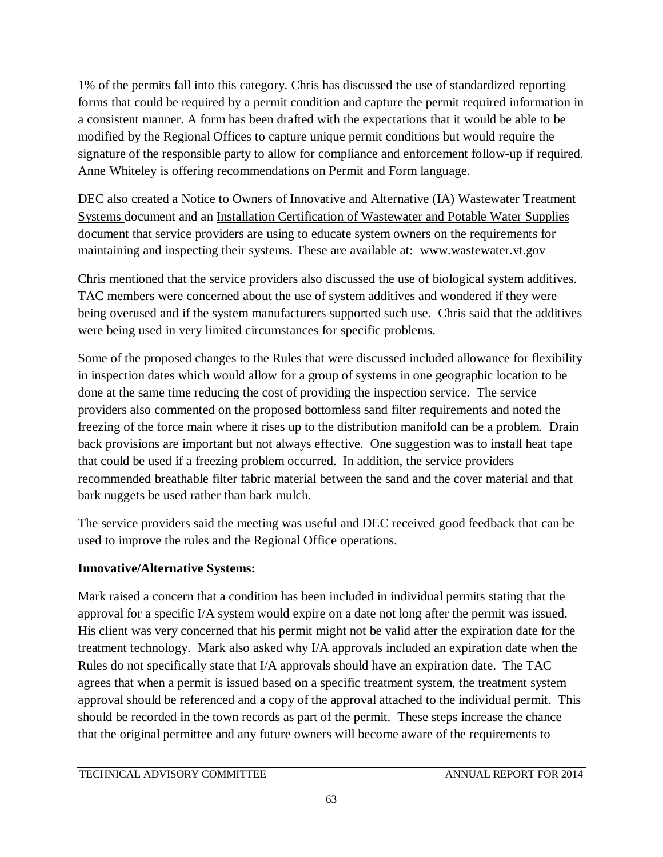1% of the permits fall into this category. Chris has discussed the use of standardized reporting forms that could be required by a permit condition and capture the permit required information in a consistent manner. A form has been drafted with the expectations that it would be able to be modified by the Regional Offices to capture unique permit conditions but would require the signature of the responsible party to allow for compliance and enforcement follow-up if required. Anne Whiteley is offering recommendations on Permit and Form language.

DEC also created a Notice to Owners of Innovative and Alternative (IA) Wastewater Treatment Systems document and an Installation Certification of Wastewater and Potable Water Supplies document that service providers are using to educate system owners on the requirements for maintaining and inspecting their systems. These are available at: www.wastewater.vt.gov

Chris mentioned that the service providers also discussed the use of biological system additives. TAC members were concerned about the use of system additives and wondered if they were being overused and if the system manufacturers supported such use. Chris said that the additives were being used in very limited circumstances for specific problems.

Some of the proposed changes to the Rules that were discussed included allowance for flexibility in inspection dates which would allow for a group of systems in one geographic location to be done at the same time reducing the cost of providing the inspection service. The service providers also commented on the proposed bottomless sand filter requirements and noted the freezing of the force main where it rises up to the distribution manifold can be a problem. Drain back provisions are important but not always effective. One suggestion was to install heat tape that could be used if a freezing problem occurred. In addition, the service providers recommended breathable filter fabric material between the sand and the cover material and that bark nuggets be used rather than bark mulch.

The service providers said the meeting was useful and DEC received good feedback that can be used to improve the rules and the Regional Office operations.

# **Innovative/Alternative Systems:**

Mark raised a concern that a condition has been included in individual permits stating that the approval for a specific I/A system would expire on a date not long after the permit was issued. His client was very concerned that his permit might not be valid after the expiration date for the treatment technology. Mark also asked why I/A approvals included an expiration date when the Rules do not specifically state that I/A approvals should have an expiration date. The TAC agrees that when a permit is issued based on a specific treatment system, the treatment system approval should be referenced and a copy of the approval attached to the individual permit. This should be recorded in the town records as part of the permit. These steps increase the chance that the original permittee and any future owners will become aware of the requirements to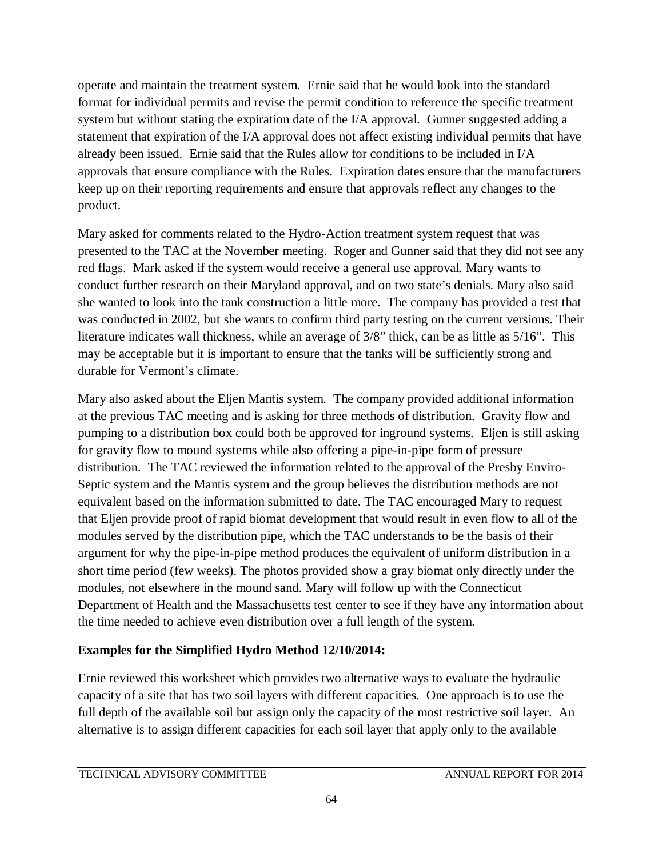operate and maintain the treatment system. Ernie said that he would look into the standard format for individual permits and revise the permit condition to reference the specific treatment system but without stating the expiration date of the I/A approval. Gunner suggested adding a statement that expiration of the I/A approval does not affect existing individual permits that have already been issued. Ernie said that the Rules allow for conditions to be included in I/A approvals that ensure compliance with the Rules. Expiration dates ensure that the manufacturers keep up on their reporting requirements and ensure that approvals reflect any changes to the product.

Mary asked for comments related to the Hydro-Action treatment system request that was presented to the TAC at the November meeting. Roger and Gunner said that they did not see any red flags. Mark asked if the system would receive a general use approval. Mary wants to conduct further research on their Maryland approval, and on two state's denials. Mary also said she wanted to look into the tank construction a little more. The company has provided a test that was conducted in 2002, but she wants to confirm third party testing on the current versions. Their literature indicates wall thickness, while an average of 3/8" thick, can be as little as 5/16". This may be acceptable but it is important to ensure that the tanks will be sufficiently strong and durable for Vermont's climate.

Mary also asked about the Eljen Mantis system. The company provided additional information at the previous TAC meeting and is asking for three methods of distribution. Gravity flow and pumping to a distribution box could both be approved for inground systems. Eljen is still asking for gravity flow to mound systems while also offering a pipe-in-pipe form of pressure distribution. The TAC reviewed the information related to the approval of the Presby Enviro-Septic system and the Mantis system and the group believes the distribution methods are not equivalent based on the information submitted to date. The TAC encouraged Mary to request that Eljen provide proof of rapid biomat development that would result in even flow to all of the modules served by the distribution pipe, which the TAC understands to be the basis of their argument for why the pipe-in-pipe method produces the equivalent of uniform distribution in a short time period (few weeks). The photos provided show a gray biomat only directly under the modules, not elsewhere in the mound sand. Mary will follow up with the Connecticut Department of Health and the Massachusetts test center to see if they have any information about the time needed to achieve even distribution over a full length of the system.

# **Examples for the Simplified Hydro Method 12/10/2014:**

Ernie reviewed this worksheet which provides two alternative ways to evaluate the hydraulic capacity of a site that has two soil layers with different capacities. One approach is to use the full depth of the available soil but assign only the capacity of the most restrictive soil layer. An alternative is to assign different capacities for each soil layer that apply only to the available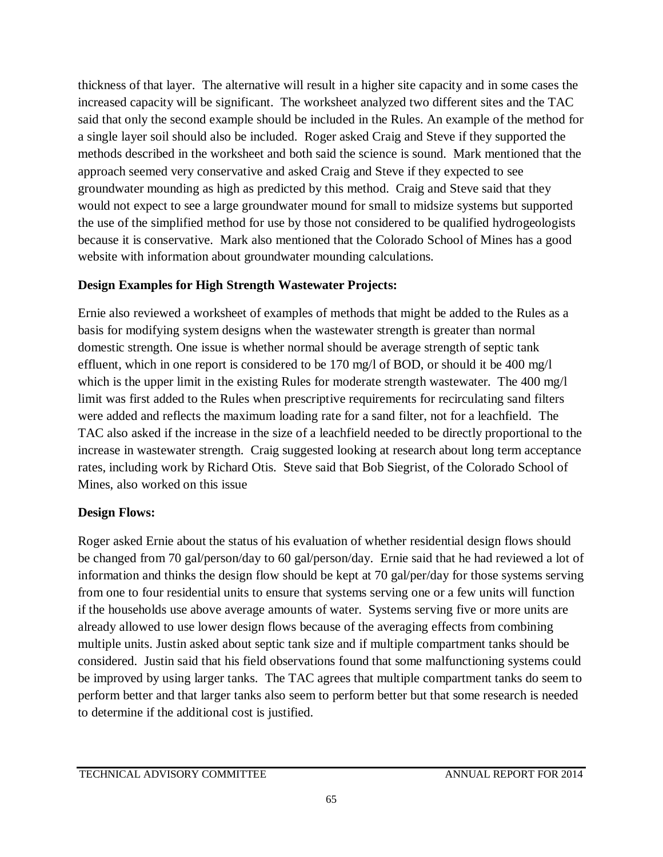thickness of that layer. The alternative will result in a higher site capacity and in some cases the increased capacity will be significant. The worksheet analyzed two different sites and the TAC said that only the second example should be included in the Rules. An example of the method for a single layer soil should also be included. Roger asked Craig and Steve if they supported the methods described in the worksheet and both said the science is sound. Mark mentioned that the approach seemed very conservative and asked Craig and Steve if they expected to see groundwater mounding as high as predicted by this method. Craig and Steve said that they would not expect to see a large groundwater mound for small to midsize systems but supported the use of the simplified method for use by those not considered to be qualified hydrogeologists because it is conservative. Mark also mentioned that the Colorado School of Mines has a good website with information about groundwater mounding calculations.

# **Design Examples for High Strength Wastewater Projects:**

Ernie also reviewed a worksheet of examples of methods that might be added to the Rules as a basis for modifying system designs when the wastewater strength is greater than normal domestic strength. One issue is whether normal should be average strength of septic tank effluent, which in one report is considered to be 170 mg/l of BOD, or should it be 400 mg/l which is the upper limit in the existing Rules for moderate strength wastewater. The 400 mg/l limit was first added to the Rules when prescriptive requirements for recirculating sand filters were added and reflects the maximum loading rate for a sand filter, not for a leachfield. The TAC also asked if the increase in the size of a leachfield needed to be directly proportional to the increase in wastewater strength. Craig suggested looking at research about long term acceptance rates, including work by Richard Otis. Steve said that Bob Siegrist, of the Colorado School of Mines, also worked on this issue

# **Design Flows:**

Roger asked Ernie about the status of his evaluation of whether residential design flows should be changed from 70 gal/person/day to 60 gal/person/day. Ernie said that he had reviewed a lot of information and thinks the design flow should be kept at 70 gal/per/day for those systems serving from one to four residential units to ensure that systems serving one or a few units will function if the households use above average amounts of water. Systems serving five or more units are already allowed to use lower design flows because of the averaging effects from combining multiple units. Justin asked about septic tank size and if multiple compartment tanks should be considered. Justin said that his field observations found that some malfunctioning systems could be improved by using larger tanks. The TAC agrees that multiple compartment tanks do seem to perform better and that larger tanks also seem to perform better but that some research is needed to determine if the additional cost is justified.